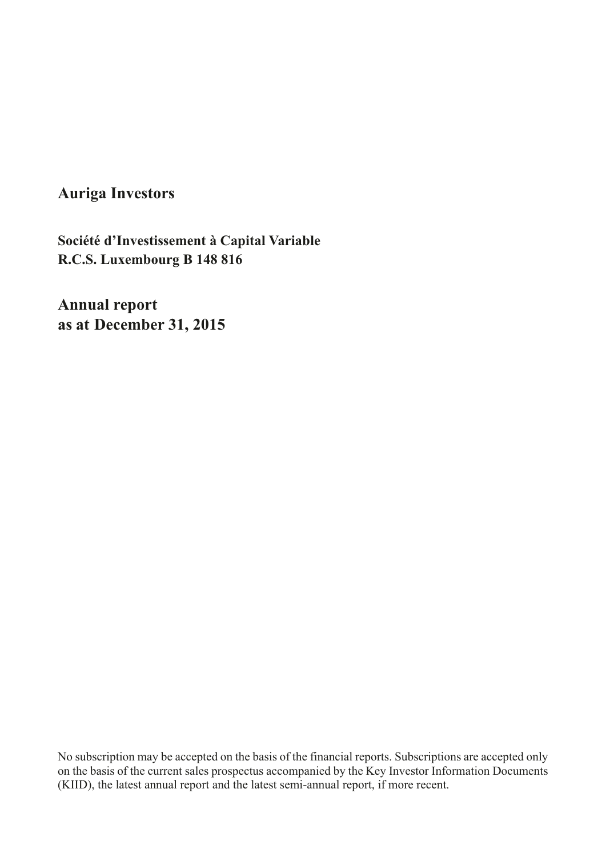**Auriga Investors**

**R.C.S. Luxembourg B 148 816 Société d'Investissement à Capital Variable** 

**Annual report as at December 31, 2015**

No subscription may be accepted on the basis of the financial reports. Subscriptions are accepted only on the basis of the current sales prospectus accompanied by the Key Investor Information Documents (KIID), the latest annual report and the latest semi-annual report, if more recent.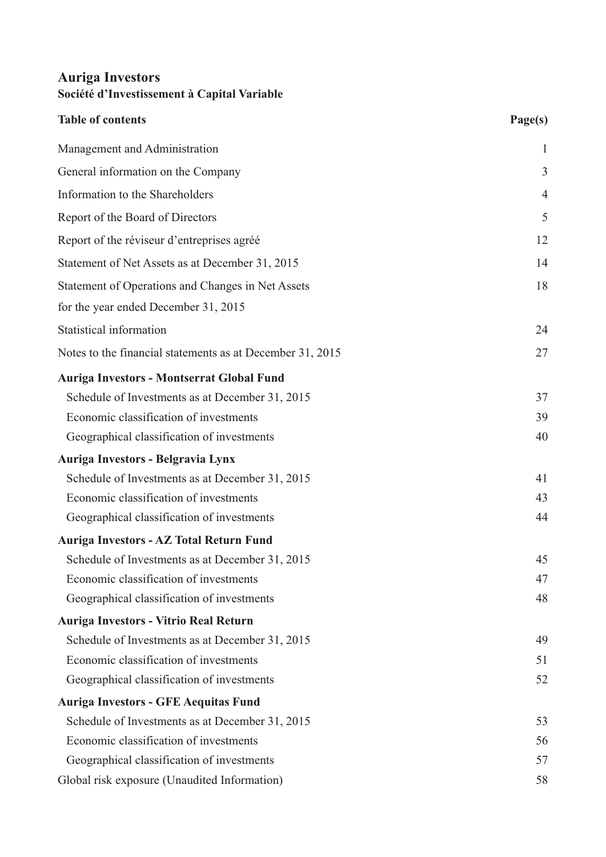| Table of contents                                         | Page(s)        |
|-----------------------------------------------------------|----------------|
| Management and Administration                             | $\mathbf{1}$   |
| General information on the Company                        | 3              |
| Information to the Shareholders                           | $\overline{4}$ |
| Report of the Board of Directors                          | 5              |
| Report of the réviseur d'entreprises agréé                | 12             |
| Statement of Net Assets as at December 31, 2015           | 14             |
| Statement of Operations and Changes in Net Assets         | 18             |
| for the year ended December 31, 2015                      |                |
| Statistical information                                   | 24             |
| Notes to the financial statements as at December 31, 2015 | 27             |
| Auriga Investors - Montserrat Global Fund                 |                |
| Schedule of Investments as at December 31, 2015           | 37             |
| Economic classification of investments                    | 39             |
| Geographical classification of investments                | 40             |
| Auriga Investors - Belgravia Lynx                         |                |
| Schedule of Investments as at December 31, 2015           | 41             |
| Economic classification of investments                    | 43             |
| Geographical classification of investments                | 44             |
| Auriga Investors - AZ Total Return Fund                   |                |
| Schedule of Investments as at December 31, 2015           | 45             |
| Economic classification of investments                    | 47             |
| Geographical classification of investments                | 48             |
| Auriga Investors - Vitrio Real Return                     |                |
| Schedule of Investments as at December 31, 2015           | 49             |
| Economic classification of investments                    | 51             |
| Geographical classification of investments                | 52             |
| <b>Auriga Investors - GFE Aequitas Fund</b>               |                |
| Schedule of Investments as at December 31, 2015           | 53             |
| Economic classification of investments                    | 56             |
| Geographical classification of investments                | 57             |
| Global risk exposure (Unaudited Information)              | 58             |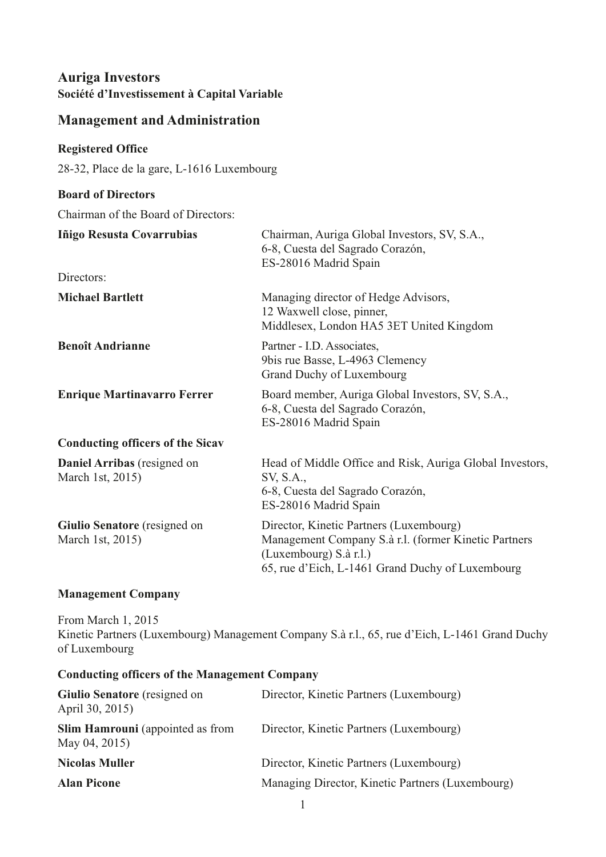### <span id="page-2-0"></span>**Management and Administration**

#### **Registered Office**

28-32, Place de la gare, L-1616 Luxembourg

# **Board of Directors**

Chairman of the Board of Directors:

| Iñigo Resusta Covarrubias                               | Chairman, Auriga Global Investors, SV, S.A.,<br>6-8, Cuesta del Sagrado Corazón,<br>ES-28016 Madrid Spain                                                                     |
|---------------------------------------------------------|-------------------------------------------------------------------------------------------------------------------------------------------------------------------------------|
| Directors:                                              |                                                                                                                                                                               |
| <b>Michael Bartlett</b>                                 | Managing director of Hedge Advisors,<br>12 Waxwell close, pinner,<br>Middlesex, London HA5 3ET United Kingdom                                                                 |
| <b>Benoît Andrianne</b>                                 | Partner - I.D. Associates,<br>9bis rue Basse, L-4963 Clemency<br>Grand Duchy of Luxembourg                                                                                    |
| <b>Enrique Martinavarro Ferrer</b>                      | Board member, Auriga Global Investors, SV, S.A.,<br>6-8, Cuesta del Sagrado Corazón,<br>ES-28016 Madrid Spain                                                                 |
| <b>Conducting officers of the Sicav</b>                 |                                                                                                                                                                               |
| Daniel Arribas (resigned on<br>March 1st, 2015)         | Head of Middle Office and Risk, Auriga Global Investors,<br>SV, S.A.,<br>6-8, Cuesta del Sagrado Corazón,<br>ES-28016 Madrid Spain                                            |
| <b>Giulio Senatore</b> (resigned on<br>March 1st, 2015) | Director, Kinetic Partners (Luxembourg)<br>Management Company S.à r.l. (former Kinetic Partners<br>(Luxembourg) S.à r.l.)<br>65, rue d'Eich, L-1461 Grand Duchy of Luxembourg |

#### **Management Company**

From March 1, 2015 Kinetic Partners (Luxembourg) Management Company S.à r.l., 65, rue d'Eich, L-1461 Grand Duchy of Luxembourg

#### **Conducting officers of the Management Company**

| <b>Giulio Senatore</b> (resigned on<br>April 30, 2015)   | Director, Kinetic Partners (Luxembourg)          |
|----------------------------------------------------------|--------------------------------------------------|
| <b>Slim Hamrouni</b> (appointed as from<br>May 04, 2015) | Director, Kinetic Partners (Luxembourg)          |
| <b>Nicolas Muller</b>                                    | Director, Kinetic Partners (Luxembourg)          |
| <b>Alan Picone</b>                                       | Managing Director, Kinetic Partners (Luxembourg) |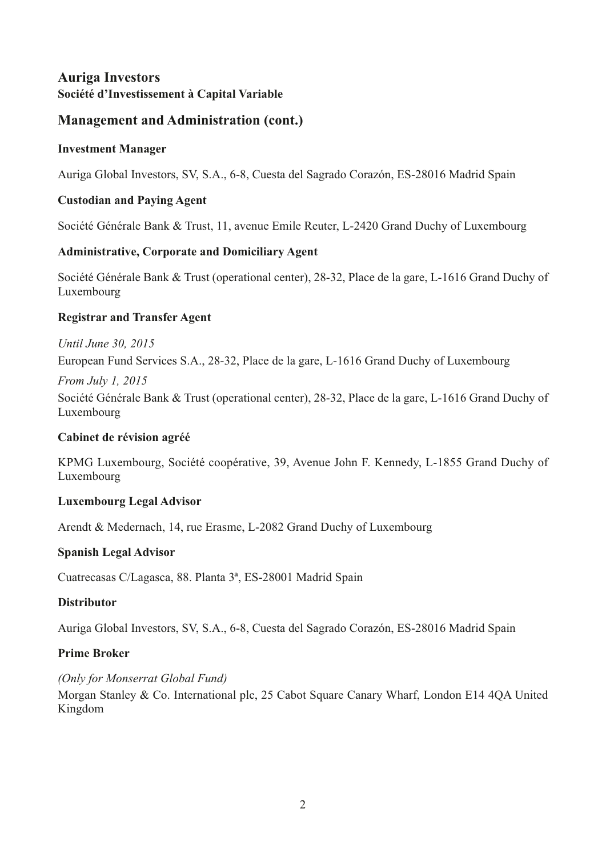# **Management and Administration (cont.)**

### **Investment Manager**

Auriga Global Investors, SV, S.A., 6-8, Cuesta del Sagrado Corazón, ES-28016 Madrid Spain

### **Custodian and Paying Agent**

Société Générale Bank & Trust, 11, avenue Emile Reuter, L-2420 Grand Duchy of Luxembourg

### **Administrative, Corporate and Domiciliary Agent**

Société Générale Bank & Trust (operational center), 28-32, Place de la gare, L-1616 Grand Duchy of Luxembourg

### **Registrar and Transfer Agent**

### *Until June 30, 2015*

European Fund Services S.A., 28-32, Place de la gare, L-1616 Grand Duchy of Luxembourg

#### *From July 1, 2015*

Société Générale Bank & Trust (operational center), 28-32, Place de la gare, L-1616 Grand Duchy of Luxembourg

### **Cabinet de révision agréé**

KPMG Luxembourg, Société coopérative, 39, Avenue John F. Kennedy, L-1855 Grand Duchy of Luxembourg

### **Luxembourg Legal Advisor**

Arendt & Medernach, 14, rue Erasme, L-2082 Grand Duchy of Luxembourg

### **Spanish Legal Advisor**

Cuatrecasas C/Lagasca, 88. Planta 3ª, ES-28001 Madrid Spain

### **Distributor**

Auriga Global Investors, SV, S.A., 6-8, Cuesta del Sagrado Corazón, ES-28016 Madrid Spain

### **Prime Broker**

### *(Only for Monserrat Global Fund)*

Morgan Stanley & Co. International plc, 25 Cabot Square Canary Wharf, London E14 4QA United Kingdom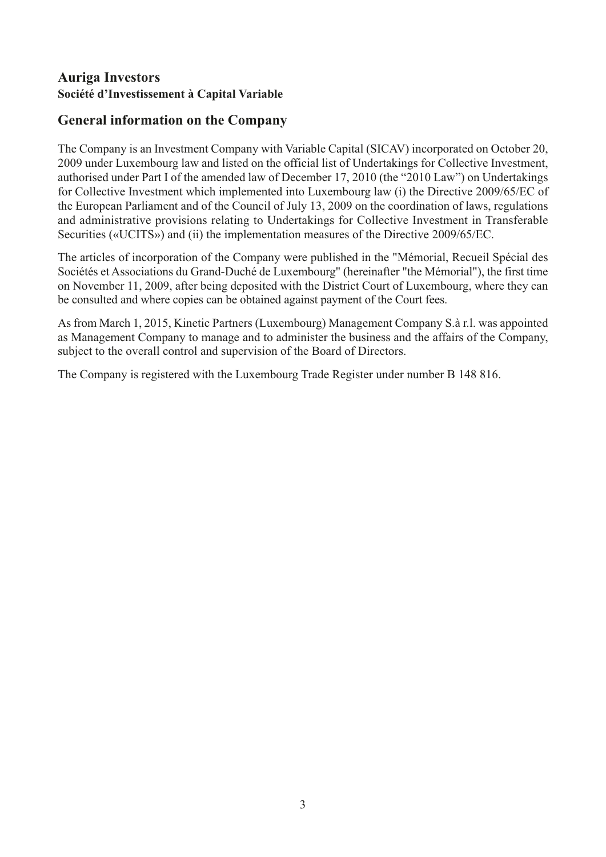# <span id="page-4-0"></span>**General information on the Company**

The Company is an Investment Company with Variable Capital (SICAV) incorporated on October 20, 2009 under Luxembourg law and listed on the official list of Undertakings for Collective Investment, authorised under Part I of the amended law of December 17, 2010 (the "2010 Law") on Undertakings for Collective Investment which implemented into Luxembourg law (i) the Directive 2009/65/EC of the European Parliament and of the Council of July 13, 2009 on the coordination of laws, regulations and administrative provisions relating to Undertakings for Collective Investment in Transferable Securities («UCITS») and (ii) the implementation measures of the Directive 2009/65/EC.

The articles of incorporation of the Company were published in the "Mémorial, Recueil Spécial des Sociétés et Associations du Grand-Duché de Luxembourg" (hereinafter "the Mémorial"), the first time on November 11, 2009, after being deposited with the District Court of Luxembourg, where they can be consulted and where copies can be obtained against payment of the Court fees.

As from March 1, 2015, Kinetic Partners (Luxembourg) Management Company S.à r.l. was appointed as Management Company to manage and to administer the business and the affairs of the Company, subject to the overall control and supervision of the Board of Directors.

The Company is registered with the Luxembourg Trade Register under number B 148 816.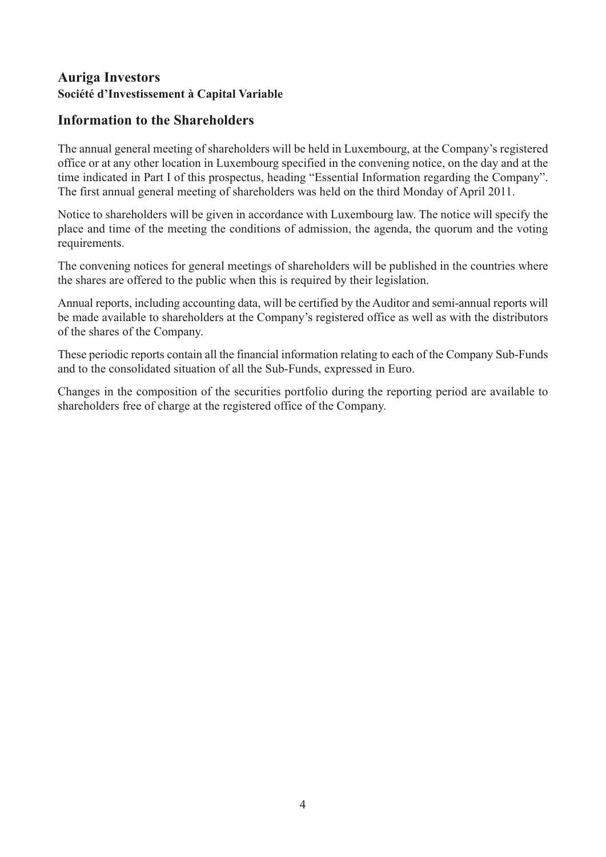### <span id="page-5-0"></span>**Information to the Shareholders**

The annual general meeting of shareholders will be held in Luxembourg, at the Company's registered office or at any other location in Luxembourg specified in the convening notice, on the day and at the time indicated in Part I of this prospectus, heading "Essential Information regarding the Company". The first annual general meeting of shareholders was held on the third Monday of April 2011.

Notice to shareholders will be given in accordance with Luxembourg law. The notice will specify the place and time of the meeting the conditions of admission, the agenda, the quorum and the voting requirements.

The convening notices for general meetings of shareholders will be published in the countries where the shares are offered to the public when this is required by their legislation.

Annual reports, including accounting data, will be certified by the Auditor and semi-annual reports will be made available to shareholders at the Company's registered office as well as with the distributors of the shares of the Company.

These periodic reports contain all the financial information relating to each of the Company Sub-Funds and to the consolidated situation of all the Sub-Funds, expressed in Euro.

Changes in the composition of the securities portfolio during the reporting period are available to shareholders free of charge at the registered office of the Company.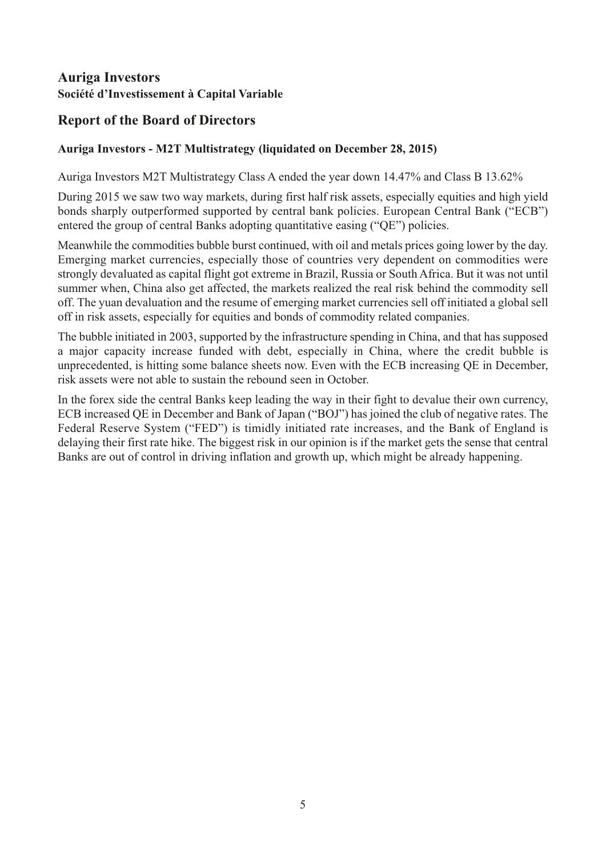# <span id="page-6-0"></span>**Report of the Board of Directors**

### **Auriga Investors - M2T Multistrategy (liquidated on December 28, 2015)**

Auriga Investors M2T Multistrategy Class A ended the year down 14.47% and Class B 13.62%

During 2015 we saw two way markets, during first half risk assets, especially equities and high yield bonds sharply outperformed supported by central bank policies. European Central Bank ("ECB") entered the group of central Banks adopting quantitative easing ("QE") policies.

Meanwhile the commodities bubble burst continued, with oil and metals prices going lower by the day. Emerging market currencies, especially those of countries very dependent on commodities were strongly devaluated as capital flight got extreme in Brazil, Russia or South Africa. But it was not until summer when, China also get affected, the markets realized the real risk behind the commodity sell off. The yuan devaluation and the resume of emerging market currencies sell off initiated a global sell off in risk assets, especially for equities and bonds of commodity related companies.

The bubble initiated in 2003, supported by the infrastructure spending in China, and that has supposed a major capacity increase funded with debt, especially in China, where the credit bubble is unprecedented, is hitting some balance sheets now. Even with the ECB increasing QE in December, risk assets were not able to sustain the rebound seen in October.

In the forex side the central Banks keep leading the way in their fight to devalue their own currency, ECB increased QE in December and Bank of Japan ("BOJ") has joined the club of negative rates. The Federal Reserve System ("FED") is timidly initiated rate increases, and the Bank of England is delaying their first rate hike. The biggest risk in our opinion is if the market gets the sense that central Banks are out of control in driving inflation and growth up, which might be already happening.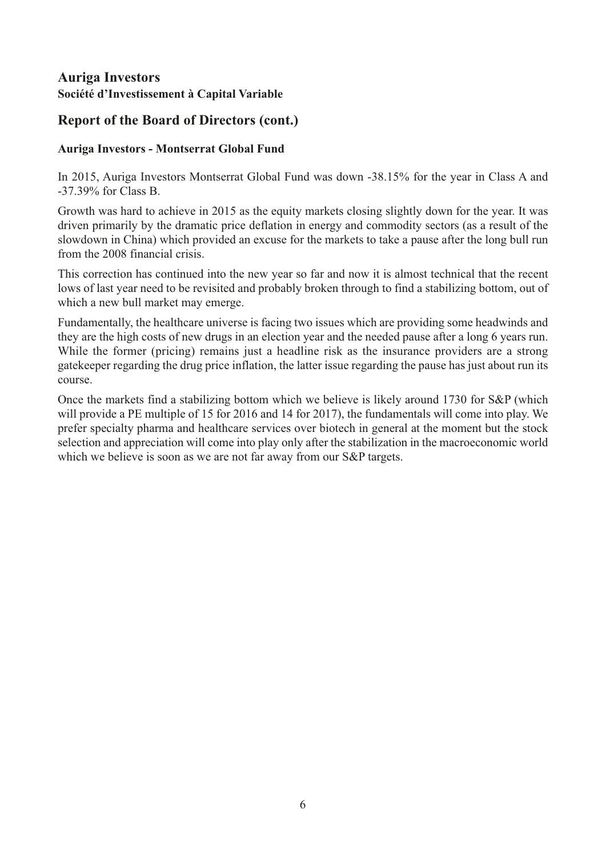# **Report of the Board of Directors (cont.)**

### **Auriga Investors - Montserrat Global Fund**

In 2015, Auriga Investors Montserrat Global Fund was down -38.15% for the year in Class A and -37.39% for Class B.

Growth was hard to achieve in 2015 as the equity markets closing slightly down for the year. It was driven primarily by the dramatic price deflation in energy and commodity sectors (as a result of the slowdown in China) which provided an excuse for the markets to take a pause after the long bull run from the 2008 financial crisis.

This correction has continued into the new year so far and now it is almost technical that the recent lows of last year need to be revisited and probably broken through to find a stabilizing bottom, out of which a new bull market may emerge.

Fundamentally, the healthcare universe is facing two issues which are providing some headwinds and they are the high costs of new drugs in an election year and the needed pause after a long 6 years run. While the former (pricing) remains just a headline risk as the insurance providers are a strong gatekeeper regarding the drug price inflation, the latter issue regarding the pause has just about run its course.

Once the markets find a stabilizing bottom which we believe is likely around 1730 for S&P (which will provide a PE multiple of 15 for 2016 and 14 for 2017), the fundamentals will come into play. We prefer specialty pharma and healthcare services over biotech in general at the moment but the stock selection and appreciation will come into play only after the stabilization in the macroeconomic world which we believe is soon as we are not far away from our S&P targets.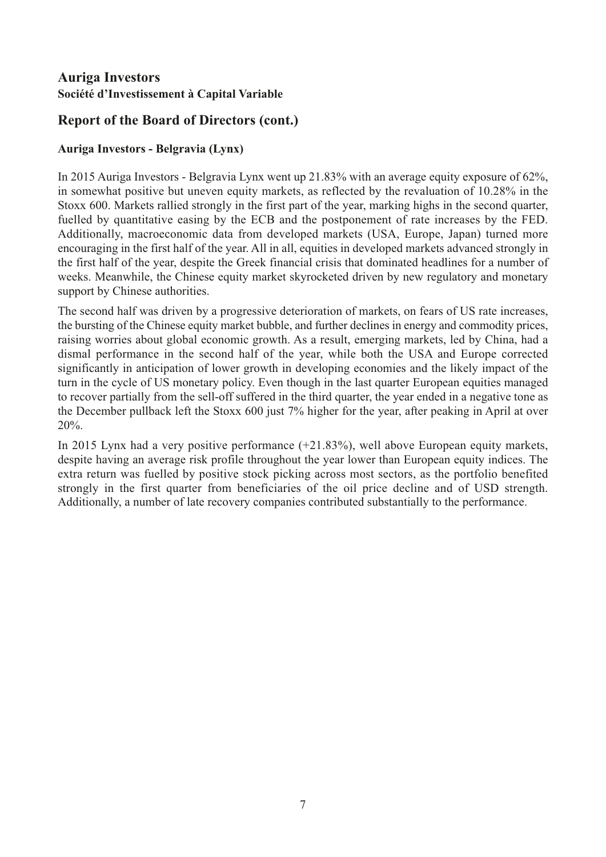# **Report of the Board of Directors (cont.)**

### **Auriga Investors - Belgravia (Lynx)**

In 2015 Auriga Investors - Belgravia Lynx went up 21.83% with an average equity exposure of 62%, in somewhat positive but uneven equity markets, as reflected by the revaluation of 10.28% in the Stoxx 600. Markets rallied strongly in the first part of the year, marking highs in the second quarter, fuelled by quantitative easing by the ECB and the postponement of rate increases by the FED. Additionally, macroeconomic data from developed markets (USA, Europe, Japan) turned more encouraging in the first half of the year. All in all, equities in developed markets advanced strongly in the first half of the year, despite the Greek financial crisis that dominated headlines for a number of weeks. Meanwhile, the Chinese equity market skyrocketed driven by new regulatory and monetary support by Chinese authorities.

The second half was driven by a progressive deterioration of markets, on fears of US rate increases, the bursting of the Chinese equity market bubble, and further declines in energy and commodity prices, raising worries about global economic growth. As a result, emerging markets, led by China, had a dismal performance in the second half of the year, while both the USA and Europe corrected significantly in anticipation of lower growth in developing economies and the likely impact of the turn in the cycle of US monetary policy. Even though in the last quarter European equities managed to recover partially from the sell-off suffered in the third quarter, the year ended in a negative tone as the December pullback left the Stoxx 600 just 7% higher for the year, after peaking in April at over 20%.

In 2015 Lynx had a very positive performance (+21.83%), well above European equity markets, despite having an average risk profile throughout the year lower than European equity indices. The extra return was fuelled by positive stock picking across most sectors, as the portfolio benefited strongly in the first quarter from beneficiaries of the oil price decline and of USD strength. Additionally, a number of late recovery companies contributed substantially to the performance.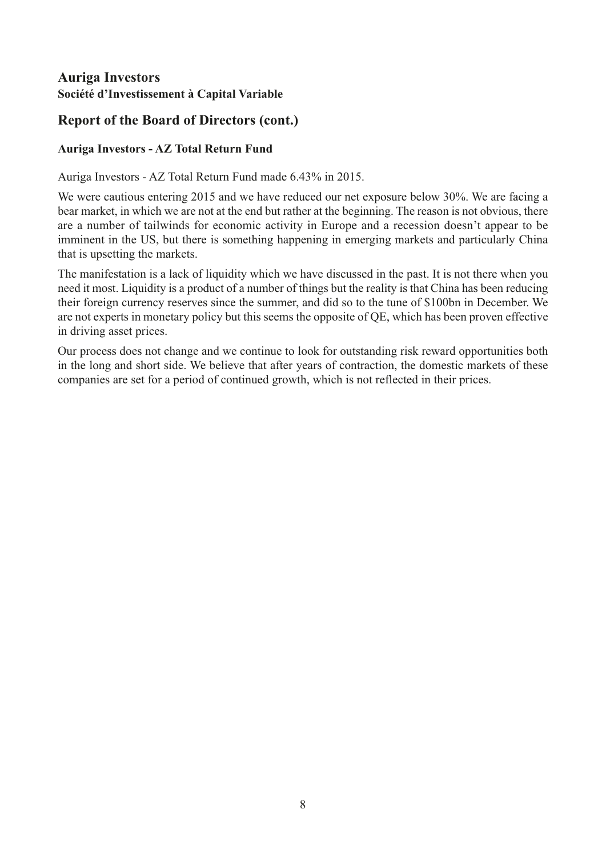# **Report of the Board of Directors (cont.)**

### **Auriga Investors - AZ Total Return Fund**

Auriga Investors - AZ Total Return Fund made 6.43% in 2015.

We were cautious entering 2015 and we have reduced our net exposure below 30%. We are facing a bear market, in which we are not at the end but rather at the beginning. The reason is not obvious, there are a number of tailwinds for economic activity in Europe and a recession doesn't appear to be imminent in the US, but there is something happening in emerging markets and particularly China that is upsetting the markets.

The manifestation is a lack of liquidity which we have discussed in the past. It is not there when you need it most. Liquidity is a product of a number of things but the reality is that China has been reducing their foreign currency reserves since the summer, and did so to the tune of \$100bn in December. We are not experts in monetary policy but this seems the opposite of QE, which has been proven effective in driving asset prices.

Our process does not change and we continue to look for outstanding risk reward opportunities both in the long and short side. We believe that after years of contraction, the domestic markets of these companies are set for a period of continued growth, which is not reflected in their prices.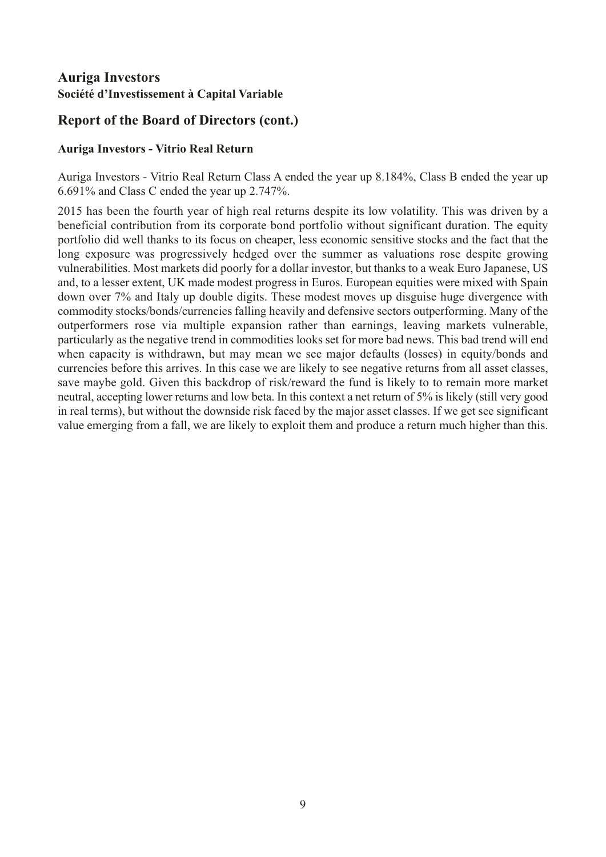# **Report of the Board of Directors (cont.)**

#### **Auriga Investors - Vitrio Real Return**

Auriga Investors - Vitrio Real Return Class A ended the year up 8.184%, Class B ended the year up 6.691% and Class C ended the year up 2.747%.

2015 has been the fourth year of high real returns despite its low volatility. This was driven by a beneficial contribution from its corporate bond portfolio without significant duration. The equity portfolio did well thanks to its focus on cheaper, less economic sensitive stocks and the fact that the long exposure was progressively hedged over the summer as valuations rose despite growing vulnerabilities. Most markets did poorly for a dollar investor, but thanks to a weak Euro Japanese, US and, to a lesser extent, UK made modest progress in Euros. European equities were mixed with Spain down over 7% and Italy up double digits. These modest moves up disguise huge divergence with commodity stocks/bonds/currencies falling heavily and defensive sectors outperforming. Many of the outperformers rose via multiple expansion rather than earnings, leaving markets vulnerable, particularly as the negative trend in commodities looks set for more bad news. This bad trend will end when capacity is withdrawn, but may mean we see major defaults (losses) in equity/bonds and currencies before this arrives. In this case we are likely to see negative returns from all asset classes, save maybe gold. Given this backdrop of risk/reward the fund is likely to to remain more market neutral, accepting lower returns and low beta. In this context a net return of 5% is likely (still very good in real terms), but without the downside risk faced by the major asset classes. If we get see significant value emerging from a fall, we are likely to exploit them and produce a return much higher than this.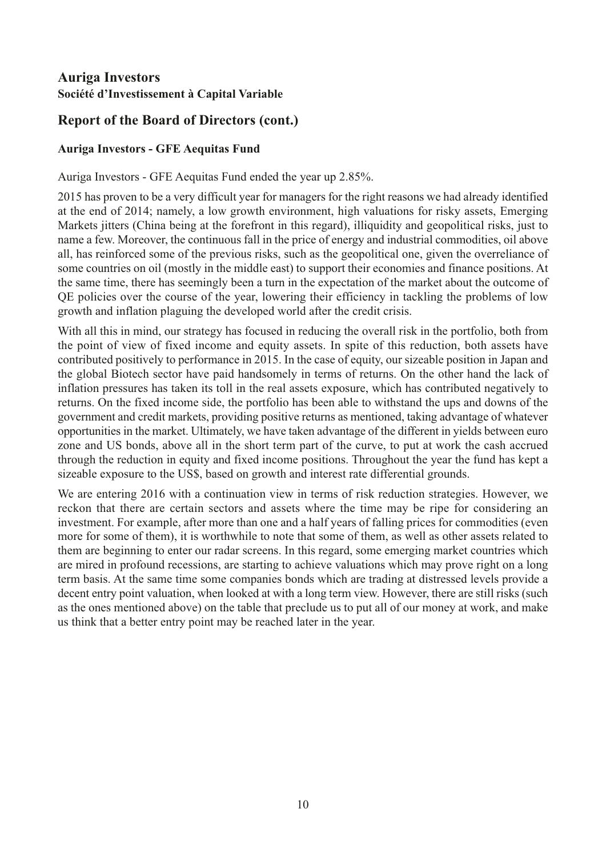# **Report of the Board of Directors (cont.)**

### **Auriga Investors - GFE Aequitas Fund**

Auriga Investors - GFE Aequitas Fund ended the year up 2.85%.

2015 has proven to be a very difficult year for managers for the right reasons we had already identified at the end of 2014; namely, a low growth environment, high valuations for risky assets, Emerging Markets jitters (China being at the forefront in this regard), illiquidity and geopolitical risks, just to name a few. Moreover, the continuous fall in the price of energy and industrial commodities, oil above all, has reinforced some of the previous risks, such as the geopolitical one, given the overreliance of some countries on oil (mostly in the middle east) to support their economies and finance positions. At the same time, there has seemingly been a turn in the expectation of the market about the outcome of QE policies over the course of the year, lowering their efficiency in tackling the problems of low growth and inflation plaguing the developed world after the credit crisis.

With all this in mind, our strategy has focused in reducing the overall risk in the portfolio, both from the point of view of fixed income and equity assets. In spite of this reduction, both assets have contributed positively to performance in 2015. In the case of equity, our sizeable position in Japan and the global Biotech sector have paid handsomely in terms of returns. On the other hand the lack of inflation pressures has taken its toll in the real assets exposure, which has contributed negatively to returns. On the fixed income side, the portfolio has been able to withstand the ups and downs of the government and credit markets, providing positive returns as mentioned, taking advantage of whatever opportunities in the market. Ultimately, we have taken advantage of the different in yields between euro zone and US bonds, above all in the short term part of the curve, to put at work the cash accrued through the reduction in equity and fixed income positions. Throughout the year the fund has kept a sizeable exposure to the US\$, based on growth and interest rate differential grounds.

We are entering 2016 with a continuation view in terms of risk reduction strategies. However, we reckon that there are certain sectors and assets where the time may be ripe for considering an investment. For example, after more than one and a half years of falling prices for commodities (even more for some of them), it is worthwhile to note that some of them, as well as other assets related to them are beginning to enter our radar screens. In this regard, some emerging market countries which are mired in profound recessions, are starting to achieve valuations which may prove right on a long term basis. At the same time some companies bonds which are trading at distressed levels provide a decent entry point valuation, when looked at with a long term view. However, there are still risks (such as the ones mentioned above) on the table that preclude us to put all of our money at work, and make us think that a better entry point may be reached later in the year.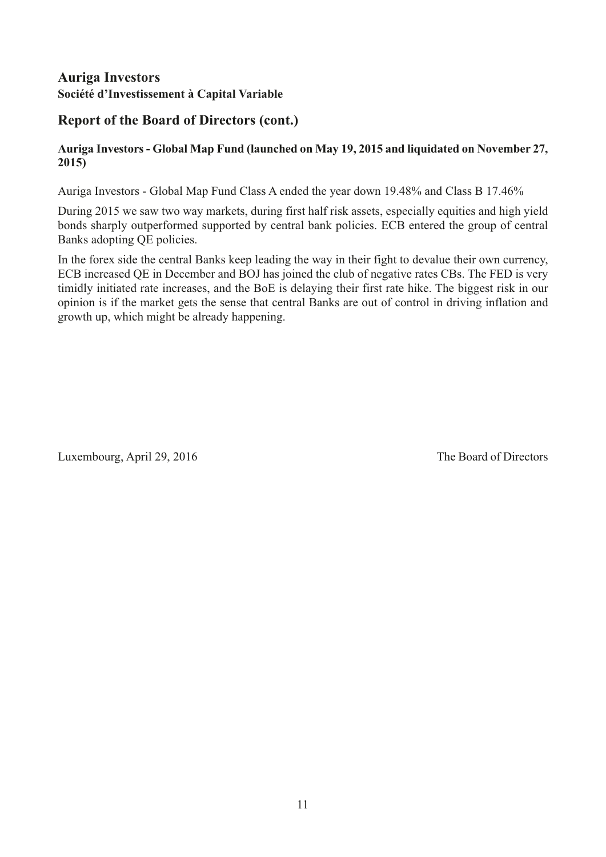# **Report of the Board of Directors (cont.)**

#### **Auriga Investors - Global Map Fund (launched on May 19, 2015 and liquidated on November 27, 2015)**

Auriga Investors - Global Map Fund Class A ended the year down 19.48% and Class B 17.46%

During 2015 we saw two way markets, during first half risk assets, especially equities and high yield bonds sharply outperformed supported by central bank policies. ECB entered the group of central Banks adopting QE policies.

In the forex side the central Banks keep leading the way in their fight to devalue their own currency, ECB increased QE in December and BOJ has joined the club of negative rates CBs. The FED is very timidly initiated rate increases, and the BoE is delaying their first rate hike. The biggest risk in our opinion is if the market gets the sense that central Banks are out of control in driving inflation and growth up, which might be already happening.

Luxembourg, April 29, 2016 The Board of Directors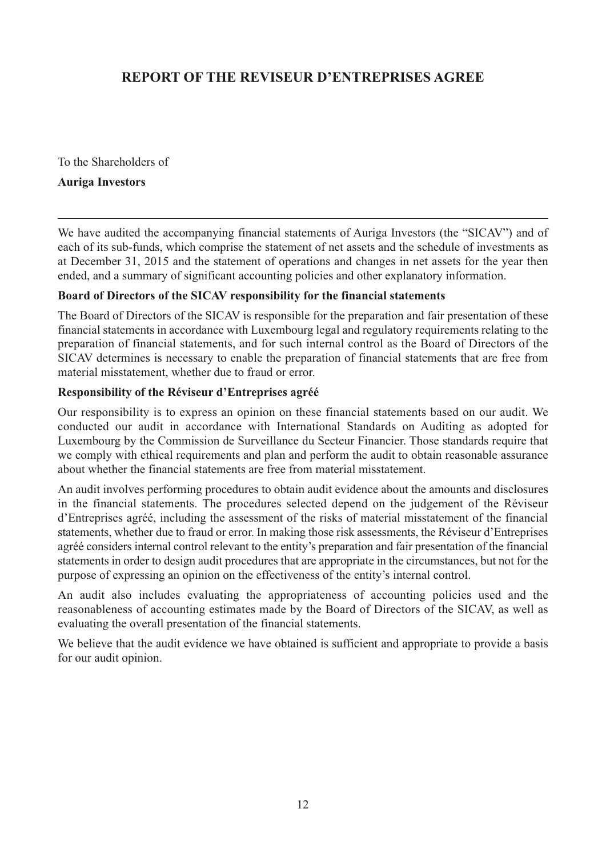# <span id="page-13-0"></span>**REPORT OF THE REVISEUR D'ENTREPRISES AGREE**

To the Shareholders of

#### **Auriga Investors**

We have audited the accompanying financial statements of Auriga Investors (the "SICAV") and of each of its sub-funds, which comprise the statement of net assets and the schedule of investments as at December 31, 2015 and the statement of operations and changes in net assets for the year then ended, and a summary of significant accounting policies and other explanatory information.

#### **Board of Directors of the SICAV responsibility for the financial statements**

The Board of Directors of the SICAV is responsible for the preparation and fair presentation of these financial statements in accordance with Luxembourg legal and regulatory requirements relating to the preparation of financial statements, and for such internal control as the Board of Directors of the SICAV determines is necessary to enable the preparation of financial statements that are free from material misstatement, whether due to fraud or error.

#### **Responsibility of the Réviseur d'Entreprises agréé**

Our responsibility is to express an opinion on these financial statements based on our audit. We conducted our audit in accordance with International Standards on Auditing as adopted for Luxembourg by the Commission de Surveillance du Secteur Financier. Those standards require that we comply with ethical requirements and plan and perform the audit to obtain reasonable assurance about whether the financial statements are free from material misstatement.

An audit involves performing procedures to obtain audit evidence about the amounts and disclosures in the financial statements. The procedures selected depend on the judgement of the Réviseur d'Entreprises agréé, including the assessment of the risks of material misstatement of the financial statements, whether due to fraud or error. In making those risk assessments, the Réviseur d'Entreprises agréé considers internal control relevant to the entity's preparation and fair presentation of the financial statements in order to design audit procedures that are appropriate in the circumstances, but not for the purpose of expressing an opinion on the effectiveness of the entity's internal control.

An audit also includes evaluating the appropriateness of accounting policies used and the reasonableness of accounting estimates made by the Board of Directors of the SICAV, as well as evaluating the overall presentation of the financial statements.

We believe that the audit evidence we have obtained is sufficient and appropriate to provide a basis for our audit opinion.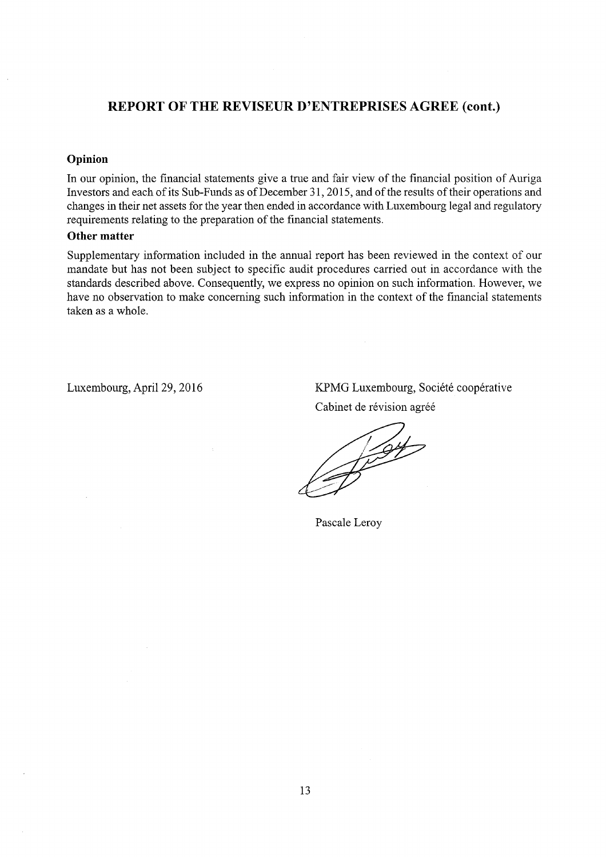#### REPORT OF THE REVISEUR D'ENTREPRISES AGREE (cont.)

#### Opinion

In our opinion, the financial statements give a true and fair view of the financial position of Auriga Investors and each of its Sub-Funds as of December 31, 2015, and of the results of their operations and changes in their net assets for the year then ended in accordance with Luxembourg legal and regulatory requirements relating to the preparation of the financial statements.

#### Other matter

Supplementary information included in the annual report has been reviewed in the context of our mandate but has not been subject to specific audit procedures carried out in accordance with the standards described above. Consequently, we express no opinion on such information. However, we have no observation to make concerning such information in the context of the financial statements taken as a whole.

Luxembourg, April 29, 2016

KPMG Luxembourg, Société coopérative Cabinet de révision agréé

1594

Pascale Leroy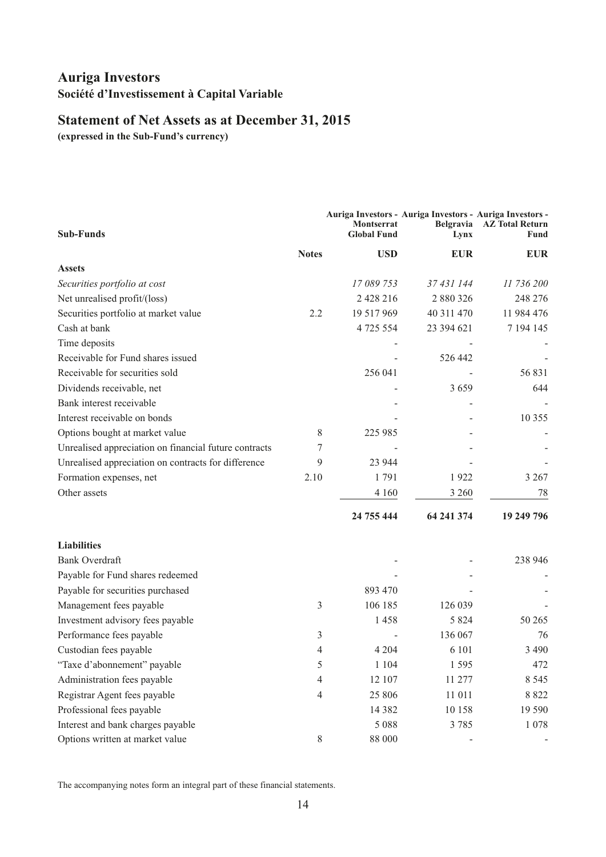# <span id="page-15-0"></span>**Statement of Net Assets as at December 31, 2015**

**(expressed in the Sub-Fund's currency)**

| <b>Sub-Funds</b>                                      |                | <b>Montserrat</b><br><b>Global Fund</b> | Auriga Investors - Auriga Investors - Auriga Investors -<br>Lynx | Belgravia AZ Total Return<br>Fund |
|-------------------------------------------------------|----------------|-----------------------------------------|------------------------------------------------------------------|-----------------------------------|
|                                                       | <b>Notes</b>   | <b>USD</b>                              | <b>EUR</b>                                                       | <b>EUR</b>                        |
| <b>Assets</b>                                         |                |                                         |                                                                  |                                   |
| Securities portfolio at cost                          |                | 17 089 753                              | 37 431 144                                                       | 11 736 200                        |
| Net unrealised profit/(loss)                          |                | 2 4 2 2 1 6                             | 2 880 326                                                        | 248 276                           |
| Securities portfolio at market value                  | 2.2            | 19 517 969                              | 40 311 470                                                       | 11 984 476                        |
| Cash at bank                                          |                | 4 725 554                               | 23 394 621                                                       | 7 194 145                         |
| Time deposits                                         |                |                                         |                                                                  |                                   |
| Receivable for Fund shares issued                     |                |                                         | 526 442                                                          |                                   |
| Receivable for securities sold                        |                | 256 041                                 |                                                                  | 56 831                            |
| Dividends receivable, net                             |                |                                         | 3659                                                             | 644                               |
| Bank interest receivable                              |                |                                         |                                                                  |                                   |
| Interest receivable on bonds                          |                |                                         |                                                                  | 10 355                            |
| Options bought at market value                        | 8              | 225 985                                 |                                                                  |                                   |
| Unrealised appreciation on financial future contracts | 7              |                                         |                                                                  |                                   |
| Unrealised appreciation on contracts for difference   | 9              | 23 944                                  |                                                                  |                                   |
| Formation expenses, net                               | 2.10           | 1791                                    | 1922                                                             | 3 2 6 7                           |
| Other assets                                          |                | 4 1 6 0                                 | 3 2 6 0                                                          | 78                                |
|                                                       |                | 24 755 444                              | 64 241 374                                                       | 19 249 796                        |
| <b>Liabilities</b>                                    |                |                                         |                                                                  |                                   |
| <b>Bank Overdraft</b>                                 |                |                                         |                                                                  | 238 946                           |
| Payable for Fund shares redeemed                      |                |                                         |                                                                  |                                   |
| Payable for securities purchased                      |                | 893 470                                 |                                                                  |                                   |
| Management fees payable                               | 3              | 106 185                                 | 126 039                                                          |                                   |
| Investment advisory fees payable                      |                | 1458                                    | 5 8 2 4                                                          | 50 265                            |
| Performance fees payable                              | 3              |                                         | 136 067                                                          | 76                                |
| Custodian fees payable                                | 4              | 4 2 0 4                                 | 6 101                                                            | 3 4 9 0                           |
| "Taxe d'abonnement" payable                           | 5              | 1 1 0 4                                 | 1 5 9 5                                                          | 472                               |
| Administration fees payable                           | 4              | 12 107                                  | 11 277                                                           | 8 5 4 5                           |
| Registrar Agent fees payable                          | $\overline{4}$ | 25 806                                  | 11 011                                                           | 8 8 2 2                           |
| Professional fees payable                             |                | 14 3 8 2                                | 10 158                                                           | 19 590                            |
| Interest and bank charges payable                     |                | 5 0 8 8                                 | 3785                                                             | 1078                              |
| Options written at market value                       | 8              | 88 000                                  |                                                                  |                                   |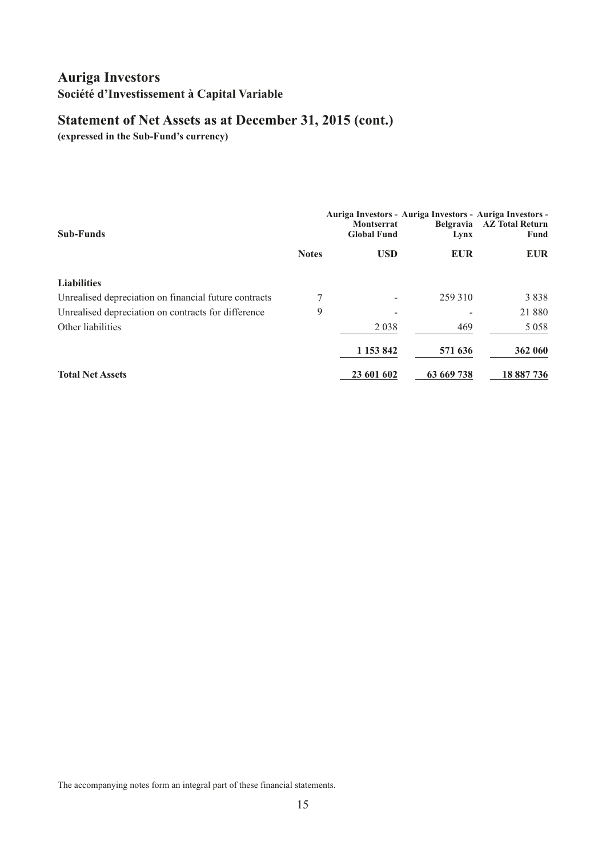# **Statement of Net Assets as at December 31, 2015 (cont.)**

**(expressed in the Sub-Fund's currency)**

| <b>Sub-Funds</b>                                      |              | <b>Montserrat</b><br><b>Global Fund</b> | Auriga Investors - Auriga Investors - Auriga Investors -<br>Lynx | Belgravia AZ Total Return<br>Fund |
|-------------------------------------------------------|--------------|-----------------------------------------|------------------------------------------------------------------|-----------------------------------|
|                                                       | <b>Notes</b> | <b>USD</b>                              | <b>EUR</b>                                                       | <b>EUR</b>                        |
| <b>Liabilities</b>                                    |              |                                         |                                                                  |                                   |
| Unrealised depreciation on financial future contracts | 7            |                                         | 259 310                                                          | 3838                              |
| Unrealised depreciation on contracts for difference   | 9            |                                         |                                                                  | 21 880                            |
| Other liabilities                                     |              | 2 0 3 8                                 | 469                                                              | 5 0 5 8                           |
|                                                       |              | 1 153 842                               | 571 636                                                          | 362 060                           |
| <b>Total Net Assets</b>                               |              | 23 601 602                              | 63 669 738                                                       | 18 887 736                        |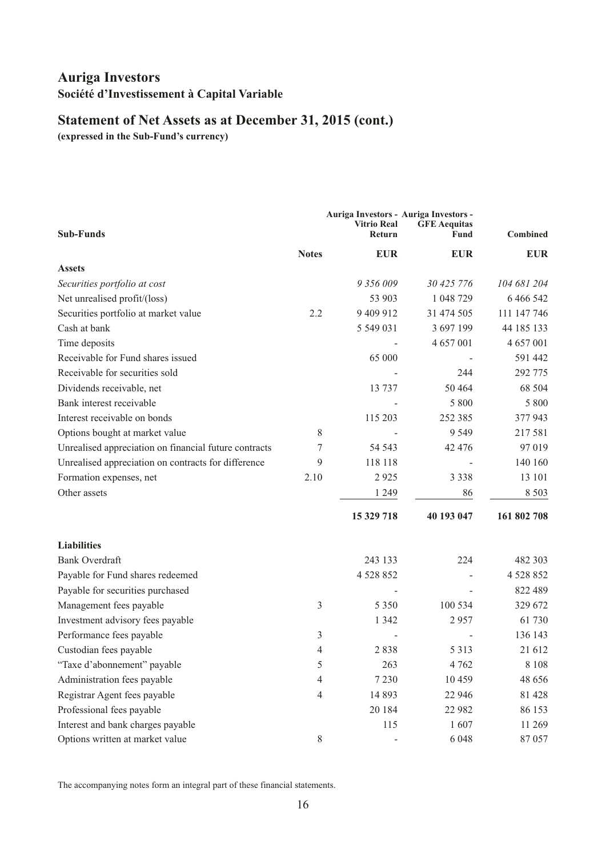# **Statement of Net Assets as at December 31, 2015 (cont.)**

**(expressed in the Sub-Fund's currency)**

|                                                       |              | Auriga Investors - Auriga Investors - |                             |                 |
|-------------------------------------------------------|--------------|---------------------------------------|-----------------------------|-----------------|
| <b>Sub-Funds</b>                                      |              | <b>Vitrio Real</b><br>Return          | <b>GFE Aequitas</b><br>Fund | <b>Combined</b> |
|                                                       | <b>Notes</b> | <b>EUR</b>                            | <b>EUR</b>                  | <b>EUR</b>      |
| <b>Assets</b>                                         |              |                                       |                             |                 |
| Securities portfolio at cost                          |              | 9 356 009                             | 30 425 776                  | 104 681 204     |
| Net unrealised profit/(loss)                          |              | 53 903                                | 1 048 729                   | 6 4 6 5 4 2     |
| Securities portfolio at market value                  | 2.2          | 9 409 912                             | 31 474 505                  | 111 147 746     |
| Cash at bank                                          |              | 5 549 031                             | 3 697 199                   | 44 185 133      |
| Time deposits                                         |              |                                       | 4 657 001                   | 4 657 001       |
| Receivable for Fund shares issued                     |              | 65 000                                |                             | 591 442         |
| Receivable for securities sold                        |              |                                       | 244                         | 292 775         |
| Dividends receivable, net                             |              | 13 737                                | 50 4 64                     | 68 504          |
| Bank interest receivable                              |              |                                       | 5 800                       | 5 800           |
| Interest receivable on bonds                          |              | 115 203                               | 252 385                     | 377 943         |
| Options bought at market value                        | 8            |                                       | 9 5 4 9                     | 217 581         |
| Unrealised appreciation on financial future contracts | 7            | 54 543                                | 42 4 7 6                    | 97 019          |
| Unrealised appreciation on contracts for difference   | 9            | 118 118                               |                             | 140 160         |
| Formation expenses, net                               | 2.10         | 2925                                  | 3 3 3 8                     | 13 101          |
| Other assets                                          |              | 1 2 4 9                               | 86                          | 8 5 0 3         |
|                                                       |              | 15 329 718                            | 40 193 047                  | 161 802 708     |
| <b>Liabilities</b>                                    |              |                                       |                             |                 |
| <b>Bank Overdraft</b>                                 |              | 243 133                               | 224                         | 482 303         |
| Payable for Fund shares redeemed                      |              | 4 5 28 8 5 2                          |                             | 4 5 28 8 5 2    |
| Payable for securities purchased                      |              |                                       |                             | 822 489         |
| Management fees payable                               | 3            | 5 3 5 0                               | 100 534                     | 329 672         |
| Investment advisory fees payable                      |              | 1 3 4 2                               | 2957                        | 61 730          |
| Performance fees payable                              | 3            |                                       |                             | 136 143         |
| Custodian fees payable                                | 4            | 2838                                  | 5 3 1 3                     | 21 612          |
| "Taxe d'abonnement" payable                           | 5            | 263                                   | 4 7 6 2                     | $8\;108$        |
| Administration fees payable                           | 4            | 7 2 3 0                               | 10 459                      | 48 656          |
| Registrar Agent fees payable                          | 4            | 14 8 93                               | 22 946                      | 81 428          |
| Professional fees payable                             |              | 20 184                                | 22 982                      | 86 153          |
| Interest and bank charges payable                     |              | 115                                   | 1607                        | 11 269          |
| Options written at market value                       | $8\,$        |                                       | 6 0 4 8                     | 87 057          |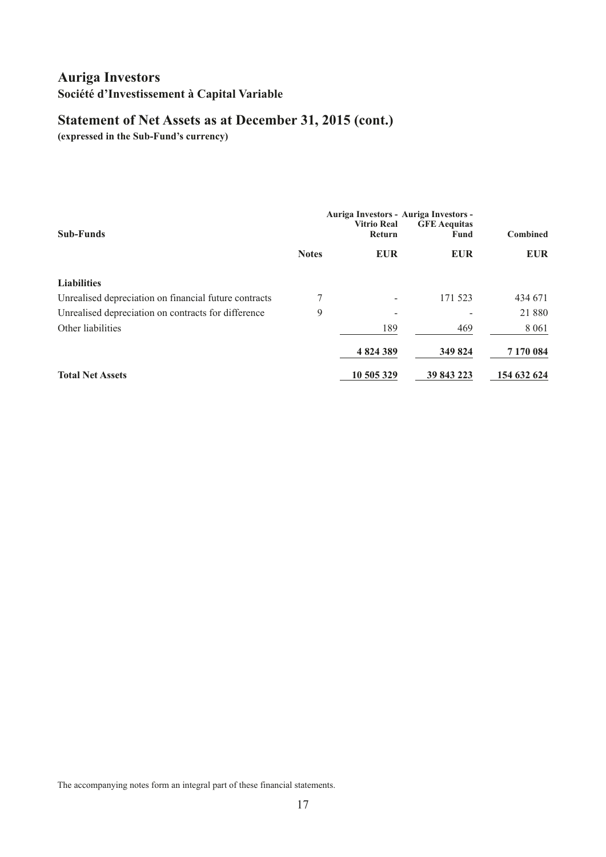# **Statement of Net Assets as at December 31, 2015 (cont.)**

**(expressed in the Sub-Fund's currency)**

|                                                       |              | Auriga Investors - Auriga Investors - |                             |                 |
|-------------------------------------------------------|--------------|---------------------------------------|-----------------------------|-----------------|
| <b>Sub-Funds</b>                                      |              | <b>Vitrio Real</b><br>Return          | <b>GFE Aequitas</b><br>Fund | <b>Combined</b> |
|                                                       | <b>Notes</b> | <b>EUR</b>                            | <b>EUR</b>                  | <b>EUR</b>      |
| <b>Liabilities</b>                                    |              |                                       |                             |                 |
| Unrealised depreciation on financial future contracts | 7            |                                       | 171 523                     | 434 671         |
| Unrealised depreciation on contracts for difference   | 9            |                                       |                             | 21 880          |
| Other liabilities                                     |              | 189                                   | 469                         | 8 0 6 1         |
|                                                       |              | 4824389                               | 349 824                     | 7 170 084       |
| <b>Total Net Assets</b>                               |              | 10 505 329                            | 39 843 223                  | 154 632 624     |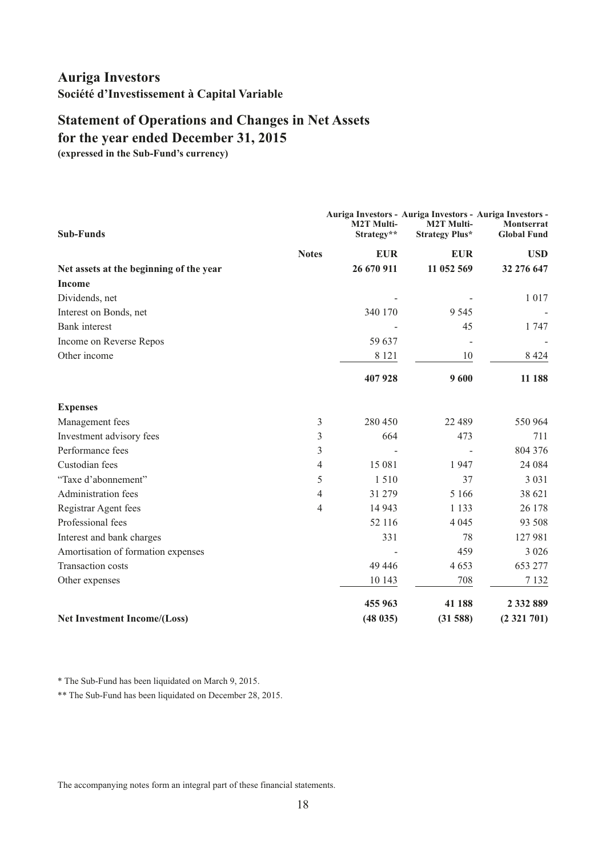# <span id="page-19-0"></span>**for the year ended December 31, 2015 Statement of Operations and Changes in Net Assets**

**(expressed in the Sub-Fund's currency)**

| <b>Sub-Funds</b>                        |   | <b>M2T Multi-</b><br>Strategy** | Auriga Investors - Auriga Investors - Auriga Investors -<br><b>M2T Multi-</b><br><b>Strategy Plus*</b> | Montserrat<br><b>Global Fund</b> |
|-----------------------------------------|---|---------------------------------|--------------------------------------------------------------------------------------------------------|----------------------------------|
| <b>Notes</b>                            |   | <b>EUR</b>                      | <b>EUR</b>                                                                                             | <b>USD</b>                       |
| Net assets at the beginning of the year |   | 26 670 911                      | 11 052 569                                                                                             | 32 276 647                       |
| <b>Income</b>                           |   |                                 |                                                                                                        |                                  |
| Dividends, net                          |   |                                 |                                                                                                        | 1017                             |
| Interest on Bonds, net                  |   | 340 170                         | 9 5 4 5                                                                                                |                                  |
| <b>Bank</b> interest                    |   |                                 | 45                                                                                                     | 1 747                            |
| Income on Reverse Repos                 |   | 59 637                          |                                                                                                        |                                  |
| Other income                            |   | 8 1 2 1                         | 10                                                                                                     | 8 4 2 4                          |
|                                         |   | 407928                          | 9600                                                                                                   | 11 188                           |
| <b>Expenses</b>                         |   |                                 |                                                                                                        |                                  |
| Management fees                         | 3 | 280 450                         | 22 489                                                                                                 | 550 964                          |
| Investment advisory fees                | 3 | 664                             | 473                                                                                                    | 711                              |
| Performance fees                        | 3 |                                 |                                                                                                        | 804 376                          |
| Custodian fees                          | 4 | 15 081                          | 1947                                                                                                   | 24 084                           |
| "Taxe d'abonnement"                     | 5 | 1510                            | 37                                                                                                     | 3 0 3 1                          |
| Administration fees                     | 4 | 31 279                          | 5 1 6 6                                                                                                | 38 621                           |
| Registrar Agent fees                    | 4 | 14 943                          | 1 1 3 3                                                                                                | 26 178                           |
| Professional fees                       |   | 52 116                          | 4 0 4 5                                                                                                | 93 508                           |
| Interest and bank charges               |   | 331                             | 78                                                                                                     | 127 981                          |
| Amortisation of formation expenses      |   |                                 | 459                                                                                                    | 3 0 2 6                          |
| Transaction costs                       |   | 49 44 6                         | 4653                                                                                                   | 653 277                          |
| Other expenses                          |   | 10 143                          | 708                                                                                                    | 7 1 3 2                          |
|                                         |   | 455 963                         | 41 188                                                                                                 | 2 3 3 2 8 8 9                    |
| Net Investment Income/(Loss)            |   | (48035)                         | (31588)                                                                                                | (2321701)                        |

\* The Sub-Fund has been liquidated on March 9, 2015.

\*\* The Sub-Fund has been liquidated on December 28, 2015.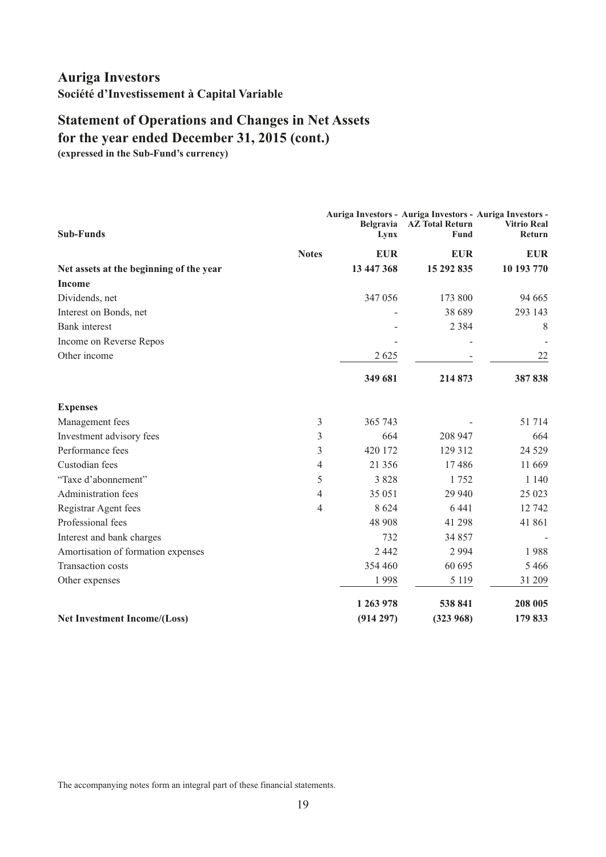# **Statement of Operations and Changes in Net Assets for the year ended December 31, 2015 (cont.)**

**(expressed in the Sub-Fund's currency)**

| <b>Sub-Funds</b>                        | Belgravia<br>Lynx | Auriga Investors - Auriga Investors - Auriga Investors -<br><b>AZ Total Return</b><br>Fund | <b>Vitrio Real</b><br><b>Return</b> |
|-----------------------------------------|-------------------|--------------------------------------------------------------------------------------------|-------------------------------------|
| <b>Notes</b>                            | <b>EUR</b>        | <b>EUR</b>                                                                                 | <b>EUR</b>                          |
| Net assets at the beginning of the year | 13 447 368        | 15 292 835                                                                                 | 10 193 770                          |
| <b>Income</b>                           |                   |                                                                                            |                                     |
| Dividends, net                          | 347 056           | 173 800                                                                                    | 94 665                              |
| Interest on Bonds, net                  |                   | 38 689                                                                                     | 293 143                             |
| <b>Bank</b> interest                    |                   | 2 3 8 4                                                                                    | 8                                   |
| Income on Reverse Repos                 |                   |                                                                                            |                                     |
| Other income                            | 2 6 2 5           |                                                                                            | 22                                  |
|                                         | 349 681           | 214 873                                                                                    | 387838                              |
| <b>Expenses</b>                         |                   |                                                                                            |                                     |
| Management fees                         | 3<br>365 743      |                                                                                            | 51 714                              |
| Investment advisory fees                | 3<br>664          | 208 947                                                                                    | 664                                 |
| Performance fees                        | 3<br>420 172      | 129 312                                                                                    | 24 5 29                             |
| Custodian fees                          | 4<br>21 3 5 6     | 17486                                                                                      | 11 669                              |
| "Taxe d'abonnement"                     | 5<br>3 8 2 8      | 1752                                                                                       | 1 1 4 0                             |
| Administration fees                     | 4<br>35 051       | 29 940                                                                                     | 25 023                              |
| Registrar Agent fees                    | 8 6 2 4<br>4      | 6441                                                                                       | 12 742                              |
| Professional fees                       | 48 908            | 41 298                                                                                     | 41 861                              |
| Interest and bank charges               | 732               | 34 857                                                                                     |                                     |
| Amortisation of formation expenses      | 2 4 4 2           | 2 9 9 4                                                                                    | 1988                                |
| <b>Transaction costs</b>                | 354 460           | 60 695                                                                                     | 5466                                |
| Other expenses                          | 1998              | 5 1 1 9                                                                                    | 31 209                              |
|                                         | 1 263 978         | 538 841                                                                                    | 208 005                             |
| <b>Net Investment Income/(Loss)</b>     | (914 297)         | (323968)                                                                                   | 179 833                             |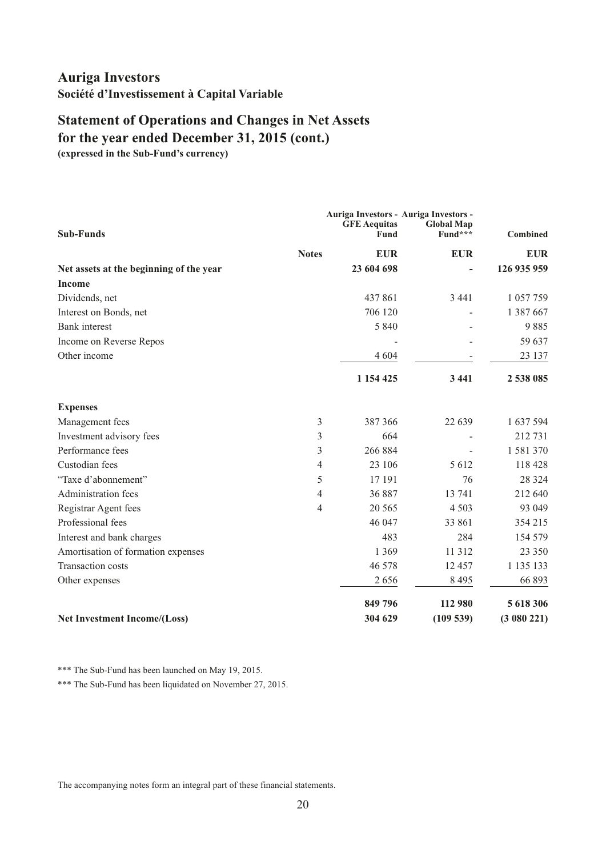# **Statement of Operations and Changes in Net Assets for the year ended December 31, 2015 (cont.)**

**(expressed in the Sub-Fund's currency)**

| <b>Sub-Funds</b>                        |              | <b>GFE Aequitas</b><br>Fund | Auriga Investors - Auriga Investors -<br><b>Global Map</b><br>Fund*** | <b>Combined</b> |
|-----------------------------------------|--------------|-----------------------------|-----------------------------------------------------------------------|-----------------|
|                                         | <b>Notes</b> | <b>EUR</b>                  | <b>EUR</b>                                                            | <b>EUR</b>      |
| Net assets at the beginning of the year |              | 23 604 698                  |                                                                       | 126 935 959     |
| <b>Income</b>                           |              |                             |                                                                       |                 |
| Dividends, net                          |              | 437861                      | 3 4 4 1                                                               | 1 057 759       |
| Interest on Bonds, net                  |              | 706 120                     |                                                                       | 1 387 667       |
| <b>Bank</b> interest                    |              | 5 8 4 0                     |                                                                       | 9885            |
| Income on Reverse Repos                 |              |                             |                                                                       | 59 637          |
| Other income                            |              | 4 6 0 4                     |                                                                       | 23 137          |
|                                         |              | 1 1 54 4 25                 | 3 4 4 1                                                               | 2 538 085       |
| <b>Expenses</b>                         |              |                             |                                                                       |                 |
| Management fees                         | 3            | 387 366                     | 22 639                                                                | 1 637 594       |
| Investment advisory fees                | 3            | 664                         |                                                                       | 212 731         |
| Performance fees                        | 3            | 266 884                     |                                                                       | 1 581 370       |
| Custodian fees                          | 4            | 23 106                      | 5 6 12                                                                | 118 428         |
| "Taxe d'abonnement"                     | 5            | 17 191                      | 76                                                                    | 28 3 24         |
| Administration fees                     | 4            | 36 887                      | 13 741                                                                | 212 640         |
| Registrar Agent fees                    | 4            | 20 5 65                     | 4 5 0 3                                                               | 93 049          |
| Professional fees                       |              | 46 047                      | 33 861                                                                | 354 215         |
| Interest and bank charges               |              | 483                         | 284                                                                   | 154 579         |
| Amortisation of formation expenses      |              | 1 3 6 9                     | 11 3 12                                                               | 23 350          |
| Transaction costs                       |              | 46 578                      | 12 457                                                                | 1 135 133       |
| Other expenses                          |              | 2656                        | 8 4 9 5                                                               | 66 893          |
|                                         |              | 849 796                     | 112 980                                                               | 5 618 306       |
| <b>Net Investment Income/(Loss)</b>     |              | 304 629                     | (109539)                                                              | (3080221)       |

\*\*\* The Sub-Fund has been launched on May 19, 2015.

\*\*\* The Sub-Fund has been liquidated on November 27, 2015.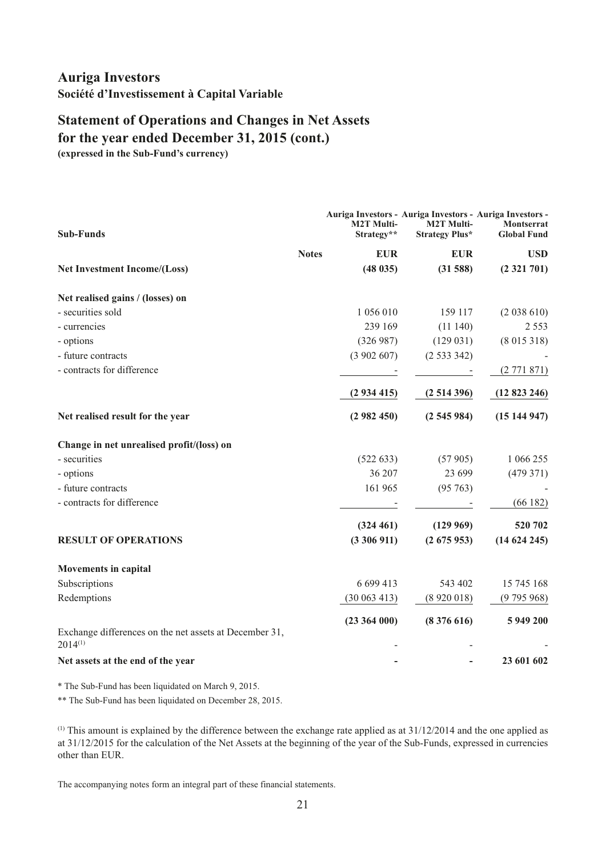# **for the year ended December 31, 2015 (cont.) Statement of Operations and Changes in Net Assets**

**(expressed in the Sub-Fund's currency)**

| <b>Sub-Funds</b>                                                       | <b>M2T Multi-</b><br>Strategy** | Auriga Investors - Auriga Investors - Auriga Investors -<br><b>M2T Multi-</b><br><b>Strategy Plus*</b> | <b>Montserrat</b><br><b>Global Fund</b> |
|------------------------------------------------------------------------|---------------------------------|--------------------------------------------------------------------------------------------------------|-----------------------------------------|
| <b>Notes</b>                                                           | <b>EUR</b>                      | <b>EUR</b>                                                                                             | <b>USD</b>                              |
| Net Investment Income/(Loss)                                           | (48035)                         | (31588)                                                                                                | (2321701)                               |
| Net realised gains / (losses) on                                       |                                 |                                                                                                        |                                         |
| - securities sold                                                      | 1 056 010                       | 159 117                                                                                                | (2 038 610)                             |
| - currencies                                                           | 239 169                         | (11140)                                                                                                | 2 5 5 3                                 |
| - options                                                              | (326987)                        | (129031)                                                                                               | (8015318)                               |
| - future contracts                                                     | (3902607)                       | (2533342)                                                                                              |                                         |
| - contracts for difference                                             |                                 |                                                                                                        | (2771871)                               |
|                                                                        | (2934415)                       | (2514396)                                                                                              | (12823246)                              |
| Net realised result for the year                                       | (2982450)                       | (2545984)                                                                                              | (15144947)                              |
| Change in net unrealised profit/(loss) on                              |                                 |                                                                                                        |                                         |
| - securities                                                           | (522 633)                       | (57905)                                                                                                | 1 066 255                               |
| - options                                                              | 36 207                          | 23 699                                                                                                 | (479371)                                |
| - future contracts                                                     | 161 965                         | (95763)                                                                                                |                                         |
| - contracts for difference                                             |                                 |                                                                                                        | (66182)                                 |
|                                                                        | (324 461)                       | (129969)                                                                                               | 520 702                                 |
| <b>RESULT OF OPERATIONS</b>                                            | (3306911)                       | (2675953)                                                                                              | (14624245)                              |
| <b>Movements in capital</b>                                            |                                 |                                                                                                        |                                         |
| Subscriptions                                                          | 6 699 413                       | 543 402                                                                                                | 15 745 168                              |
| Redemptions                                                            | (30063413)                      | (8920018)                                                                                              | (9795968)                               |
| Exchange differences on the net assets at December 31,<br>$2014^{(1)}$ | $(23\ 364\ 000)$                | (8376616)                                                                                              | 5 949 200                               |
| Net assets at the end of the year                                      |                                 |                                                                                                        | 23 601 602                              |

\* The Sub-Fund has been liquidated on March 9, 2015.

\*\* The Sub-Fund has been liquidated on December 28, 2015.

 $^{(1)}$  This amount is explained by the difference between the exchange rate applied as at 31/12/2014 and the one applied as at 31/12/2015 for the calculation of the Net Assets at the beginning of the year of the Sub-Funds, expressed in currencies other than EUR.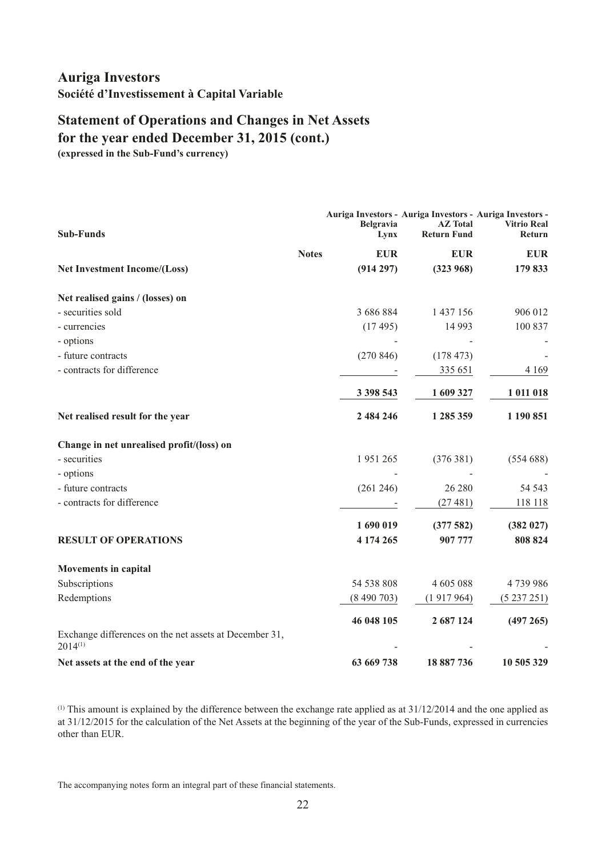# **Statement of Operations and Changes in Net Assets for the year ended December 31, 2015 (cont.)**

**(expressed in the Sub-Fund's currency)**

| <b>Sub-Funds</b>                                                       | <b>Belgravia</b><br>Lynx | Auriga Investors - Auriga Investors - Auriga Investors -<br><b>AZ</b> Total<br><b>Return Fund</b> | <b>Vitrio Real</b><br><b>Return</b> |
|------------------------------------------------------------------------|--------------------------|---------------------------------------------------------------------------------------------------|-------------------------------------|
| <b>Notes</b>                                                           | <b>EUR</b>               | <b>EUR</b>                                                                                        | <b>EUR</b>                          |
| <b>Net Investment Income/(Loss)</b>                                    | (914 297)                | (323968)                                                                                          | 179 833                             |
| Net realised gains / (losses) on                                       |                          |                                                                                                   |                                     |
| - securities sold                                                      | 3 686 884                | 1 437 156                                                                                         | 906 012                             |
| - currencies                                                           | (17495)                  | 14 9 93                                                                                           | 100 837                             |
| - options                                                              |                          |                                                                                                   |                                     |
| - future contracts                                                     | (270846)                 | (178473)                                                                                          |                                     |
| - contracts for difference                                             |                          | 335 651                                                                                           | 4 1 6 9                             |
|                                                                        | 3 398 543                | 1 609 327                                                                                         | 1 011 018                           |
| Net realised result for the year                                       | 2 484 246                | 1 285 359                                                                                         | 1 190 851                           |
| Change in net unrealised profit/(loss) on                              |                          |                                                                                                   |                                     |
| - securities                                                           | 1951265                  | (376381)                                                                                          | (554688)                            |
| - options                                                              |                          |                                                                                                   |                                     |
| - future contracts                                                     | (261 246)                | 26 280                                                                                            | 54 543                              |
| - contracts for difference                                             |                          | (27481)                                                                                           | 118 118                             |
|                                                                        | 1 690 019                | (377582)                                                                                          | (382 027)                           |
| <b>RESULT OF OPERATIONS</b>                                            | 4 174 265                | 907 777                                                                                           | 808 824                             |
| <b>Movements in capital</b>                                            |                          |                                                                                                   |                                     |
| Subscriptions                                                          | 54 538 808               | 4 605 088                                                                                         | 4739986                             |
| Redemptions                                                            | (8490703)                | (1917964)                                                                                         | (5237251)                           |
|                                                                        | 46 048 105               | 2 687 124                                                                                         | (497 265)                           |
| Exchange differences on the net assets at December 31,<br>$2014^{(1)}$ |                          |                                                                                                   |                                     |
| Net assets at the end of the year                                      | 63 669 738               | 18 887 736                                                                                        | 10 505 329                          |

(1) This amount is explained by the difference between the exchange rate applied as at 31/12/2014 and the one applied as at 31/12/2015 for the calculation of the Net Assets at the beginning of the year of the Sub-Funds, expressed in currencies other than EUR.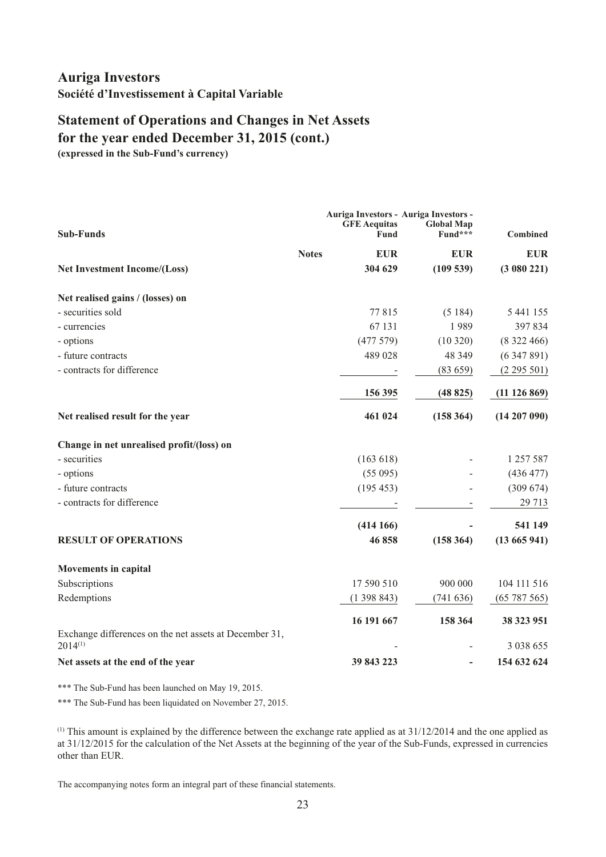# **Statement of Operations and Changes in Net Assets for the year ended December 31, 2015 (cont.)**

**(expressed in the Sub-Fund's currency)**

|                                                                        |                             | Auriga Investors - Auriga Investors - |                  |  |  |
|------------------------------------------------------------------------|-----------------------------|---------------------------------------|------------------|--|--|
| <b>Sub-Funds</b>                                                       | <b>GFE Aequitas</b><br>Fund | <b>Global Map</b><br>Fund***          | <b>Combined</b>  |  |  |
| <b>Notes</b>                                                           | <b>EUR</b>                  | <b>EUR</b>                            | <b>EUR</b>       |  |  |
| <b>Net Investment Income/(Loss)</b>                                    | 304 629                     | (109539)                              | (3080221)        |  |  |
| Net realised gains / (losses) on                                       |                             |                                       |                  |  |  |
| - securities sold                                                      | 77815                       | (5184)                                | 5 441 155        |  |  |
| - currencies                                                           | 67 131                      | 1989                                  | 397834           |  |  |
| - options                                                              | (477579)                    | (10320)                               | (8322466)        |  |  |
| - future contracts                                                     | 489 028                     | 48 3 49                               | (6347891)        |  |  |
| - contracts for difference                                             |                             | (83659)                               | (2295501)        |  |  |
|                                                                        | 156 395                     | (48825)                               | (11126869)       |  |  |
| Net realised result for the year                                       | 461 024                     | (158364)                              | $(14\ 207\ 090)$ |  |  |
| Change in net unrealised profit/(loss) on                              |                             |                                       |                  |  |  |
| - securities                                                           | (163 618)                   |                                       | 1 257 587        |  |  |
| - options                                                              | (55095)                     |                                       | (436 477)        |  |  |
| - future contracts                                                     | (195 453)                   |                                       | (309 674)        |  |  |
| - contracts for difference                                             |                             |                                       | 29 713           |  |  |
|                                                                        | (414166)                    |                                       | 541 149          |  |  |
| <b>RESULT OF OPERATIONS</b>                                            | 46858                       | (158364)                              | (13665941)       |  |  |
| <b>Movements in capital</b>                                            |                             |                                       |                  |  |  |
| Subscriptions                                                          | 17 590 510                  | 900 000                               | 104 111 516      |  |  |
| Redemptions                                                            | (1398843)                   | (741636)                              | (65787565)       |  |  |
|                                                                        | 16 191 667                  | 158 364                               | 38 323 951       |  |  |
| Exchange differences on the net assets at December 31,<br>$2014^{(1)}$ |                             |                                       | 3 0 38 6 55      |  |  |
| Net assets at the end of the year                                      | 39 843 223                  |                                       | 154 632 624      |  |  |

\*\*\* The Sub-Fund has been launched on May 19, 2015.

\*\*\* The Sub-Fund has been liquidated on November 27, 2015.

 $(1)$  This amount is explained by the difference between the exchange rate applied as at  $31/12/2014$  and the one applied as at 31/12/2015 for the calculation of the Net Assets at the beginning of the year of the Sub-Funds, expressed in currencies other than EUR.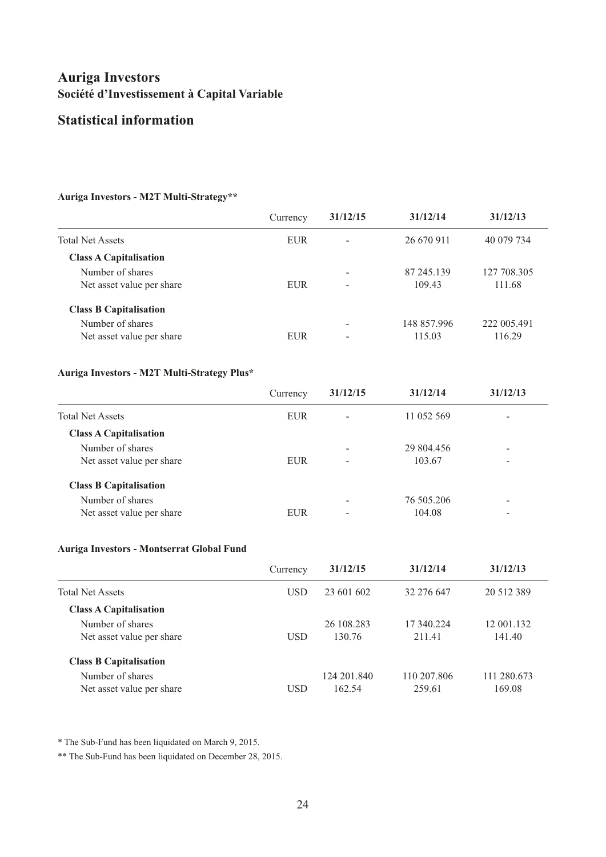### **Statistical information**

#### **Auriga Investors - M2T Multi-Strategy\*\***

|                               | Currency   | 31/12/15 | 31/12/14    | 31/12/13    |
|-------------------------------|------------|----------|-------------|-------------|
| <b>Total Net Assets</b>       | <b>EUR</b> |          | 26 670 911  | 40 079 734  |
| <b>Class A Capitalisation</b> |            |          |             |             |
| Number of shares              |            |          | 87 245.139  | 127 708.305 |
| Net asset value per share     | <b>EUR</b> | -        | 109.43      | 111.68      |
| <b>Class B Capitalisation</b> |            |          |             |             |
| Number of shares              |            |          | 148 857.996 | 222 005.491 |
| Net asset value per share     | <b>EUR</b> | -        | 115.03      | 116.29      |

#### **Auriga Investors - M2T Multi-Strategy Plus\***

|                               | Currency   | 31/12/15        | 31/12/14   | 31/12/13                 |
|-------------------------------|------------|-----------------|------------|--------------------------|
| <b>Total Net Assets</b>       | <b>EUR</b> | $\qquad \qquad$ | 11 052 569 | -                        |
| <b>Class A Capitalisation</b> |            |                 |            |                          |
| Number of shares              |            |                 | 29 804.456 | $\overline{\phantom{0}}$ |
| Net asset value per share     | <b>EUR</b> | $\qquad \qquad$ | 103.67     | -                        |
| <b>Class B Capitalisation</b> |            |                 |            |                          |
| Number of shares              |            |                 | 76 505.206 | $\overline{\phantom{0}}$ |
| Net asset value per share     | <b>EUR</b> |                 | 104.08     | -                        |

#### **Auriga Investors - Montserrat Global Fund**

|                               | Currency   | 31/12/15    | 31/12/14    | 31/12/13    |
|-------------------------------|------------|-------------|-------------|-------------|
| <b>Total Net Assets</b>       | <b>USD</b> | 23 601 602  | 32 276 647  | 20 512 389  |
| <b>Class A Capitalisation</b> |            |             |             |             |
| Number of shares              |            | 26 108.283  | 17 340.224  | 12 001.132  |
| Net asset value per share     | <b>USD</b> | 130.76      | 211.41      | 141.40      |
| <b>Class B Capitalisation</b> |            |             |             |             |
| Number of shares              |            | 124 201.840 | 110 207.806 | 111 280.673 |
| Net asset value per share     | USD        | 162.54      | 259.61      | 169.08      |

\* The Sub-Fund has been liquidated on March 9, 2015.

\*\* The Sub-Fund has been liquidated on December 28, 2015.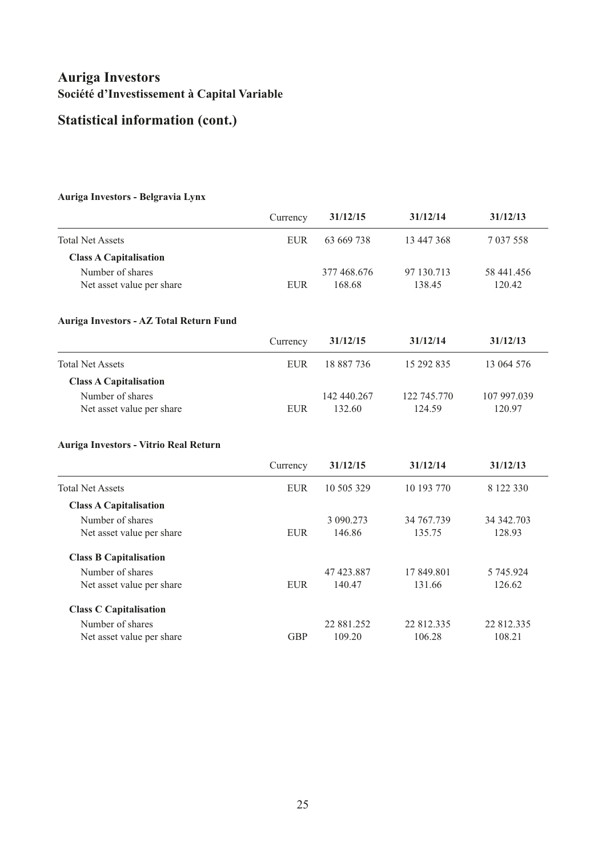# **Statistical information (cont.)**

#### **Auriga Investors - Belgravia Lynx**

|                                         | Currency   | 31/12/15    | 31/12/14          | 31/12/13          |  |
|-----------------------------------------|------------|-------------|-------------------|-------------------|--|
| <b>Total Net Assets</b>                 | <b>EUR</b> | 63 669 738  | 13 447 368        | 7 037 558         |  |
| <b>Class A Capitalisation</b>           |            |             |                   |                   |  |
| Number of shares                        |            | 377 468.676 | 97 130.713        | 58 441.456        |  |
| Net asset value per share               | <b>EUR</b> | 168.68      | 138.45            | 120.42            |  |
| Auriga Investors - AZ Total Return Fund |            |             |                   |                   |  |
|                                         | Currency   | 31/12/15    | 31/12/14          | 31/12/13          |  |
| <b>Total Net Assets</b>                 | <b>EUR</b> | 18 887 736  | 15 292 835        | 13 064 576        |  |
| <b>Class A Capitalisation</b>           |            |             |                   |                   |  |
| Number of shares                        |            | 142 440.267 | 122 745.770       | 107 997.039       |  |
| Net asset value per share               | <b>EUR</b> | 132.60      | 124.59            | 120.97            |  |
| Auriga Investors - Vitrio Real Return   |            |             |                   |                   |  |
|                                         | Currency   | 31/12/15    | 31/12/14          | 31/12/13          |  |
| <b>Total Net Assets</b>                 | <b>EUR</b> | 10 505 329  | 10 193 770        | 8 122 330         |  |
| <b>Class A Capitalisation</b>           |            |             |                   |                   |  |
| Number of shares                        |            | 3 090.273   | 34 767.739        | 34 342.703        |  |
| Net asset value per share               | <b>EUR</b> | 146.86      | 135.75            | 128.93            |  |
| <b>Class B Capitalisation</b>           |            |             |                   |                   |  |
| Number of shares                        |            | 47 423.887  | 17 849.801        | 5 745.924         |  |
| Net asset value per share               | <b>EUR</b> | 140.47      | 131.66            | 126.62            |  |
| <b>Class C Capitalisation</b>           |            |             |                   |                   |  |
| Numbor of charge                        |            | 228125      | $225$ $212$ $225$ | $225$ $212$ $225$ |  |

Number of shares 22 881.252 22 812.335 22 812.335 Net asset value per share GBP 109.20 106.28 108.21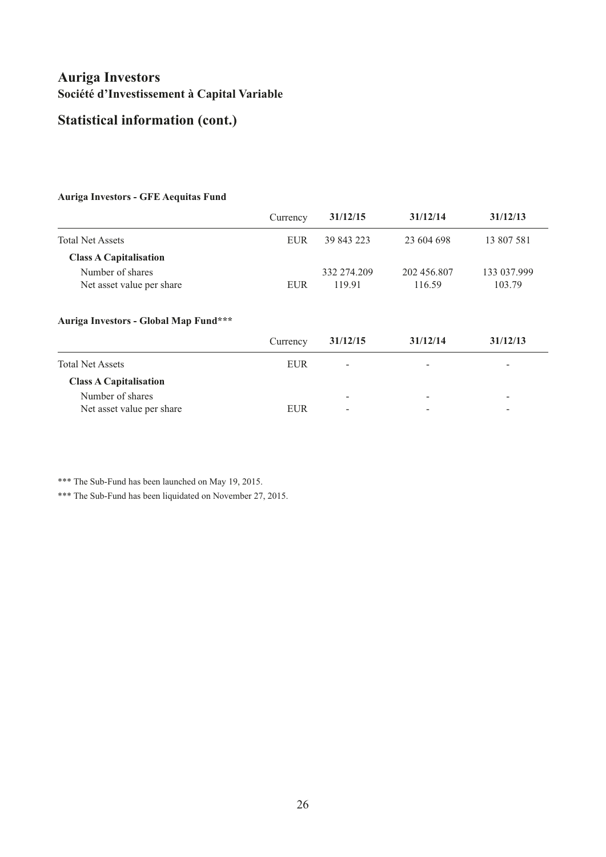# **Statistical information (cont.)**

#### **Auriga Investors - GFE Aequitas Fund**

|                               | Currency   | 31/12/15    | 31/12/14    | 31/12/13    |
|-------------------------------|------------|-------------|-------------|-------------|
| <b>Total Net Assets</b>       | EUR        | 39 843 223  | 23 604 698  | 13 807 581  |
| <b>Class A Capitalisation</b> |            |             |             |             |
| Number of shares              |            | 332 274.209 | 202 456.807 | 133 037.999 |
| Net asset value per share     | <b>EUR</b> | 119.91      | 116.59      | 103.79      |
|                               |            |             |             |             |
|                               |            |             |             |             |

#### **Auriga Investors - Global Map Fund\*\*\***

|                               | Currency   | 31/12/15                 | 31/12/14                 | 31/12/13                 |
|-------------------------------|------------|--------------------------|--------------------------|--------------------------|
| <b>Total Net Assets</b>       | <b>EUR</b> | $\overline{\phantom{a}}$ | $\overline{\phantom{0}}$ | -                        |
| <b>Class A Capitalisation</b> |            |                          |                          |                          |
| Number of shares              |            | -                        | $\overline{\phantom{a}}$ | $\overline{\phantom{0}}$ |
| Net asset value per share     | <b>EUR</b> | -                        | $\overline{\phantom{a}}$ | -                        |

\*\*\* The Sub-Fund has been launched on May 19, 2015.

\*\*\* The Sub-Fund has been liquidated on November 27, 2015.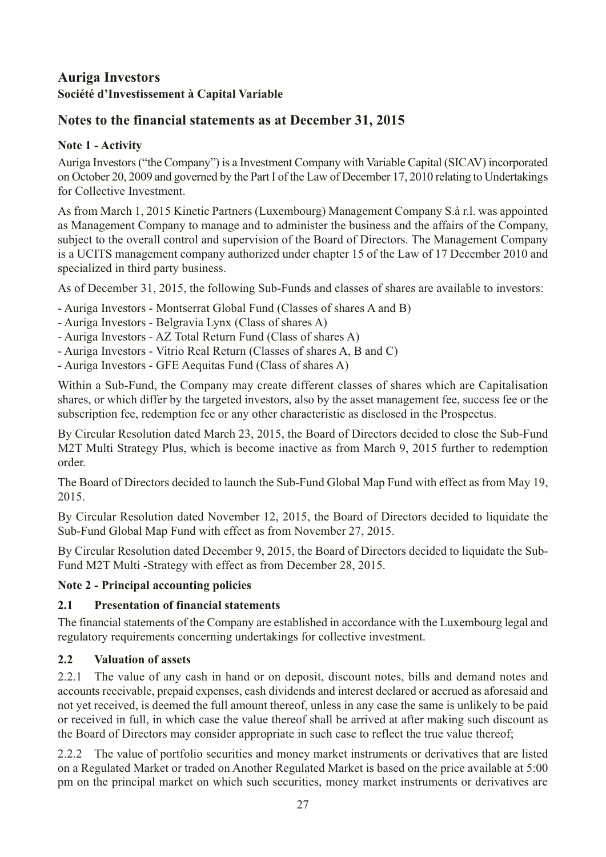# <span id="page-28-0"></span>**Notes to the financial statements as at December 31, 2015**

# **Note 1 - Activity**

Auriga Investors ("the Company") is a Investment Company with Variable Capital (SICAV) incorporated on October 20, 2009 and governed by the Part I of the Law of December 17, 2010 relating to Undertakings for Collective Investment.

As from March 1, 2015 Kinetic Partners (Luxembourg) Management Company S.à r.l. was appointed as Management Company to manage and to administer the business and the affairs of the Company, subject to the overall control and supervision of the Board of Directors. The Management Company is a UCITS management company authorized under chapter 15 of the Law of 17 December 2010 and specialized in third party business.

As of December 31, 2015, the following Sub-Funds and classes of shares are available to investors:

- Auriga Investors Montserrat Global Fund (Classes of shares A and B)
- Auriga Investors Belgravia Lynx (Class of shares A)
- Auriga Investors AZ Total Return Fund (Class of shares A)
- Auriga Investors Vitrio Real Return (Classes of shares A, B and C)
- Auriga Investors GFE Aequitas Fund (Class of shares A)

Within a Sub-Fund, the Company may create different classes of shares which are Capitalisation shares, or which differ by the targeted investors, also by the asset management fee, success fee or the subscription fee, redemption fee or any other characteristic as disclosed in the Prospectus.

By Circular Resolution dated March 23, 2015, the Board of Directors decided to close the Sub-Fund M2T Multi Strategy Plus, which is become inactive as from March 9, 2015 further to redemption order.

The Board of Directors decided to launch the Sub-Fund Global Map Fund with effect as from May 19, 2015.

By Circular Resolution dated November 12, 2015, the Board of Directors decided to liquidate the Sub-Fund Global Map Fund with effect as from November 27, 2015.

By Circular Resolution dated December 9, 2015, the Board of Directors decided to liquidate the Sub-Fund M2T Multi -Strategy with effect as from December 28, 2015.

# **Note 2 - Principal accounting policies**

# **2.1 Presentation of financial statements**

The financial statements of the Company are established in accordance with the Luxembourg legal and regulatory requirements concerning undertakings for collective investment.

# **2.2 Valuation of assets**

2.2.1 The value of any cash in hand or on deposit, discount notes, bills and demand notes and accounts receivable, prepaid expenses, cash dividends and interest declared or accrued as aforesaid and not yet received, is deemed the full amount thereof, unless in any case the same is unlikely to be paid or received in full, in which case the value thereof shall be arrived at after making such discount as the Board of Directors may consider appropriate in such case to reflect the true value thereof;

2.2.2 The value of portfolio securities and money market instruments or derivatives that are listed on a Regulated Market or traded on Another Regulated Market is based on the price available at 5:00 pm on the principal market on which such securities, money market instruments or derivatives are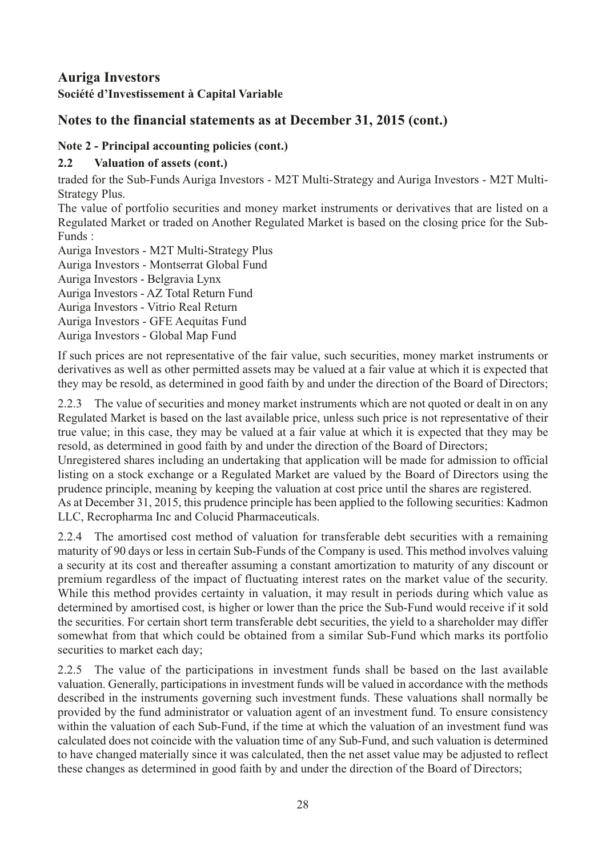# **Auriga Investors**

**Société d'Investissement à Capital Variable** 

# **Notes to the financial statements as at December 31, 2015 (cont.)**

### **Note 2 - Principal accounting policies (cont.)**

### **2.2 Valuation of assets (cont.)**

traded for the Sub-Funds Auriga Investors - M2T Multi-Strategy and Auriga Investors - M2T Multi-Strategy Plus.

The value of portfolio securities and money market instruments or derivatives that are listed on a Regulated Market or traded on Another Regulated Market is based on the closing price for the Sub-Funds :

Auriga Investors - M2T Multi-Strategy Plus

Auriga Investors - Montserrat Global Fund

Auriga Investors - Belgravia Lynx

Auriga Investors - AZ Total Return Fund

Auriga Investors - Vitrio Real Return

Auriga Investors - GFE Aequitas Fund

Auriga Investors - Global Map Fund

If such prices are not representative of the fair value, such securities, money market instruments or derivatives as well as other permitted assets may be valued at a fair value at which it is expected that they may be resold, as determined in good faith by and under the direction of the Board of Directors;

2.2.3 The value of securities and money market instruments which are not quoted or dealt in on any Regulated Market is based on the last available price, unless such price is not representative of their true value; in this case, they may be valued at a fair value at which it is expected that they may be resold, as determined in good faith by and under the direction of the Board of Directors;

Unregistered shares including an undertaking that application will be made for admission to official listing on a stock exchange or a Regulated Market are valued by the Board of Directors using the prudence principle, meaning by keeping the valuation at cost price until the shares are registered.

As at December 31, 2015, this prudence principle has been applied to the following securities: Kadmon LLC, Recropharma Inc and Colucid Pharmaceuticals.

2.2.4 The amortised cost method of valuation for transferable debt securities with a remaining maturity of 90 days or less in certain Sub-Funds of the Company is used. This method involves valuing a security at its cost and thereafter assuming a constant amortization to maturity of any discount or premium regardless of the impact of fluctuating interest rates on the market value of the security. While this method provides certainty in valuation, it may result in periods during which value as determined by amortised cost, is higher or lower than the price the Sub-Fund would receive if it sold the securities. For certain short term transferable debt securities, the yield to a shareholder may differ somewhat from that which could be obtained from a similar Sub-Fund which marks its portfolio securities to market each day;

2.2.5 The value of the participations in investment funds shall be based on the last available valuation. Generally, participations in investment funds will be valued in accordance with the methods described in the instruments governing such investment funds. These valuations shall normally be provided by the fund administrator or valuation agent of an investment fund. To ensure consistency within the valuation of each Sub-Fund, if the time at which the valuation of an investment fund was calculated does not coincide with the valuation time of any Sub-Fund, and such valuation is determined to have changed materially since it was calculated, then the net asset value may be adjusted to reflect these changes as determined in good faith by and under the direction of the Board of Directors;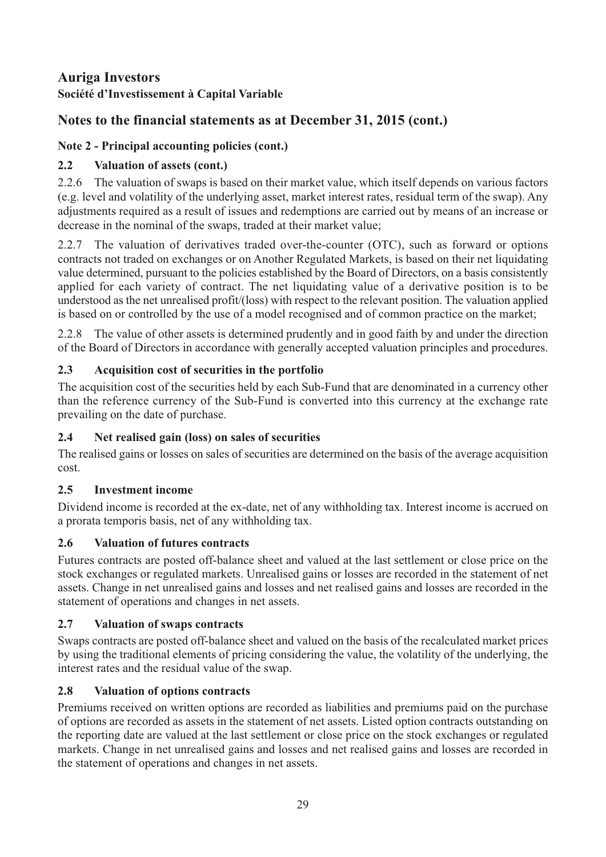# **Notes to the financial statements as at December 31, 2015 (cont.)**

# **Note 2 - Principal accounting policies (cont.)**

# **2.2 Valuation of assets (cont.)**

2.2.6 The valuation of swaps is based on their market value, which itself depends on various factors (e.g. level and volatility of the underlying asset, market interest rates, residual term of the swap). Any adjustments required as a result of issues and redemptions are carried out by means of an increase or decrease in the nominal of the swaps, traded at their market value;

2.2.7 The valuation of derivatives traded over-the-counter (OTC), such as forward or options contracts not traded on exchanges or on Another Regulated Markets, is based on their net liquidating value determined, pursuant to the policies established by the Board of Directors, on a basis consistently applied for each variety of contract. The net liquidating value of a derivative position is to be understood as the net unrealised profit/(loss) with respect to the relevant position. The valuation applied is based on or controlled by the use of a model recognised and of common practice on the market;

2.2.8 The value of other assets is determined prudently and in good faith by and under the direction of the Board of Directors in accordance with generally accepted valuation principles and procedures.

# **2.3 Acquisition cost of securities in the portfolio**

The acquisition cost of the securities held by each Sub-Fund that are denominated in a currency other than the reference currency of the Sub-Fund is converted into this currency at the exchange rate prevailing on the date of purchase.

# **2.4 Net realised gain (loss) on sales of securities**

The realised gains or losses on sales of securities are determined on the basis of the average acquisition cost.

# **2.5 Investment income**

Dividend income is recorded at the ex-date, net of any withholding tax. Interest income is accrued on a prorata temporis basis, net of any withholding tax.

# **2.6 Valuation of futures contracts**

Futures contracts are posted off-balance sheet and valued at the last settlement or close price on the stock exchanges or regulated markets. Unrealised gains or losses are recorded in the statement of net assets. Change in net unrealised gains and losses and net realised gains and losses are recorded in the statement of operations and changes in net assets.

# **2.7 Valuation of swaps contracts**

Swaps contracts are posted off-balance sheet and valued on the basis of the recalculated market prices by using the traditional elements of pricing considering the value, the volatility of the underlying, the interest rates and the residual value of the swap.

# **2.8 Valuation of options contracts**

Premiums received on written options are recorded as liabilities and premiums paid on the purchase of options are recorded as assets in the statement of net assets. Listed option contracts outstanding on the reporting date are valued at the last settlement or close price on the stock exchanges or regulated markets. Change in net unrealised gains and losses and net realised gains and losses are recorded in the statement of operations and changes in net assets.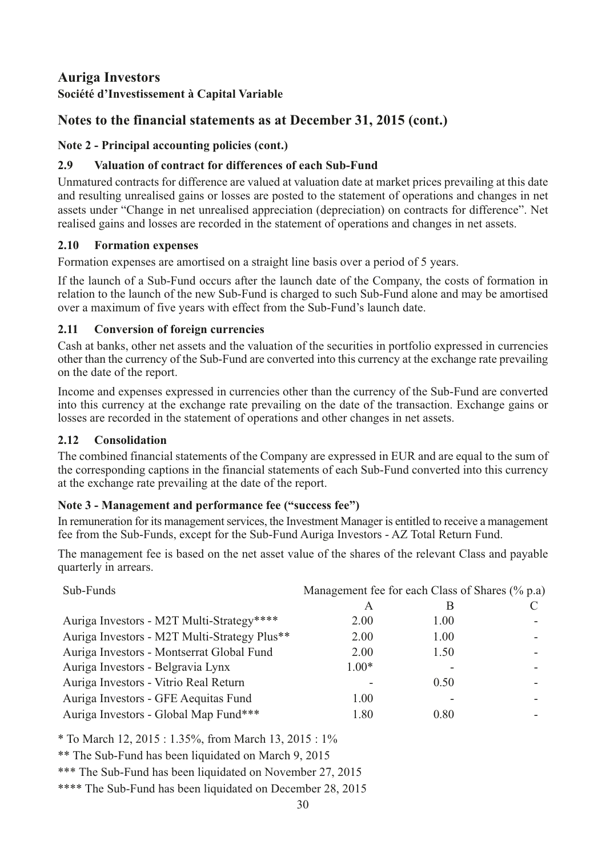# **Auriga Investors**

**Société d'Investissement à Capital Variable** 

# **Notes to the financial statements as at December 31, 2015 (cont.)**

### **Note 2 - Principal accounting policies (cont.)**

### **2.9 Valuation of contract for differences of each Sub-Fund**

Unmatured contracts for difference are valued at valuation date at market prices prevailing at this date and resulting unrealised gains or losses are posted to the statement of operations and changes in net assets under "Change in net unrealised appreciation (depreciation) on contracts for difference". Net realised gains and losses are recorded in the statement of operations and changes in net assets.

### **2.10 Formation expenses**

Formation expenses are amortised on a straight line basis over a period of 5 years.

If the launch of a Sub-Fund occurs after the launch date of the Company, the costs of formation in relation to the launch of the new Sub-Fund is charged to such Sub-Fund alone and may be amortised over a maximum of five years with effect from the Sub-Fund's launch date.

### **2.11 Conversion of foreign currencies**

Cash at banks, other net assets and the valuation of the securities in portfolio expressed in currencies other than the currency of the Sub-Fund are converted into this currency at the exchange rate prevailing on the date of the report.

Income and expenses expressed in currencies other than the currency of the Sub-Fund are converted into this currency at the exchange rate prevailing on the date of the transaction. Exchange gains or losses are recorded in the statement of operations and other changes in net assets.

### **2.12 Consolidation**

The combined financial statements of the Company are expressed in EUR and are equal to the sum of the corresponding captions in the financial statements of each Sub-Fund converted into this currency at the exchange rate prevailing at the date of the report.

### **Note 3 - Management and performance fee ("success fee")**

In remuneration for its management services, the Investment Manager is entitled to receive a management fee from the Sub-Funds, except for the Sub-Fund Auriga Investors - AZ Total Return Fund.

The management fee is based on the net asset value of the shares of the relevant Class and payable quarterly in arrears.

| Sub-Funds                                    | Management fee for each Class of Shares (% p.a) |      |  |  |
|----------------------------------------------|-------------------------------------------------|------|--|--|
|                                              |                                                 | В    |  |  |
| Auriga Investors - M2T Multi-Strategy****    | 2.00                                            | 1.00 |  |  |
| Auriga Investors - M2T Multi-Strategy Plus** | 2.00                                            | 1.00 |  |  |
| Auriga Investors - Montserrat Global Fund    | 2.00                                            | 1.50 |  |  |
| Auriga Investors - Belgravia Lynx            | $1.00*$                                         |      |  |  |
| Auriga Investors - Vitrio Real Return        |                                                 | 0.50 |  |  |
| Auriga Investors - GFE Aequitas Fund         | 1.00                                            |      |  |  |
| Auriga Investors - Global Map Fund***        | 1.80                                            | 0.80 |  |  |

\* To March 12, 2015 : 1.35%, from March 13, 2015 : 1%

\*\* The Sub-Fund has been liquidated on March 9, 2015

\*\*\* The Sub-Fund has been liquidated on November 27, 2015

\*\*\*\* The Sub-Fund has been liquidated on December 28, 2015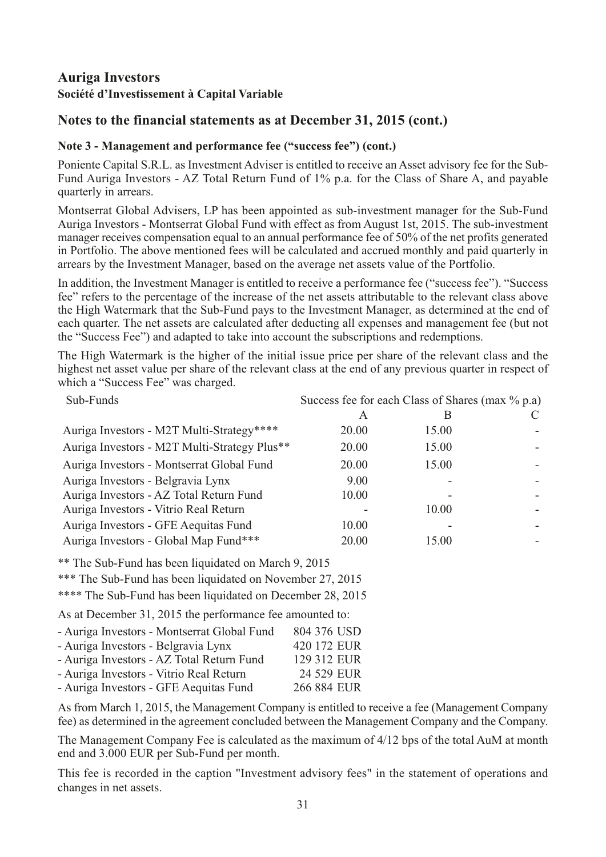# **Notes to the financial statements as at December 31, 2015 (cont.)**

#### **Note 3 - Management and performance fee ("success fee") (cont.)**

Poniente Capital S.R.L. as Investment Adviser is entitled to receive an Asset advisory fee for the Sub-Fund Auriga Investors - AZ Total Return Fund of 1% p.a. for the Class of Share A, and payable quarterly in arrears.

Montserrat Global Advisers, LP has been appointed as sub-investment manager for the Sub-Fund Auriga Investors - Montserrat Global Fund with effect as from August 1st, 2015. The sub-investment manager receives compensation equal to an annual performance fee of 50% of the net profits generated in Portfolio. The above mentioned fees will be calculated and accrued monthly and paid quarterly in arrears by the Investment Manager, based on the average net assets value of the Portfolio.

In addition, the Investment Manager is entitled to receive a performance fee ("success fee"). "Success fee" refers to the percentage of the increase of the net assets attributable to the relevant class above the High Watermark that the Sub-Fund pays to the Investment Manager, as determined at the end of each quarter. The net assets are calculated after deducting all expenses and management fee (but not the "Success Fee") and adapted to take into account the subscriptions and redemptions.

The High Watermark is the higher of the initial issue price per share of the relevant class and the highest net asset value per share of the relevant class at the end of any previous quarter in respect of which a "Success Fee" was charged.

| Sub-Funds                                    | Success fee for each Class of Shares (max % p.a) |       |  |
|----------------------------------------------|--------------------------------------------------|-------|--|
|                                              | A                                                | B     |  |
| Auriga Investors - M2T Multi-Strategy****    | 20.00                                            | 15.00 |  |
| Auriga Investors - M2T Multi-Strategy Plus** | 20.00                                            | 15.00 |  |
| Auriga Investors - Montserrat Global Fund    | 20.00                                            | 15.00 |  |
| Auriga Investors - Belgravia Lynx            | 9.00                                             |       |  |
| Auriga Investors - AZ Total Return Fund      | 10.00                                            |       |  |
| Auriga Investors - Vitrio Real Return        |                                                  | 10.00 |  |
| Auriga Investors - GFE Aequitas Fund         | 10.00                                            |       |  |
| Auriga Investors - Global Map Fund***        | 20.00                                            | 15.00 |  |

\*\* The Sub-Fund has been liquidated on March 9, 2015

\*\*\* The Sub-Fund has been liquidated on November 27, 2015

\*\*\*\* The Sub-Fund has been liquidated on December 28, 2015

As at December 31, 2015 the performance fee amounted to:

| 804 376 USD |
|-------------|
| 420 172 EUR |
| 129 312 EUR |
| 24 529 EUR  |
| 266 884 EUR |
|             |

As from March 1, 2015, the Management Company is entitled to receive a fee (Management Company fee) as determined in the agreement concluded between the Management Company and the Company.

The Management Company Fee is calculated as the maximum of 4/12 bps of the total AuM at month end and 3.000 EUR per Sub-Fund per month.

This fee is recorded in the caption "Investment advisory fees" in the statement of operations and changes in net assets.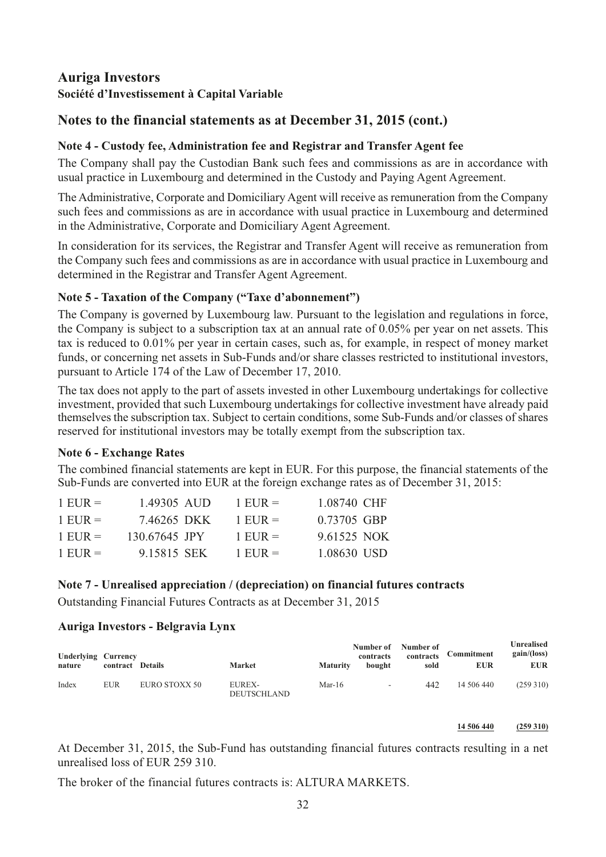# **Auriga Investors**

### **Société d'Investissement à Capital Variable**

## **Notes to the financial statements as at December 31, 2015 (cont.)**

#### **Note 4 - Custody fee, Administration fee and Registrar and Transfer Agent fee**

The Company shall pay the Custodian Bank such fees and commissions as are in accordance with usual practice in Luxembourg and determined in the Custody and Paying Agent Agreement.

The Administrative, Corporate and Domiciliary Agent will receive as remuneration from the Company such fees and commissions as are in accordance with usual practice in Luxembourg and determined in the Administrative, Corporate and Domiciliary Agent Agreement.

In consideration for its services, the Registrar and Transfer Agent will receive as remuneration from the Company such fees and commissions as are in accordance with usual practice in Luxembourg and determined in the Registrar and Transfer Agent Agreement.

#### **Note 5 - Taxation of the Company ("Taxe d'abonnement")**

The Company is governed by Luxembourg law. Pursuant to the legislation and regulations in force, the Company is subject to a subscription tax at an annual rate of 0.05% per year on net assets. This tax is reduced to 0.01% per year in certain cases, such as, for example, in respect of money market funds, or concerning net assets in Sub-Funds and/or share classes restricted to institutional investors, pursuant to Article 174 of the Law of December 17, 2010.

The tax does not apply to the part of assets invested in other Luxembourg undertakings for collective investment, provided that such Luxembourg undertakings for collective investment have already paid themselves the subscription tax. Subject to certain conditions, some Sub-Funds and/or classes of shares reserved for institutional investors may be totally exempt from the subscription tax.

#### **Note 6 - Exchange Rates**

The combined financial statements are kept in EUR. For this purpose, the financial statements of the Sub-Funds are converted into EUR at the foreign exchange rates as of December 31, 2015:

| $1$ EUR $=$ | 1.49305 AUD   | 1 EUR $=$   | 1.08740 CHF |
|-------------|---------------|-------------|-------------|
| $1$ EUR $=$ | 7.46265 DKK   | $1$ EUR $=$ | 0.73705 GBP |
| $1$ EUR $=$ | 130.67645 JPY | $1$ EUR $=$ | 9.61525 NOK |
| $1$ EUR $=$ | 9.15815 SEK   | 1 EUR $=$   | 1.08630 USD |

#### **Note 7 - Unrealised appreciation / (depreciation) on financial futures contracts**

Outstanding Financial Futures Contracts as at December 31, 2015

#### **Auriga Investors - Belgravia Lynx**

| <b>Underlying Currency</b><br>nature | contract Details |               | Market                       | <b>Maturity</b> | Number of<br>contracts<br>bought | Number of<br>contracts<br>sold | Commitment<br><b>EUR</b> | Unrealised<br>gain/(loss)<br><b>EUR</b> |
|--------------------------------------|------------------|---------------|------------------------------|-----------------|----------------------------------|--------------------------------|--------------------------|-----------------------------------------|
| Index                                | EUR              | EURO STOXX 50 | EUREX-<br><b>DEUTSCHLAND</b> | Mar-16          | $\sim$                           | 442                            | 14 506 440               | (259 310)                               |

**14 506 440 (259 310)**

At December 31, 2015, the Sub-Fund has outstanding financial futures contracts resulting in a net unrealised loss of EUR 259 310.

The broker of the financial futures contracts is: ALTURA MARKETS.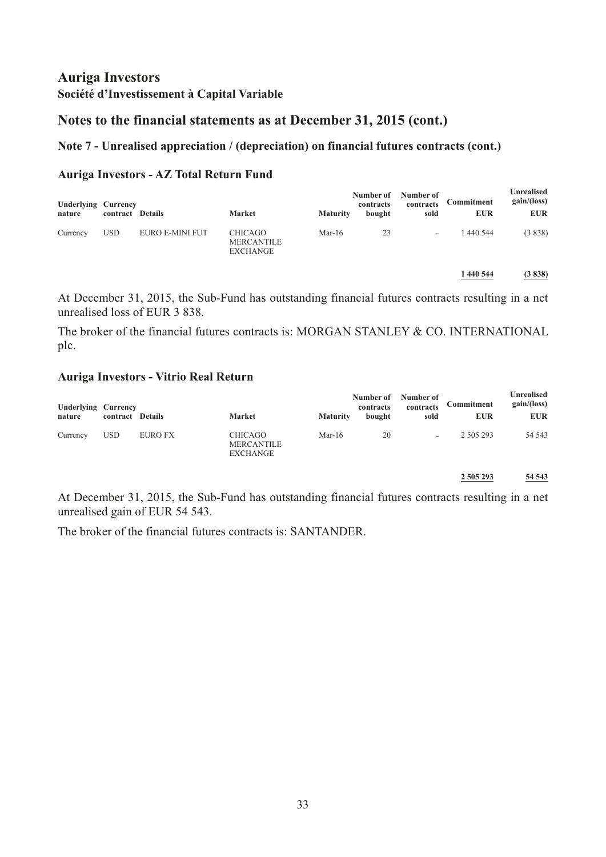### **Notes to the financial statements as at December 31, 2015 (cont.)**

#### **Note 7 - Unrealised appreciation / (depreciation) on financial futures contracts (cont.)**

#### **Auriga Investors - AZ Total Return Fund**

| <b>Underlying Currency</b><br>nature | contract Details |                 | <b>Market</b>                                          | <b>Maturity</b> | Number of<br>contracts<br>bought | Number of<br>contracts<br>sold | Commitment<br><b>EUR</b> | Unrealised<br>gain/(loss)<br><b>EUR</b> |
|--------------------------------------|------------------|-----------------|--------------------------------------------------------|-----------------|----------------------------------|--------------------------------|--------------------------|-----------------------------------------|
| Currency                             | <b>USD</b>       | EURO E-MINI FUT | <b>CHICAGO</b><br><b>MERCANTILE</b><br><b>EXCHANGE</b> | Mar-16          | 23                               | $\overline{\phantom{a}}$       | 1 440 544                | (3838)                                  |
|                                      |                  |                 |                                                        |                 |                                  |                                | 1 440 544                | (3838)                                  |

At December 31, 2015, the Sub-Fund has outstanding financial futures contracts resulting in a net unrealised loss of EUR 3 838.

The broker of the financial futures contracts is: MORGAN STANLEY & CO. INTERNATIONAL plc.

#### **Auriga Investors - Vitrio Real Return**

| <b>Underlying Currency</b><br>nature | contract Details |                | <b>Market</b>                                          | <b>Maturity</b> | Number of<br>contracts<br>bought | Number of<br>contracts<br>sold | Commitment<br><b>EUR</b> | Unrealised<br>gain/(loss)<br><b>EUR</b> |
|--------------------------------------|------------------|----------------|--------------------------------------------------------|-----------------|----------------------------------|--------------------------------|--------------------------|-----------------------------------------|
| Currency                             | <b>USD</b>       | <b>EURO FX</b> | <b>CHICAGO</b><br><b>MERCANTILE</b><br><b>EXCHANGE</b> | Mar- $16$       | 20                               | $\overline{\phantom{0}}$       | 2 505 293                | 54 543                                  |
|                                      |                  |                |                                                        |                 |                                  |                                | 2 505 293                | 54 543                                  |

At December 31, 2015, the Sub-Fund has outstanding financial futures contracts resulting in a net unrealised gain of EUR 54 543.

The broker of the financial futures contracts is: SANTANDER.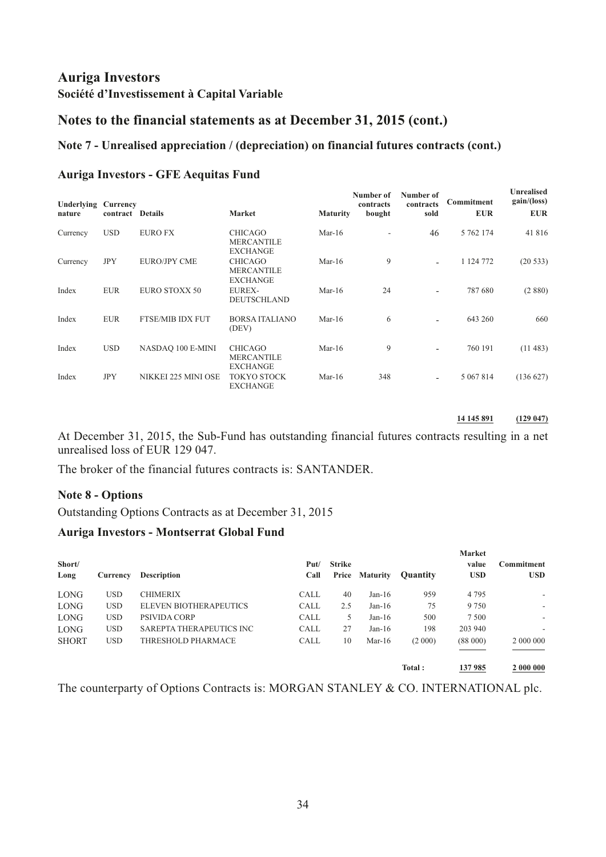### **Notes to the financial statements as at December 31, 2015 (cont.)**

#### **Note 7 - Unrealised appreciation / (depreciation) on financial futures contracts (cont.)**

#### **Auriga Investors - GFE Aequitas Fund**

| Underlying<br>nature | Currency<br>contract Details |                         | <b>Market</b>                                          | <b>Maturity</b> | Number of<br>contracts<br>bought | Number of<br>contracts<br>sold | Commitment<br><b>EUR</b> | <b>Unrealised</b><br>gain/(loss)<br><b>EUR</b> |
|----------------------|------------------------------|-------------------------|--------------------------------------------------------|-----------------|----------------------------------|--------------------------------|--------------------------|------------------------------------------------|
| Currency             | <b>USD</b>                   | <b>EURO FX</b>          | <b>CHICAGO</b><br><b>MERCANTILE</b><br><b>EXCHANGE</b> | Mar- $16$       |                                  | 46                             | 5 762 174                | 41 816                                         |
| Currency             | <b>JPY</b>                   | <b>EURO/JPY CME</b>     | <b>CHICAGO</b><br><b>MERCANTILE</b><br><b>EXCHANGE</b> | $Mar-16$        | 9                                | $\overline{\phantom{a}}$       | 1 124 772                | (20533)                                        |
| Index                | <b>EUR</b>                   | EURO STOXX 50           | <b>EUREX-</b><br><b>DEUTSCHLAND</b>                    | $Mar-16$        | 24                               | $\overline{\phantom{0}}$       | 787 680                  | (2880)                                         |
| Index                | <b>EUR</b>                   | <b>FTSE/MIB IDX FUT</b> | <b>BORSA ITALIANO</b><br>(DEV)                         | $Mar-16$        | 6                                |                                | 643 260                  | 660                                            |
| Index                | <b>USD</b>                   | NASDAO 100 E-MINI       | <b>CHICAGO</b><br><b>MERCANTILE</b><br><b>EXCHANGE</b> | Mar- $16$       | 9                                | $\overline{\phantom{a}}$       | 760 191                  | (11483)                                        |
| Index                | <b>JPY</b>                   | NIKKEI 225 MINI OSE     | <b>TOKYO STOCK</b><br><b>EXCHANGE</b>                  | Mar- $16$       | 348                              | $\overline{\phantom{a}}$       | 5 067 814                | (136 627)                                      |

**14 145 891 (129 047)**

At December 31, 2015, the Sub-Fund has outstanding financial futures contracts resulting in a net unrealised loss of EUR 129 047.

The broker of the financial futures contracts is: SANTANDER.

#### **Note 8 - Options**

Outstanding Options Contracts as at December 31, 2015

#### **Auriga Investors - Montserrat Global Fund**

| Short/<br>Long | Currency   | <b>Description</b>       | Put/<br>Call | Strike | Price Maturity | <b>Quantity</b> | Market<br>value<br><b>USD</b> | Commitment<br><b>USD</b> |
|----------------|------------|--------------------------|--------------|--------|----------------|-----------------|-------------------------------|--------------------------|
| <b>LONG</b>    | <b>USD</b> | <b>CHIMERIX</b>          | <b>CALL</b>  | 40     | $Jan-16$       | 959             | 4 7 9 5                       | ۰.                       |
| <b>LONG</b>    | <b>USD</b> | ELEVEN BIOTHERAPEUTICS   | <b>CALL</b>  | 2.5    | $Jan-16$       | 75              | 9 7 5 0                       | $\overline{\phantom{0}}$ |
| <b>LONG</b>    | <b>USD</b> | PSIVIDA CORP             | <b>CALL</b>  | 5      | $Jan-16$       | 500             | 7 5 0 0                       | ۰.                       |
| <b>LONG</b>    | <b>USD</b> | SAREPTA THERAPEUTICS INC | <b>CALL</b>  | 27     | $Jan-16$       | 198             | 203 940                       |                          |
| <b>SHORT</b>   | <b>USD</b> | THRESHOLD PHARMACE       | <b>CALL</b>  | 10     | Mar-16         | (2 000)         | (88000)                       | 2 000 000                |
|                |            |                          |              |        |                | Total:          | 137985                        | 2 000 000                |

The counterparty of Options Contracts is: MORGAN STANLEY & CO. INTERNATIONAL plc.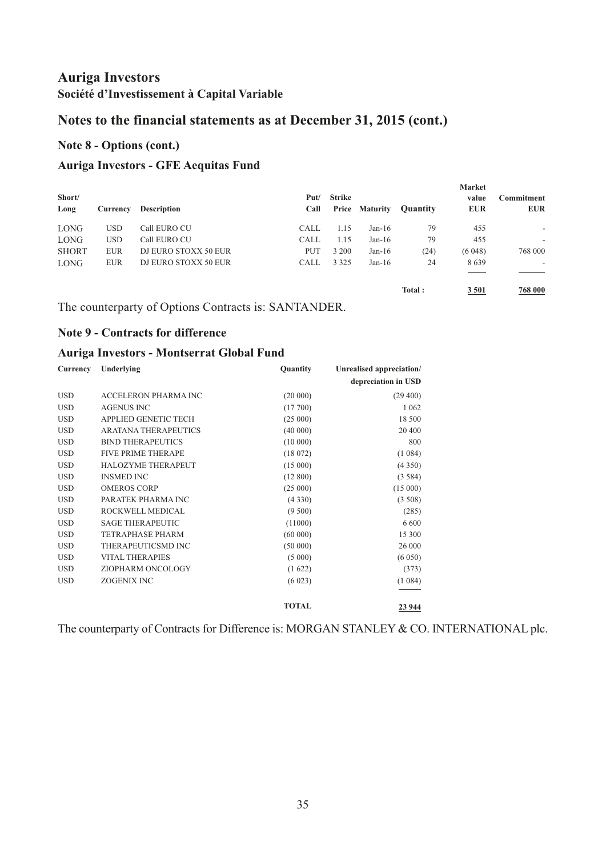# **Notes to the financial statements as at December 31, 2015 (cont.)**

### **Note 8 - Options (cont.)**

### **Auriga Investors - GFE Aequitas Fund**

| Short/<br>Long | Currency   | <b>Description</b>   | Put/<br>Call | Strike  | Price Maturity | <b>Quantity</b> | <b>Market</b><br>value<br><b>EUR</b> | Commitment<br><b>EUR</b> |
|----------------|------------|----------------------|--------------|---------|----------------|-----------------|--------------------------------------|--------------------------|
| <b>LONG</b>    | <b>USD</b> | Call EURO CU         | <b>CALL</b>  | 1.15    | $Jan-16$       | 79              | 455                                  | $\overline{\phantom{a}}$ |
| <b>LONG</b>    | <b>USD</b> | Call EURO CU         | <b>CALL</b>  | 1.15    | $Jan-16$       | 79              | 455                                  | $\overline{\phantom{a}}$ |
| <b>SHORT</b>   | <b>EUR</b> | DJ EURO STOXX 50 EUR | PUT          | 3 2 0 0 | $Jan-16$       | (24)            | (6048)                               | 768 000                  |
| <b>LONG</b>    | <b>EUR</b> | DJ EURO STOXX 50 EUR | <b>CALL</b>  | 3 3 2 5 | $Jan-16$       | 24              | 8639                                 | ۰.                       |
|                |            |                      |              |         |                | Total:          | 3 5 0 1                              | 768 000                  |

The counterparty of Options Contracts is: SANTANDER.

#### **Note 9 - Contracts for difference**

#### **Auriga Investors - Montserrat Global Fund**

| Currency   | Underlying                  | Quantity     | Unrealised appreciation/ |
|------------|-----------------------------|--------------|--------------------------|
|            |                             |              | depreciation in USD      |
| <b>USD</b> | ACCELERON PHARMA INC        | (20 000)     | (29, 400)                |
| <b>USD</b> | <b>AGENUS INC</b>           | (17700)      | 1 0 6 2                  |
| <b>USD</b> | APPLIED GENETIC TECH        | (25000)      | 18 500                   |
| <b>USD</b> | <b>ARATANA THERAPEUTICS</b> | (40000)      | 20 400                   |
| <b>USD</b> | <b>BIND THERAPEUTICS</b>    | (10000)      | 800                      |
| <b>USD</b> | <b>FIVE PRIME THERAPE</b>   | (18072)      | (1084)                   |
| <b>USD</b> | HALOZYME THERAPEUT          | (15000)      | (4350)                   |
| <b>USD</b> | <b>INSMED INC</b>           | (12800)      | (3584)                   |
| <b>USD</b> | <b>OMEROS CORP</b>          | (25000)      | (15000)                  |
| <b>USD</b> | PARATEK PHARMA INC          | (4330)       | (3.508)                  |
| <b>USD</b> | ROCKWELL MEDICAL            | (9500)       | (285)                    |
| <b>USD</b> | <b>SAGE THERAPEUTIC</b>     | (11000)      | 6 600                    |
| <b>USD</b> | <b>TETRAPHASE PHARM</b>     | (60000)      | 15 300                   |
| <b>USD</b> | THERAPEUTICSMD INC          | (50000)      | 26 000                   |
| <b>USD</b> | <b>VITAL THERAPIES</b>      | (5000)       | (6050)                   |
| <b>USD</b> | ZIOPHARM ONCOLOGY           | (1622)       | (373)                    |
| <b>USD</b> | <b>ZOGENIX INC</b>          | (6023)       | (1084)                   |
|            |                             | <b>TOTAL</b> | 23 944                   |

The counterparty of Contracts for Difference is: MORGAN STANLEY & CO. INTERNATIONAL plc.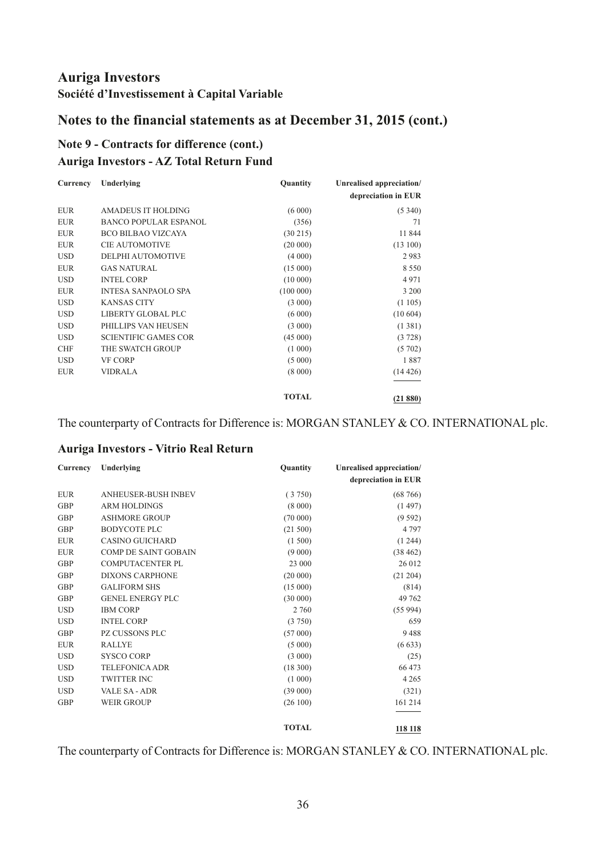# **Notes to the financial statements as at December 31, 2015 (cont.)**

### **Note 9 - Contracts for difference (cont.) Auriga Investors - AZ Total Return Fund**

| Currency   | Underlying                   | Quantity     | Unrealised appreciation/ |
|------------|------------------------------|--------------|--------------------------|
|            |                              |              | depreciation in EUR      |
| <b>EUR</b> | AMADEUS IT HOLDING           | (6000)       | (5340)                   |
| <b>EUR</b> | <b>BANCO POPULAR ESPANOL</b> | (356)        | 71                       |
| <b>EUR</b> | <b>BCO BILBAO VIZCAYA</b>    | (30215)      | 11 844                   |
| <b>EUR</b> | <b>CIE AUTOMOTIVE</b>        | (20 000)     | (13100)                  |
| <b>USD</b> | DELPHI AUTOMOTIVE            | (4000)       | 2983                     |
| <b>EUR</b> | <b>GAS NATURAL</b>           | (15000)      | 8 5 5 0                  |
| <b>USD</b> | <b>INTEL CORP</b>            | (10000)      | 4971                     |
| <b>EUR</b> | <b>INTESA SANPAOLO SPA</b>   | (100000)     | 3 200                    |
| <b>USD</b> | <b>KANSAS CITY</b>           | (3 000)      | (1105)                   |
| <b>USD</b> | LIBERTY GLOBAL PLC           | (6000)       | (10604)                  |
| <b>USD</b> | PHILLIPS VAN HEUSEN          | (3 000)      | (1381)                   |
| <b>USD</b> | <b>SCIENTIFIC GAMES COR</b>  | (45000)      | (3728)                   |
| <b>CHF</b> | THE SWATCH GROUP             | (1 000)      | (5702)                   |
| <b>USD</b> | <b>VF CORP</b>               | (5000)       | 1887                     |
| <b>EUR</b> | <b>VIDRALA</b>               | (8000)       | (14426)                  |
|            |                              | <b>TOTAL</b> | (21880)                  |

The counterparty of Contracts for Difference is: MORGAN STANLEY & CO. INTERNATIONAL plc.

#### **Auriga Investors - Vitrio Real Return**

| Currency   | Underlying                  | Quantity     | Unrealised appreciation/ |
|------------|-----------------------------|--------------|--------------------------|
|            |                             |              | depreciation in EUR      |
| <b>EUR</b> | <b>ANHEUSER-BUSH INBEV</b>  | (3750)       | (68766)                  |
| <b>GBP</b> | <b>ARM HOLDINGS</b>         | (8000)       | (1497)                   |
| <b>GBP</b> | <b>ASHMORE GROUP</b>        | (70000)      | (9592)                   |
| <b>GBP</b> | <b>BODYCOTE PLC</b>         | (21 500)     | 4 7 9 7                  |
| <b>EUR</b> | <b>CASINO GUICHARD</b>      | (1500)       | (1244)                   |
| <b>EUR</b> | <b>COMP DE SAINT GOBAIN</b> | (9 000)      | (38462)                  |
| <b>GBP</b> | <b>COMPUTACENTER PL</b>     | 23 000       | 26 012                   |
| <b>GBP</b> | <b>DIXONS CARPHONE</b>      | (20000)      | (21 204)                 |
| <b>GBP</b> | <b>GALIFORM SHS</b>         | (15000)      | (814)                    |
| <b>GBP</b> | <b>GENEL ENERGY PLC</b>     | (30000)      | 49 762                   |
| <b>USD</b> | <b>IBM CORP</b>             | 2 760        | (55994)                  |
| <b>USD</b> | <b>INTEL CORP</b>           | (3750)       | 659                      |
| <b>GBP</b> | <b>PZ CUSSONS PLC</b>       | (57000)      | 9488                     |
| <b>EUR</b> | <b>RALLYE</b>               | (5000)       | (6633)                   |
| <b>USD</b> | <b>SYSCO CORP</b>           | (3 000)      | (25)                     |
| <b>USD</b> | <b>TELEFONICA ADR</b>       | (18300)      | 66 473                   |
| <b>USD</b> | <b>TWITTER INC</b>          | (1 000)      | 4 2 6 5                  |
| <b>USD</b> | <b>VALE SA - ADR</b>        | (39000)      | (321)                    |
| <b>GBP</b> | <b>WEIR GROUP</b>           | (26100)      | 161 214                  |
|            |                             | <b>TOTAL</b> | 118 118                  |

The counterparty of Contracts for Difference is: MORGAN STANLEY & CO. INTERNATIONAL plc.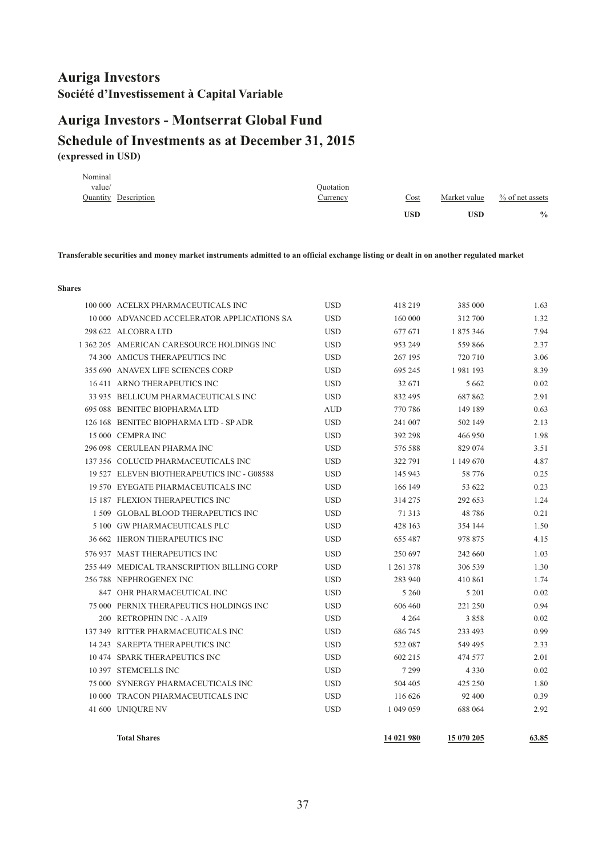# <span id="page-38-0"></span>**(expressed in USD) Schedule of Investments as at December 31, 2015 Auriga Investors - Montserrat Global Fund**

| Nominal |                      |                 |                                   |              |                    |
|---------|----------------------|-----------------|-----------------------------------|--------------|--------------------|
| value/  |                      | Ouotation       |                                   |              |                    |
|         | Quantity Description | <u>Currency</u> | $\frac{\text{Cost}}{\text{Cost}}$ | Market value | $\%$ of net assets |
|         |                      |                 | <b>USD</b>                        | <b>USD</b>   | $\frac{0}{0}$      |
|         |                      |                 |                                   |              |                    |

**Transferable securities and money market instruments admitted to an official exchange listing or dealt in on another regulated market**

#### **Shares**

| <b>Total Shares</b>                                        |                          | 14 021 980         | 15 070 205         | 63.85        |
|------------------------------------------------------------|--------------------------|--------------------|--------------------|--------------|
|                                                            |                          |                    |                    |              |
| 41 600 UNIQURE NV                                          | <b>USD</b>               | 1 049 059          | 688 064            | 2.92         |
| 10 000 TRACON PHARMACEUTICALS INC                          | <b>USD</b>               | 116 626            | 92 400             | 0.39         |
| 10 397 STEMCELLS INC<br>75 000 SYNERGY PHARMACEUTICALS INC | <b>USD</b><br><b>USD</b> | 7 2 9 9<br>504 405 | 4 3 3 0<br>425 250 | 0.02<br>1.80 |
| 10 474 SPARK THERAPEUTICS INC                              | <b>USD</b>               | 602 215            | 474 577            | 2.01         |
| 14 243 SAREPTA THERAPEUTICS INC                            | <b>USD</b>               | 522 087            | 549 495            | 2.33         |
| 137 349 RITTER PHARMACEUTICALS INC                         | <b>USD</b>               | 686 745            | 233 493            | 0.99         |
| 200 RETROPHIN INC - A AII9                                 | <b>USD</b>               | 4 2 6 4            | 3858               | 0.02         |
| 75 000 PERNIX THERAPEUTICS HOLDINGS INC                    | <b>USD</b>               | 606 460            | 221 250            | 0.94         |
| 847 OHR PHARMACEUTICAL INC                                 | <b>USD</b>               | 5 2 6 0            | 5 2 0 1            | 0.02         |
| 256 788 NEPHROGENEX INC                                    | <b>USD</b>               | 283 940            | 410 861            | 1.74         |
| 255 449 MEDICAL TRANSCRIPTION BILLING CORP                 | <b>USD</b>               | 1 261 378          | 306 539            | 1.30         |
| 576 937 MAST THERAPEUTICS INC                              | <b>USD</b>               | 250 697            | 242 660            | 1.03         |
| 36 662 HERON THERAPEUTICS INC                              | <b>USD</b>               | 655 487            | 978 875            | 4.15         |
| 5 100 GW PHARMACEUTICALS PLC                               | <b>USD</b>               | 428 163            | 354 144            | 1.50         |
| 1509 GLOBAL BLOOD THERAPEUTICS INC                         | <b>USD</b>               | 71 313             | 48786              | 0.21         |
| 15 187 FLEXION THERAPEUTICS INC                            | <b>USD</b>               | 314 275            | 292 653            | 1.24         |
| 19 570 EYEGATE PHARMACEUTICALS INC                         | <b>USD</b>               | 166 149            | 53 622             | 0.23         |
| 19 527 ELEVEN BIOTHERAPEUTICS INC - G08588                 | <b>USD</b>               | 145 943            | 58 776             | 0.25         |
| 137 356 COLUCID PHARMACEUTICALS INC                        | <b>USD</b>               | 322 791            | 1 149 670          | 4.87         |
| 296 098 CERULEAN PHARMA INC                                | <b>USD</b>               | 576 588            | 829 074            | 3.51         |
| 15 000 CEMPRA INC                                          | <b>USD</b>               | 392 298            | 466 950            | 1.98         |
| 126 168 BENITEC BIOPHARMA LTD - SP ADR                     | <b>USD</b>               | 241 007            | 502 149            | 2.13         |
| 695 088 BENITEC BIOPHARMA LTD                              | <b>AUD</b>               | 770 786            | 149 189            | 0.63         |
| 33 935 BELLICUM PHARMACEUTICALS INC                        | <b>USD</b>               | 832 495            | 687862             | 2.91         |
| 16 411 ARNO THERAPEUTICS INC                               | <b>USD</b>               | 32 671             | 5 6 6 2            | 0.02         |
| 355 690 ANAVEX LIFE SCIENCES CORP                          | <b>USD</b>               | 695 245            | 1981193            | 8.39         |
| 74 300 AMICUS THERAPEUTICS INC                             | <b>USD</b>               | 267 195            | 720 710            | 3.06         |
| 1 362 205 AMERICAN CARESOURCE HOLDINGS INC                 | <b>USD</b>               | 953 249            | 559866             | 2.37         |
| 298 622 ALCOBRA LTD                                        | <b>USD</b>               | 677 671            | 1 875 346          | 7.94         |
| 10 000 ADVANCED ACCELERATOR APPLICATIONS SA                | <b>USD</b>               | 160 000            | 312 700            | 1.32         |
| 100 000 ACELRX PHARMACEUTICALS INC                         | <b>USD</b>               | 418 219            | 385 000            | 1.63         |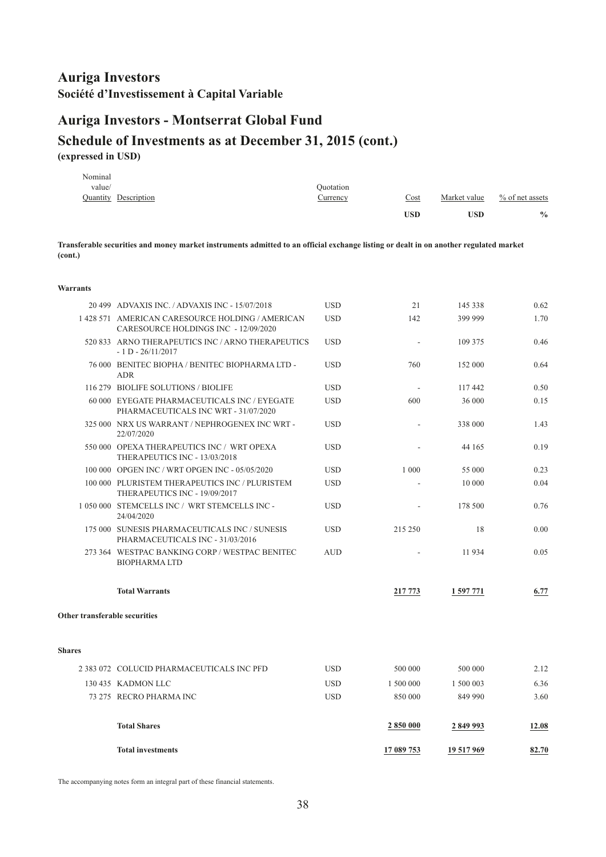# **Auriga Investors - Montserrat Global Fund**

## **Schedule of Investments as at December 31, 2015 (cont.) (expressed in USD)**

|         |                      |           | USD  | USD          | $\frac{0}{0}$      |
|---------|----------------------|-----------|------|--------------|--------------------|
|         | Quantity Description | Currency  | Cost | Market value | $\%$ of net assets |
| value/  |                      | Ouotation |      |              |                    |
| Nominal |                      |           |      |              |                    |

**Transferable securities and money market instruments admitted to an official exchange listing or dealt in on another regulated market (cont.)**

#### **Warrants**

|                               | 20 499 ADVAXIS INC. / ADVAXIS INC - 15/07/2018                                           | <b>USD</b> | 21         | 145 338    | 0.62  |
|-------------------------------|------------------------------------------------------------------------------------------|------------|------------|------------|-------|
|                               | 1 428 571 AMERICAN CARESOURCE HOLDING / AMERICAN<br>CARESOURCE HOLDINGS INC - 12/09/2020 | <b>USD</b> | 142        | 399 999    | 1.70  |
|                               | 520 833 ARNO THERAPEUTICS INC / ARNO THERAPEUTICS<br>$-1$ D $-26/11/2017$                | <b>USD</b> |            | 109 375    | 0.46  |
|                               | 76 000 BENITEC BIOPHA / BENITEC BIOPHARMA LTD -<br>ADR                                   | <b>USD</b> | 760        | 152 000    | 0.64  |
|                               | 116 279 BIOLIFE SOLUTIONS / BIOLIFE                                                      | <b>USD</b> | $\sim$     | 117 442    | 0.50  |
|                               | 60 000 EYEGATE PHARMACEUTICALS INC / EYEGATE<br>PHARMACEUTICALS INC WRT - 31/07/2020     | <b>USD</b> | 600        | 36 000     | 0.15  |
|                               | 325 000 NRX US WARRANT / NEPHROGENEX INC WRT -<br>22/07/2020                             | <b>USD</b> |            | 338 000    | 1.43  |
|                               | 550 000 OPEXA THERAPEUTICS INC / WRT OPEXA<br>THERAPEUTICS INC - 13/03/2018              | <b>USD</b> |            | 44 165     | 0.19  |
|                               | 100 000 OPGEN INC / WRT OPGEN INC - 05/05/2020                                           | <b>USD</b> | 1 0 0 0    | 55 000     | 0.23  |
|                               | 100 000 PLURISTEM THERAPEUTICS INC / PLURISTEM<br>THERAPEUTICS INC - 19/09/2017          | <b>USD</b> |            | 10 000     | 0.04  |
|                               | 1050000 STEMCELLS INC / WRT STEMCELLS INC-<br>24/04/2020                                 | <b>USD</b> |            | 178 500    | 0.76  |
|                               | 175 000 SUNESIS PHARMACEUTICALS INC / SUNESIS<br>PHARMACEUTICALS INC - 31/03/2016        | <b>USD</b> | 215 250    | 18         | 0.00  |
|                               | 273 364 WESTPAC BANKING CORP / WESTPAC BENITEC<br><b>BIOPHARMALTD</b>                    | <b>AUD</b> |            | 11 934     | 0.05  |
|                               | <b>Total Warrants</b>                                                                    |            | 217 773    | 1 597 771  | 6.77  |
| Other transferable securities |                                                                                          |            |            |            |       |
| <b>Shares</b>                 |                                                                                          |            |            |            |       |
|                               | 2 383 072 COLUCID PHARMACEUTICALS INC PFD                                                | <b>USD</b> | 500 000    | 500 000    | 2.12  |
|                               | 130 435 KADMON LLC                                                                       | <b>USD</b> | 1 500 000  | 1 500 003  | 6.36  |
|                               | 73 275 RECRO PHARMA INC                                                                  | <b>USD</b> | 850 000    | 849 990    | 3.60  |
|                               | <b>Total Shares</b>                                                                      |            | 2850000    | 2849993    | 12.08 |
|                               | <b>Total investments</b>                                                                 |            | 17 089 753 | 19 517 969 | 82.70 |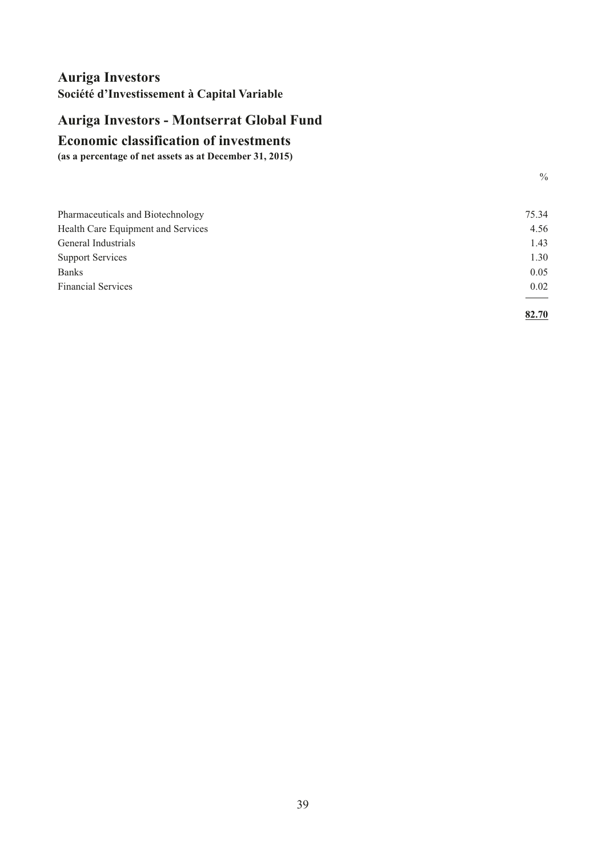# <span id="page-40-0"></span>**Auriga Investors - Montserrat Global Fund**

#### **Economic classification of investments**

**(as a percentage of net assets as at December 31, 2015)**

| Pharmaceuticals and Biotechnology  | 75.34 |
|------------------------------------|-------|
| Health Care Equipment and Services | 4.56  |
| General Industrials                | 1.43  |
| <b>Support Services</b>            | 1.30  |
| <b>Banks</b>                       | 0.05  |
| <b>Financial Services</b>          | 0.02  |
|                                    |       |
|                                    | 82.70 |

 $\frac{0}{0}$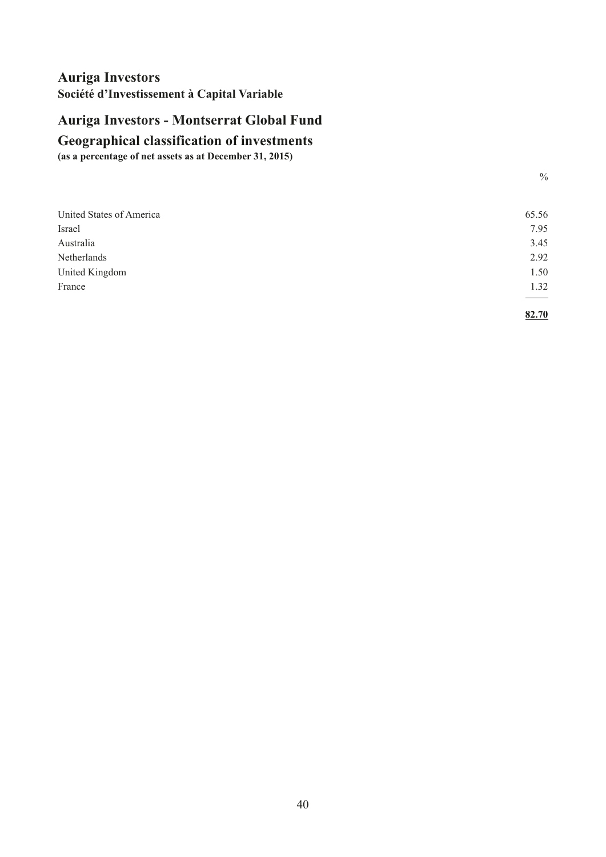# <span id="page-41-0"></span>**Auriga Investors - Montserrat Global Fund**

# **Geographical classification of investments**

**(as a percentage of net assets as at December 31, 2015)**

| I<br>e e<br>× |  |
|---------------|--|
| ×<br>۰.<br>I  |  |

| United States of America | 65.56 |
|--------------------------|-------|
| Israel                   | 7.95  |
| Australia                | 3.45  |
| Netherlands              | 2.92  |
| United Kingdom           | 1.50  |
| France                   | 1.32  |
|                          | _____ |
|                          | 82.70 |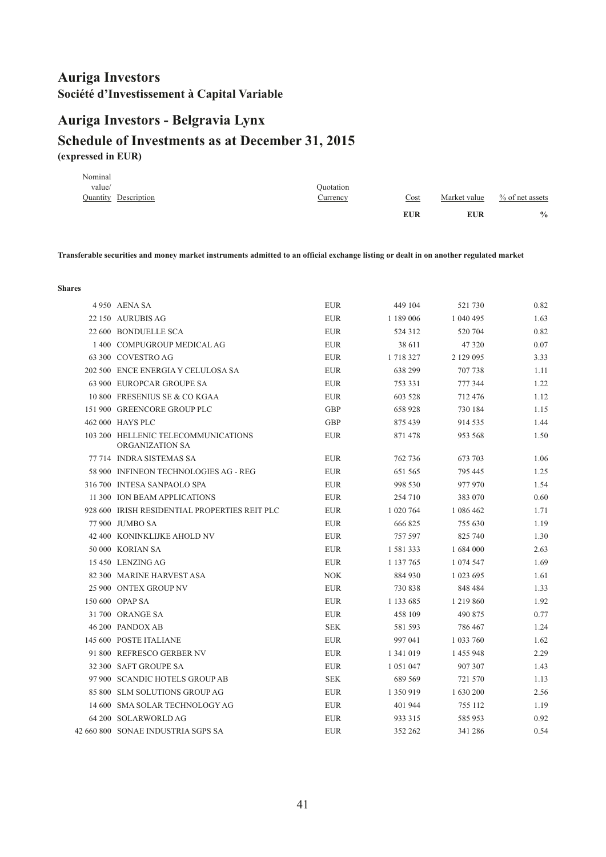# <span id="page-42-0"></span>**Schedule of Investments as at December 31, 2015 Auriga Investors - Belgravia Lynx**

**(expressed in EUR)**

|         |                      |           | <b>EUR</b>                        | <b>EUR</b>   | $\frac{0}{0}$      |
|---------|----------------------|-----------|-----------------------------------|--------------|--------------------|
|         | Quantity Description | Currency  | $\frac{\text{Cost}}{\text{Cost}}$ | Market value | $\%$ of net assets |
| value/  |                      | Quotation |                                   |              |                    |
| Nominal |                      |           |                                   |              |                    |

**Transferable securities and money market instruments admitted to an official exchange listing or dealt in on another regulated market**

**Shares**

| 4 950 AENA SA                                          | <b>EUR</b> | 449 104   | 521 730   | 0.82 |
|--------------------------------------------------------|------------|-----------|-----------|------|
| 22 150 AURUBIS AG                                      | <b>EUR</b> | 1 189 006 | 1 040 495 | 1.63 |
| 22 600 BONDUELLE SCA                                   | <b>EUR</b> | 524 312   | 520 704   | 0.82 |
| 1400 COMPUGROUP MEDICAL AG                             | <b>EUR</b> | 38 611    | 47 320    | 0.07 |
| 63 300 COVESTRO AG                                     | <b>EUR</b> | 1 718 327 | 2 129 095 | 3.33 |
| 202 500 ENCE ENERGIA Y CELULOSA SA                     | <b>EUR</b> | 638 299   | 707 738   | 1.11 |
| 63 900 EUROPCAR GROUPE SA                              | <b>EUR</b> | 753 331   | 777 344   | 1.22 |
| 10 800 FRESENIUS SE & CO KGAA                          | <b>EUR</b> | 603 528   | 712 476   | 1.12 |
| 151 900 GREENCORE GROUP PLC                            | <b>GBP</b> | 658 928   | 730 184   | 1.15 |
| 462 000 HAYS PLC                                       | <b>GBP</b> | 875 439   | 914 535   | 1.44 |
| 103 200 HELLENIC TELECOMMUNICATIONS<br>ORGANIZATION SA | <b>EUR</b> | 871 478   | 953 568   | 1.50 |
| 77 714 INDRA SISTEMAS SA                               | <b>EUR</b> | 762 736   | 673 703   | 1.06 |
| 58 900 INFINEON TECHNOLOGIES AG - REG                  | <b>EUR</b> | 651 565   | 795 445   | 1.25 |
| 316 700 INTESA SANPAOLO SPA                            | <b>EUR</b> | 998 530   | 977 970   | 1.54 |
| 11 300 ION BEAM APPLICATIONS                           | <b>EUR</b> | 254 710   | 383 070   | 0.60 |
| 928 600 IRISH RESIDENTIAL PROPERTIES REIT PLC          | <b>EUR</b> | 1 020 764 | 1 086 462 | 1.71 |
| 77 900 JUMBO SA                                        | <b>EUR</b> | 666 825   | 755 630   | 1.19 |
| 42 400 KONINKLIJKE AHOLD NV                            | <b>EUR</b> | 757 597   | 825 740   | 1.30 |
| 50 000 KORIAN SA                                       | <b>EUR</b> | 1 581 333 | 1 684 000 | 2.63 |
| 15 450 LENZING AG                                      | <b>EUR</b> | 1 137 765 | 1 074 547 | 1.69 |
| 82 300 MARINE HARVEST ASA                              | <b>NOK</b> | 884 930   | 1 023 695 | 1.61 |
| 25 900 ONTEX GROUP NV                                  | <b>EUR</b> | 730 838   | 848 484   | 1.33 |
| 150 600 OPAP SA                                        | <b>EUR</b> | 1 133 685 | 1 219 860 | 1.92 |
| 31 700 ORANGE SA                                       | <b>EUR</b> | 458 109   | 490 875   | 0.77 |
| 46 200 PANDOX AB                                       | <b>SEK</b> | 581 593   | 786 467   | 1.24 |
| 145 600 POSTE ITALIANE                                 | <b>EUR</b> | 997 041   | 1 033 760 | 1.62 |
| 91 800 REFRESCO GERBER NV                              | <b>EUR</b> | 1 341 019 | 1 455 948 | 2.29 |
| 32 300 SAFT GROUPE SA                                  | <b>EUR</b> | 1 051 047 | 907 307   | 1.43 |
| 97 900 SCANDIC HOTELS GROUP AB                         | <b>SEK</b> | 689 569   | 721 570   | 1.13 |
| 85 800 SLM SOLUTIONS GROUP AG                          | <b>EUR</b> | 1 350 919 | 1 630 200 | 2.56 |
| 14 600 SMA SOLAR TECHNOLOGY AG                         | <b>EUR</b> | 401 944   | 755 112   | 1.19 |
| 64 200 SOLARWORLD AG                                   | <b>EUR</b> | 933 315   | 585 953   | 0.92 |
| 42 660 800 SONAE INDUSTRIA SGPS SA                     | <b>EUR</b> | 352 262   | 341 286   | 0.54 |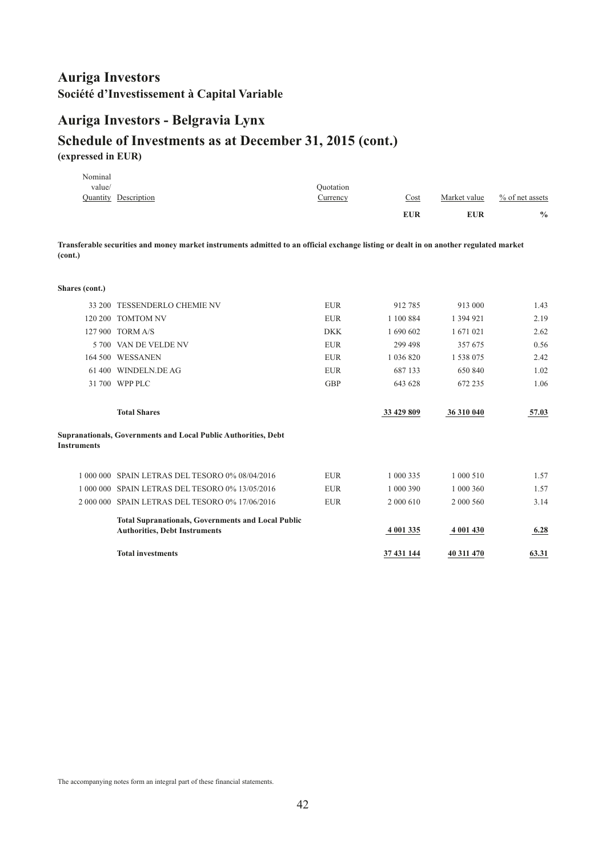# **Auriga Investors - Belgravia Lynx**

### **Schedule of Investments as at December 31, 2015 (cont.) (expressed in EUR)**

|                    | <b>Total investments</b>                                                                                                              |            | 37 431 144    | 40 311 470   | 63.31             |
|--------------------|---------------------------------------------------------------------------------------------------------------------------------------|------------|---------------|--------------|-------------------|
|                    | <b>Total Supranationals, Governments and Local Public</b><br><b>Authorities, Debt Instruments</b>                                     |            | 4 001 335     | 4 001 430    | 6.28              |
|                    | 2 000 000 SPAIN LETRAS DEL TESORO 0% 17/06/2016                                                                                       | <b>EUR</b> | 2 000 610     | 2 000 560    | 3.14              |
|                    | 1 000 000 SPAIN LETRAS DEL TESORO 0% 13/05/2016                                                                                       | <b>EUR</b> | 1 000 390     | 1 000 360    | 1.57              |
|                    | 1 000 000 SPAIN LETRAS DEL TESORO 0% 08/04/2016                                                                                       | <b>EUR</b> | 1 000 335     | 1 000 510    | 1.57              |
| <b>Instruments</b> | Supranationals, Governments and Local Public Authorities, Debt                                                                        |            |               |              |                   |
|                    | <b>Total Shares</b>                                                                                                                   |            | 33 429 809    | 36 310 040   | 57.03             |
|                    | 31 700 WPP PLC                                                                                                                        | <b>GBP</b> | 643 628       | 672 235      | 1.06              |
|                    | 61 400 WINDELN.DE AG                                                                                                                  | <b>EUR</b> | 687 133       | 650 840      | 1.02              |
|                    | 164 500 WESSANEN                                                                                                                      | <b>EUR</b> | 1 0 3 6 8 2 0 | 1 538 075    | 2.42              |
|                    | 5 700 VAN DE VELDE NV                                                                                                                 | EUR        | 299 498       | 357 675      | 0.56              |
|                    | 127 900 TORM A/S                                                                                                                      | <b>DKK</b> | 1 690 602     | 1 671 021    | 2.62              |
|                    | 120 200 TOMTOM NV                                                                                                                     | <b>EUR</b> | 1 100 884     | 1 394 921    | 2.19              |
| Shares (cont.)     | 33 200 TESSENDERLO CHEMIE NV                                                                                                          | <b>EUR</b> | 912785        | 913 000      | 1.43              |
|                    |                                                                                                                                       |            |               |              |                   |
| (cont.)            | Transferable securities and money market instruments admitted to an official exchange listing or dealt in on another regulated market |            |               |              |                   |
|                    |                                                                                                                                       |            | <b>EUR</b>    | <b>EUR</b>   | $\frac{0}{0}$     |
|                    | Quantity Description                                                                                                                  | Currency   | Cost          | Market value | $%$ of net assets |
| value/             |                                                                                                                                       | Quotation  |               |              |                   |
| Nominal            |                                                                                                                                       |            |               |              |                   |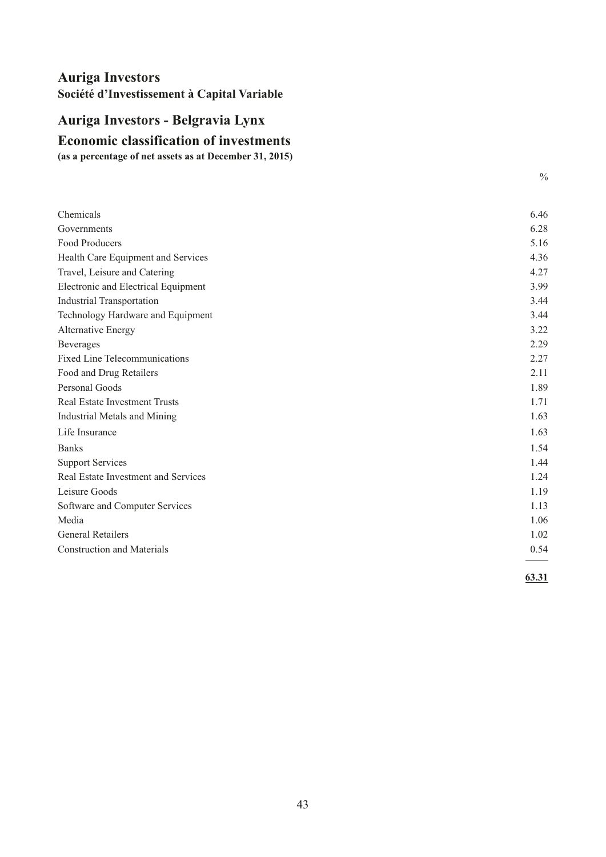# <span id="page-44-0"></span>**Economic classification of investments Auriga Investors - Belgravia Lynx**

**(as a percentage of net assets as at December 31, 2015)**

| Chemicals                            | 6.46   |
|--------------------------------------|--------|
| Governments                          | 6.28   |
| Food Producers                       | 5.16   |
| Health Care Equipment and Services   | 4.36   |
| Travel, Leisure and Catering         | 4.27   |
| Electronic and Electrical Equipment  | 3.99   |
| <b>Industrial Transportation</b>     | 3.44   |
| Technology Hardware and Equipment    | 3.44   |
| <b>Alternative Energy</b>            | 3.22   |
| Beverages                            | 2.29   |
| <b>Fixed Line Telecommunications</b> | 2.27   |
| Food and Drug Retailers              | 2.11   |
| Personal Goods                       | 1.89   |
| <b>Real Estate Investment Trusts</b> | 1.71   |
| Industrial Metals and Mining         | 1.63   |
| Life Insurance                       | 1.63   |
| <b>Banks</b>                         | 1.54   |
| <b>Support Services</b>              | 1.44   |
| Real Estate Investment and Services  | 1.24   |
| Leisure Goods                        | 1.19   |
| Software and Computer Services       | 1.13   |
| Media                                | 1.06   |
| <b>General Retailers</b>             | 1.02   |
| <b>Construction and Materials</b>    | 0.54   |
|                                      | (2.21) |

**63.31**

 $\frac{0}{0}$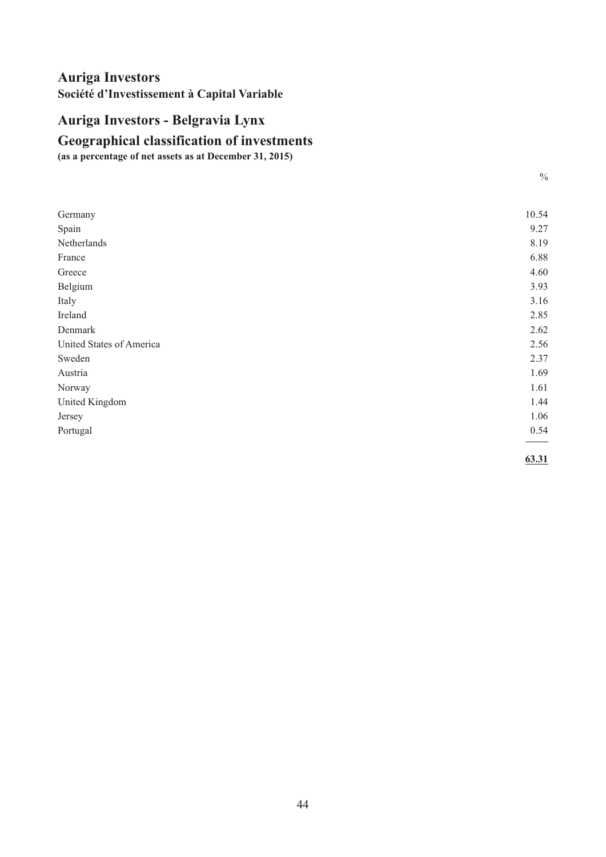# <span id="page-45-0"></span>**Auriga Investors - Belgravia Lynx**

# **Geographical classification of investments**

**(as a percentage of net assets as at December 31, 2015)**

| I<br>e e          |
|-------------------|
| i<br>×<br>۰.<br>I |

| Germany                  | 10.54 |
|--------------------------|-------|
| Spain                    | 9.27  |
| Netherlands              | 8.19  |
| France                   | 6.88  |
| Greece                   | 4.60  |
| Belgium                  | 3.93  |
| Italy                    | 3.16  |
| Ireland                  | 2.85  |
| Denmark                  | 2.62  |
| United States of America | 2.56  |
| Sweden                   | 2.37  |
| Austria                  | 1.69  |
| Norway                   | 1.61  |
| United Kingdom           | 1.44  |
| Jersey                   | 1.06  |
| Portugal                 | 0.54  |
|                          |       |

**63.31**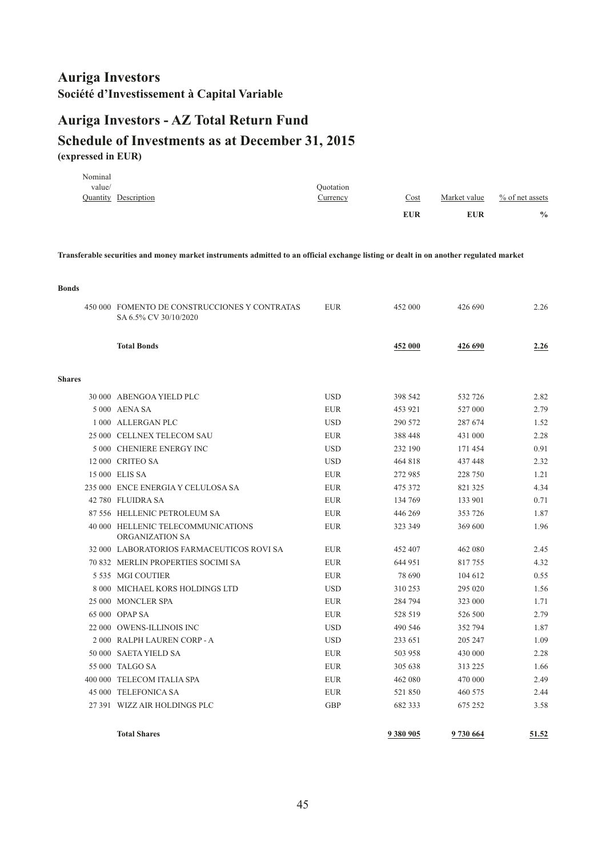# <span id="page-46-0"></span>**Auriga Investors - AZ Total Return Fund**

# **(expressed in EUR) Schedule of Investments as at December 31, 2015**

| Quotation<br>Quantity Description<br>Currency | Cost | Market value | $\%$ of net assets |
|-----------------------------------------------|------|--------------|--------------------|
|                                               |      |              |                    |

**Transferable securities and money market instruments admitted to an official exchange listing or dealt in on another regulated market**

| <b>Bonds</b>  |                                                                        |            |           |         |       |
|---------------|------------------------------------------------------------------------|------------|-----------|---------|-------|
|               | 450 000 FOMENTO DE CONSTRUCCIONES Y CONTRATAS<br>SA 6.5% CV 30/10/2020 | <b>EUR</b> | 452 000   | 426 690 | 2.26  |
|               | <b>Total Bonds</b>                                                     |            | 452 000   | 426 690 | 2.26  |
| <b>Shares</b> |                                                                        |            |           |         |       |
|               | 30 000 ABENGOA YIELD PLC                                               | <b>USD</b> | 398 542   | 532 726 | 2.82  |
|               | 5 000 AENA SA                                                          | <b>EUR</b> | 453 921   | 527 000 | 2.79  |
|               | 1 000 ALLERGAN PLC                                                     | <b>USD</b> | 290 572   | 287 674 | 1.52  |
|               | 25 000 CELLNEX TELECOM SAU                                             | <b>EUR</b> | 388 448   | 431 000 | 2.28  |
|               | 5 000 CHENIERE ENERGY INC                                              | <b>USD</b> | 232 190   | 171454  | 0.91  |
|               | 12 000 CRITEO SA                                                       | <b>USD</b> | 464 818   | 437 448 | 2.32  |
|               | 15 000 ELIS SA                                                         | <b>EUR</b> | 272 985   | 228 750 | 1.21  |
|               | 235 000 ENCE ENERGIA Y CELULOSA SA                                     | <b>EUR</b> | 475 372   | 821 325 | 4.34  |
|               | 42 780 FLUIDRA SA                                                      | <b>EUR</b> | 134 769   | 133 901 | 0.71  |
|               | 87 556 HELLENIC PETROLEUM SA                                           | <b>EUR</b> | 446 269   | 353 726 | 1.87  |
|               | 40 000 HELLENIC TELECOMMUNICATIONS<br>ORGANIZATION SA                  | <b>EUR</b> | 323 349   | 369 600 | 1.96  |
|               | 32 000 LABORATORIOS FARMACEUTICOS ROVI SA                              | <b>EUR</b> | 452 407   | 462 080 | 2.45  |
|               | 70 832 MERLIN PROPERTIES SOCIMI SA                                     | <b>EUR</b> | 644 951   | 817755  | 4.32  |
|               | 5 535 MGI COUTIER                                                      | <b>EUR</b> | 78 690    | 104 612 | 0.55  |
|               | 8 000 MICHAEL KORS HOLDINGS LTD                                        | <b>USD</b> | 310 253   | 295 020 | 1.56  |
|               | 25 000 MONCLER SPA                                                     | <b>EUR</b> | 284 794   | 323 000 | 1.71  |
|               | 65 000 OPAP SA                                                         | <b>EUR</b> | 528 519   | 526 500 | 2.79  |
|               | 22 000 OWENS-ILLINOIS INC                                              | <b>USD</b> | 490 546   | 352 794 | 1.87  |
|               | 2 000 RALPH LAUREN CORP - A                                            | <b>USD</b> | 233 651   | 205 247 | 1.09  |
|               | 50 000 SAETA YIELD SA                                                  | <b>EUR</b> | 503 958   | 430 000 | 2.28  |
|               | 55 000 TALGO SA                                                        | <b>EUR</b> | 305 638   | 313 225 | 1.66  |
|               | 400 000 TELECOM ITALIA SPA                                             | <b>EUR</b> | 462 080   | 470 000 | 2.49  |
|               | 45 000 TELEFONICA SA                                                   | <b>EUR</b> | 521850    | 460 575 | 2.44  |
|               | 27 391 WIZZ AIR HOLDINGS PLC                                           | <b>GBP</b> | 682 333   | 675 252 | 3.58  |
|               | <b>Total Shares</b>                                                    |            | 9 380 905 | 9730664 | 51.52 |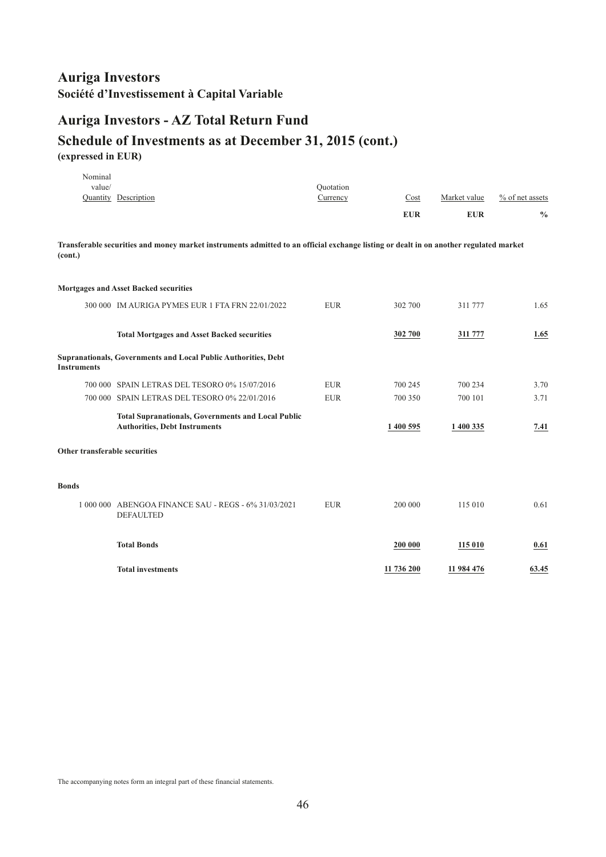# **Auriga Investors - AZ Total Return Fund**

### **Schedule of Investments as at December 31, 2015 (cont.) (expressed in EUR)**

| Nominal                       |                                                                                                                                       |                       |            |              |                 |
|-------------------------------|---------------------------------------------------------------------------------------------------------------------------------------|-----------------------|------------|--------------|-----------------|
| value/                        | Quantity Description                                                                                                                  | Quotation<br>Currency | Cost       | Market value | % of net assets |
|                               |                                                                                                                                       |                       |            |              |                 |
|                               |                                                                                                                                       |                       | <b>EUR</b> | <b>EUR</b>   | $\frac{0}{0}$   |
| (cont.)                       | Transferable securities and money market instruments admitted to an official exchange listing or dealt in on another regulated market |                       |            |              |                 |
|                               | <b>Mortgages and Asset Backed securities</b>                                                                                          |                       |            |              |                 |
|                               | 300 000 IM AURIGA PYMES EUR 1 FTA FRN 22/01/2022                                                                                      | <b>EUR</b>            | 302 700    | 311 777      | 1.65            |
|                               | <b>Total Mortgages and Asset Backed securities</b>                                                                                    |                       | 302 700    | 311 777      | 1.65            |
| <b>Instruments</b>            | Supranationals, Governments and Local Public Authorities, Debt                                                                        |                       |            |              |                 |
|                               | 700 000 SPAIN LETRAS DEL TESORO 0% 15/07/2016                                                                                         | <b>EUR</b>            | 700 245    | 700 234      | 3.70            |
|                               | 700 000 SPAIN LETRAS DEL TESORO 0% 22/01/2016                                                                                         | <b>EUR</b>            | 700 350    | 700 101      | 3.71            |
|                               | <b>Total Supranationals, Governments and Local Public</b><br><b>Authorities, Debt Instruments</b>                                     |                       | 1 400 595  | 1 400 335    | 7.41            |
| Other transferable securities |                                                                                                                                       |                       |            |              |                 |
| <b>Bonds</b>                  |                                                                                                                                       |                       |            |              |                 |
|                               | 1 000 000 ABENGOA FINANCE SAU - REGS - 6% 31/03/2021<br><b>DEFAULTED</b>                                                              | <b>EUR</b>            | 200 000    | 115 010      | 0.61            |
|                               | <b>Total Bonds</b>                                                                                                                    |                       | 200 000    | 115 010      | 0.61            |
|                               | <b>Total investments</b>                                                                                                              |                       | 11 736 200 | 11 984 476   | 63.45           |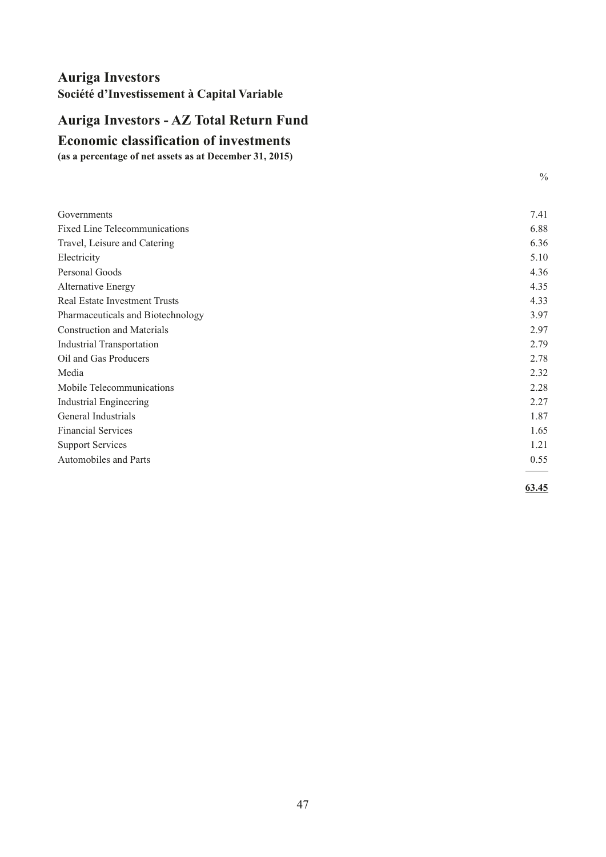# <span id="page-48-0"></span>**Auriga Investors - AZ Total Return Fund**

### **Economic classification of investments**

**(as a percentage of net assets as at December 31, 2015)**

| Governments                          | 7.41 |
|--------------------------------------|------|
| Fixed Line Telecommunications        | 6.88 |
| Travel, Leisure and Catering         | 6.36 |
| Electricity                          | 5.10 |
| Personal Goods                       | 4.36 |
| Alternative Energy                   | 4.35 |
| <b>Real Estate Investment Trusts</b> | 4.33 |
| Pharmaceuticals and Biotechnology    | 3.97 |
| <b>Construction and Materials</b>    | 2.97 |
| <b>Industrial Transportation</b>     | 2.79 |
| Oil and Gas Producers                | 2.78 |
| Media                                | 2.32 |
| Mobile Telecommunications            | 2.28 |
| <b>Industrial Engineering</b>        | 2.27 |
| General Industrials                  | 1.87 |
| <b>Financial Services</b>            | 1.65 |
| <b>Support Services</b>              | 1.21 |
| Automobiles and Parts                | 0.55 |
|                                      |      |

 $\frac{0}{0}$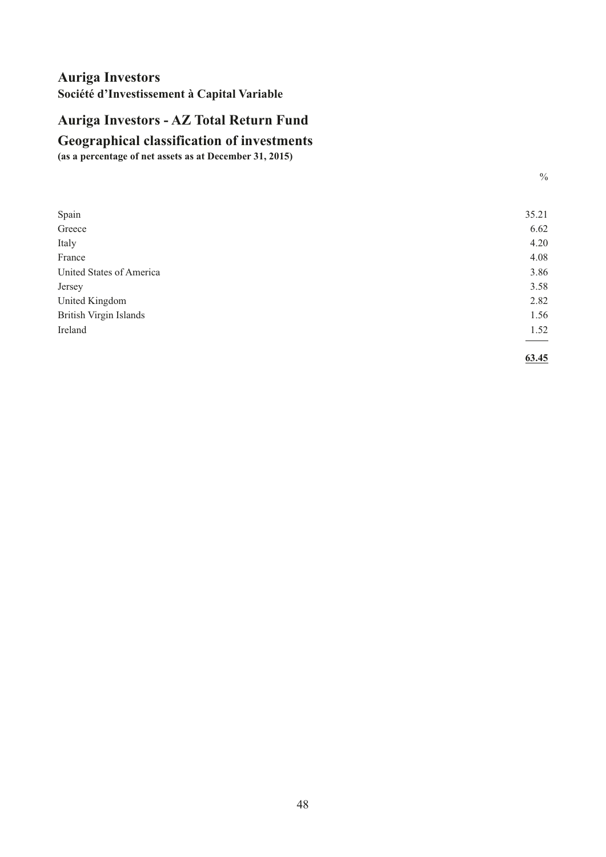# <span id="page-49-0"></span>**Auriga Investors - AZ Total Return Fund**

# **Geographical classification of investments**

**(as a percentage of net assets as at December 31, 2015)**

| Spain                         | 35.21 |
|-------------------------------|-------|
| Greece                        | 6.62  |
| Italy                         | 4.20  |
| France                        | 4.08  |
| United States of America      | 3.86  |
| Jersey                        | 3.58  |
| United Kingdom                | 2.82  |
| <b>British Virgin Islands</b> | 1.56  |
| Ireland                       | 1.52  |
|                               |       |
|                               |       |

**63.45**

 $\frac{0}{0}$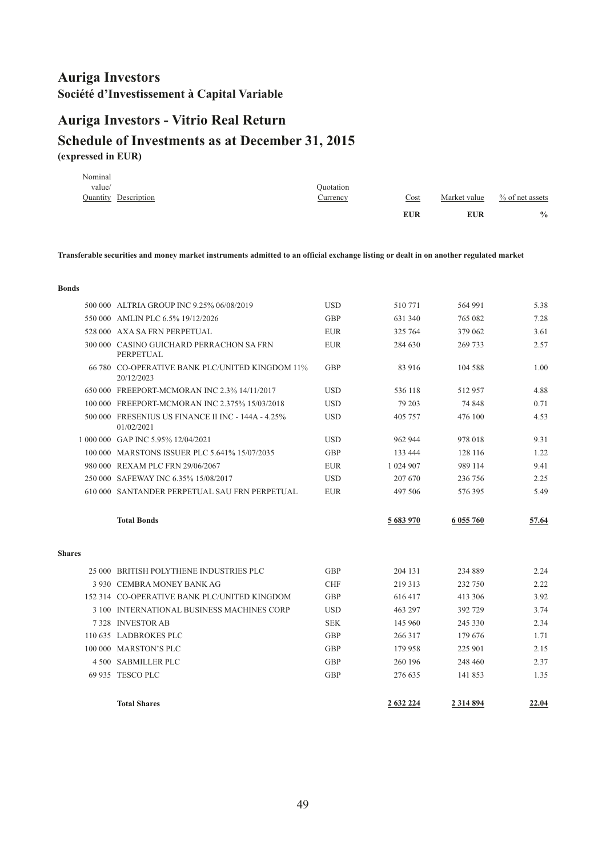# <span id="page-50-0"></span>**Auriga Investors - Vitrio Real Return**

# **(expressed in EUR) Schedule of Investments as at December 31, 2015**

|         |                             |           | <b>EUR</b> | <b>EUR</b>   | $\frac{0}{0}$      |
|---------|-----------------------------|-----------|------------|--------------|--------------------|
|         | <b>Quantity Description</b> | Currency  | Cost       | Market value | $\%$ of net assets |
| value/  |                             | Ouotation |            |              |                    |
| Nominal |                             |           |            |              |                    |

**Transferable securities and money market instruments admitted to an official exchange listing or dealt in on another regulated market**

#### **Bonds**

|               | 500 000 ALTRIA GROUP INC 9.25% 06/08/2019                        | <b>USD</b> | 510771    | 564 991   | 5.38  |
|---------------|------------------------------------------------------------------|------------|-----------|-----------|-------|
|               | 550 000 AMLIN PLC 6.5% 19/12/2026                                | <b>GBP</b> | 631 340   | 765 082   | 7.28  |
|               | 528 000 AXA SA FRN PERPETUAL                                     | <b>EUR</b> | 325 764   | 379 062   | 3.61  |
|               | 300 000 CASINO GUICHARD PERRACHON SA FRN<br>PERPETUAL            | <b>EUR</b> | 284 630   | 269 733   | 2.57  |
|               | 66 780 CO-OPERATIVE BANK PLC/UNITED KINGDOM 11%<br>20/12/2023    | <b>GBP</b> | 83 916    | 104 588   | 1.00  |
|               | 650 000 FREEPORT-MCMORAN INC 2.3% 14/11/2017                     | <b>USD</b> | 536 118   | 512957    | 4.88  |
|               | 100 000 FREEPORT-MCMORAN INC 2.375% 15/03/2018                   | <b>USD</b> | 79 203    | 74 848    | 0.71  |
|               | 500 000 FRESENIUS US FINANCE II INC - 144A - 4.25%<br>01/02/2021 | <b>USD</b> | 405 757   | 476 100   | 4.53  |
|               | 1 000 000 GAP INC 5.95% 12/04/2021                               | <b>USD</b> | 962 944   | 978 018   | 9.31  |
|               | 100 000 MARSTONS ISSUER PLC 5.641% 15/07/2035                    | <b>GBP</b> | 133 444   | 128 116   | 1.22  |
|               | 980 000 REXAM PLC FRN 29/06/2067                                 | <b>EUR</b> | 1 024 907 | 989 114   | 9.41  |
|               | 250 000 SAFEWAY INC 6.35% 15/08/2017                             | <b>USD</b> | 207 670   | 236 756   | 2.25  |
|               | 610 000 SANTANDER PERPETUAL SAU FRN PERPETUAL                    | <b>EUR</b> | 497 506   | 576395    | 5.49  |
|               |                                                                  |            |           |           |       |
|               | <b>Total Bonds</b>                                               |            | 5 683 970 | 6 055 760 | 57.64 |
| <b>Shares</b> |                                                                  |            |           |           |       |
|               | 25 000 BRITISH POLYTHENE INDUSTRIES PLC                          | <b>GBP</b> | 204 131   | 234 889   | 2.24  |
|               | 3 930 CEMBRA MONEY BANK AG                                       | <b>CHF</b> | 219 313   | 232 750   | 2.22  |
|               | 152 314 CO-OPERATIVE BANK PLC/UNITED KINGDOM                     | <b>GBP</b> | 616417    | 413 306   | 3.92  |
|               | 3 100 INTERNATIONAL BUSINESS MACHINES CORP                       | <b>USD</b> | 463 297   | 392 729   | 3.74  |
|               | 7328 INVESTOR AB                                                 | <b>SEK</b> | 145 960   | 245 330   | 2.34  |
|               | 110 635 LADBROKES PLC                                            | <b>GBP</b> | 266 317   | 179 676   | 1.71  |
|               | 100 000 MARSTON'S PLC                                            | <b>GBP</b> | 179 958   | 225 901   | 2.15  |
|               | 4 500 SABMILLER PLC                                              | GBP        | 260 196   | 248 460   | 2.37  |
|               | 69 935 TESCO PLC                                                 | <b>GBP</b> | 276 635   | 141 853   | 1.35  |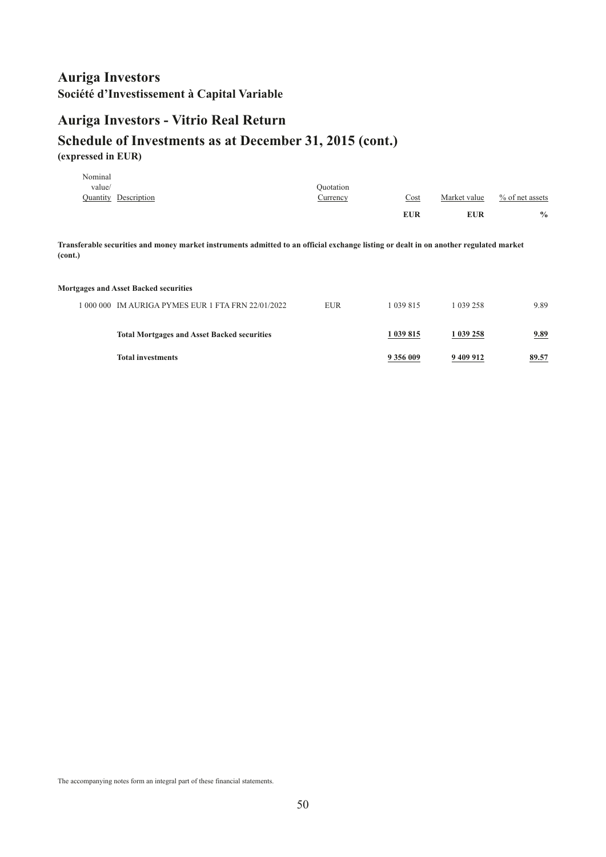### **Auriga Investors - Vitrio Real Return**

### **Schedule of Investments as at December 31, 2015 (cont.) (expressed in EUR)**

|         |                             |           | <b>EUR</b> | <b>EUR</b>   | $\frac{0}{0}$      |
|---------|-----------------------------|-----------|------------|--------------|--------------------|
|         | <b>Quantity</b> Description | Currency  | Cost       | Market value | $\%$ of net assets |
| value/  |                             | Ouotation |            |              |                    |
| Nominal |                             |           |            |              |                    |

**Transferable securities and money market instruments admitted to an official exchange listing or dealt in on another regulated market (cont.)**

#### **Mortgages and Asset Backed securities**

| 1 000 000 IM AURIGA PYMES EUR 1 FTA FRN 22/01/2022 | EUR | 1 039 815 | 1 039 258 | 9.89  |
|----------------------------------------------------|-----|-----------|-----------|-------|
| <b>Total Mortgages and Asset Backed securities</b> |     | 1 039 815 | 1 039 258 | 9.89  |
| <b>Total investments</b>                           |     | 9 356 009 | 9 409 912 | 89.57 |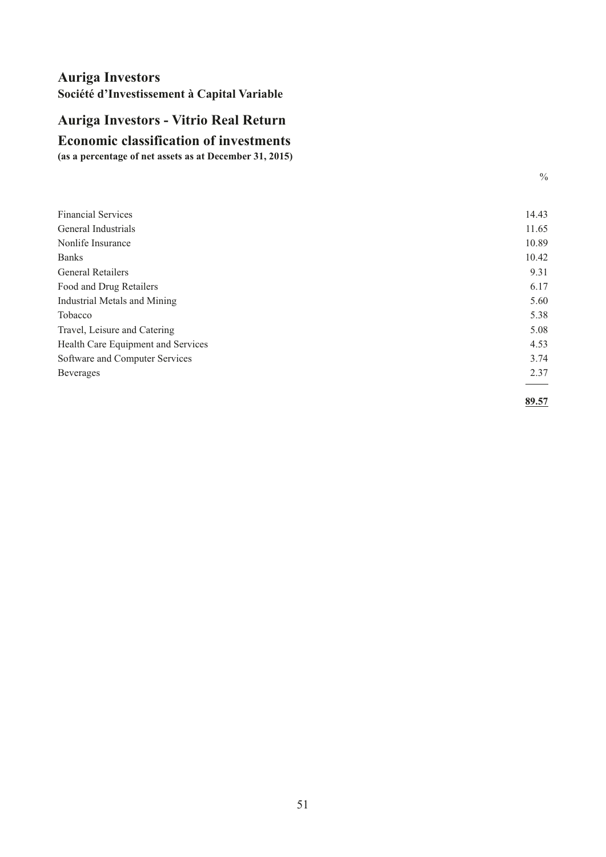# <span id="page-52-0"></span>**Auriga Investors - Vitrio Real Return**

# **Economic classification of investments**

**(as a percentage of net assets as at December 31, 2015)**

| <b>Financial Services</b>           | 14.43 |
|-------------------------------------|-------|
| General Industrials                 | 11.65 |
| Nonlife Insurance                   | 10.89 |
| <b>Banks</b>                        | 10.42 |
| <b>General Retailers</b>            | 9.31  |
| Food and Drug Retailers             | 6.17  |
| <b>Industrial Metals and Mining</b> | 5.60  |
| Tobacco                             | 5.38  |
| Travel, Leisure and Catering        | 5.08  |
| Health Care Equipment and Services  | 4.53  |
| Software and Computer Services      | 3.74  |
| <b>Beverages</b>                    | 2.37  |
|                                     | 89.57 |

 $\frac{0}{0}$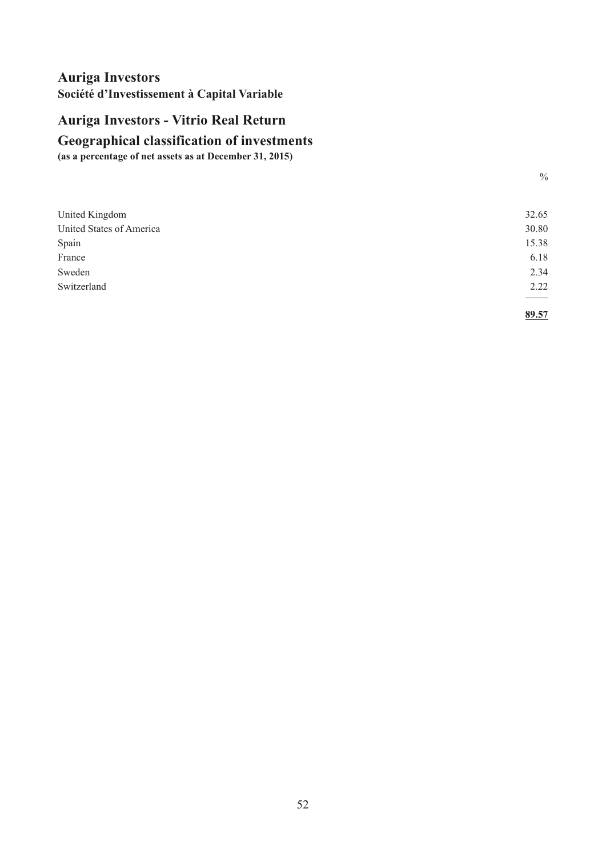# <span id="page-53-0"></span>**Auriga Investors - Vitrio Real Return**

# **Geographical classification of investments**

**(as a percentage of net assets as at December 31, 2015)**

| United Kingdom           | 32.65 |
|--------------------------|-------|
| United States of America | 30.80 |
| Spain                    | 15.38 |
| France                   | 6.18  |
| Sweden                   | 2.34  |
| Switzerland              | 2.22  |
|                          |       |
|                          |       |

 $\frac{0}{0}$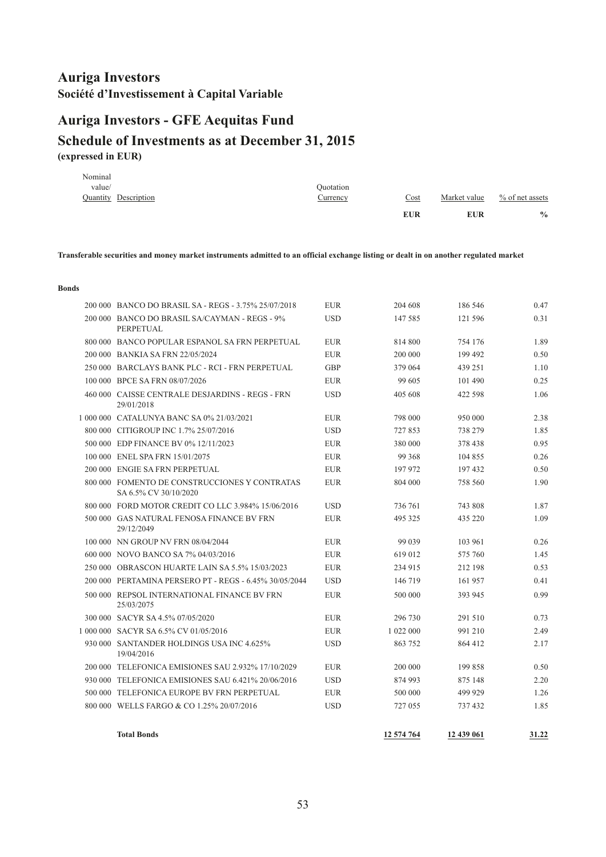# <span id="page-54-0"></span>**Auriga Investors - GFE Aequitas Fund**

# **(expressed in EUR) Schedule of Investments as at December 31, 2015**

| Nominal |                             |           |            |              |                    |
|---------|-----------------------------|-----------|------------|--------------|--------------------|
| value/  |                             | Quotation |            |              |                    |
|         | <b>Quantity</b> Description | Currency  | Cost       | Market value | $\%$ of net assets |
|         |                             |           | <b>EUR</b> | <b>EUR</b>   | $\frac{0}{0}$      |

**Transferable securities and money market instruments admitted to an official exchange listing or dealt in on another regulated market**

#### **Bonds**

| 200 000 BANCO DO BRASIL SA - REGS - 3.75% 25/07/2018                   | <b>EUR</b> | 204 608    | 186 546    | 0.47  |
|------------------------------------------------------------------------|------------|------------|------------|-------|
| 200 000 BANCO DO BRASIL SA/CAYMAN - REGS - 9%<br>PERPETUAL             | <b>USD</b> | 147 585    | 121 596    | 0.31  |
| 800 000 BANCO POPULAR ESPANOL SA FRN PERPETUAL                         | <b>EUR</b> | 814 800    | 754 176    | 1.89  |
| 200 000 BANKIA SA FRN 22/05/2024                                       | <b>EUR</b> | 200 000    | 199 492    | 0.50  |
| 250 000 BARCLAYS BANK PLC - RCI - FRN PERPETUAL                        | <b>GBP</b> | 379 064    | 439 251    | 1.10  |
| 100 000 BPCE SA FRN 08/07/2026                                         | <b>EUR</b> | 99 605     | 101 490    | 0.25  |
| 460 000 CAISSE CENTRALE DESJARDINS - REGS - FRN<br>29/01/2018          | <b>USD</b> | 405 608    | 422 598    | 1.06  |
| 1 000 000 CATALUNYA BANC SA 0% 21/03/2021                              | <b>EUR</b> | 798 000    | 950 000    | 2.38  |
| 800 000 CITIGROUP INC 1.7% 25/07/2016                                  | <b>USD</b> | 727853     | 738 279    | 1.85  |
| 500 000 EDP FINANCE BV 0% 12/11/2023                                   | <b>EUR</b> | 380 000    | 378 438    | 0.95  |
| 100 000 ENEL SPA FRN 15/01/2075                                        | <b>EUR</b> | 99 368     | 104 855    | 0.26  |
| 200 000 ENGIE SA FRN PERPETUAL                                         | <b>EUR</b> | 197 972    | 197432     | 0.50  |
| 800 000 FOMENTO DE CONSTRUCCIONES Y CONTRATAS<br>SA 6.5% CV 30/10/2020 | <b>EUR</b> | 804 000    | 758 560    | 1.90  |
| 800 000 FORD MOTOR CREDIT CO LLC 3.984% 15/06/2016                     | <b>USD</b> | 736 761    | 743 808    | 1.87  |
| 500 000 GAS NATURAL FENOSA FINANCE BV FRN<br>29/12/2049                | <b>EUR</b> | 495 325    | 435 220    | 1.09  |
| 100 000 NN GROUP NV FRN 08/04/2044                                     | <b>EUR</b> | 99 039     | 103 961    | 0.26  |
| 600 000 NOVO BANCO SA 7% 04/03/2016                                    | <b>EUR</b> | 619 012    | 575 760    | 1.45  |
| 250 000 OBRASCON HUARTE LAIN SA 5.5% 15/03/2023                        | <b>EUR</b> | 234 915    | 212 198    | 0.53  |
| 200 000 PERTAMINA PERSERO PT - REGS - 6.45% 30/05/2044                 | <b>USD</b> | 146 719    | 161 957    | 0.41  |
| 500 000 REPSOL INTERNATIONAL FINANCE BV FRN<br>25/03/2075              | <b>EUR</b> | 500 000    | 393 945    | 0.99  |
| 300 000 SACYR SA 4.5% 07/05/2020                                       | <b>EUR</b> | 296 730    | 291 510    | 0.73  |
| 1 000 000 SACYR SA 6.5% CV 01/05/2016                                  | <b>EUR</b> | 1 022 000  | 991 210    | 2.49  |
| 930 000 SANTANDER HOLDINGS USA INC 4.625%<br>19/04/2016                | <b>USD</b> | 863 752    | 864 412    | 2.17  |
| 200 000 TELEFONICA EMISIONES SAU 2.932% 17/10/2029                     | <b>EUR</b> | 200 000    | 199 858    | 0.50  |
| 930 000 TELEFONICA EMISIONES SAU 6.421% 20/06/2016                     | <b>USD</b> | 874 993    | 875 148    | 2.20  |
| 500 000 TELEFONICA EUROPE BV FRN PERPETUAL                             | <b>EUR</b> | 500 000    | 499 929    | 1.26  |
| 800 000 WELLS FARGO & CO 1.25% 20/07/2016                              | <b>USD</b> | 727 055    | 737 432    | 1.85  |
| <b>Total Bonds</b>                                                     |            | 12 574 764 | 12 439 061 | 31.22 |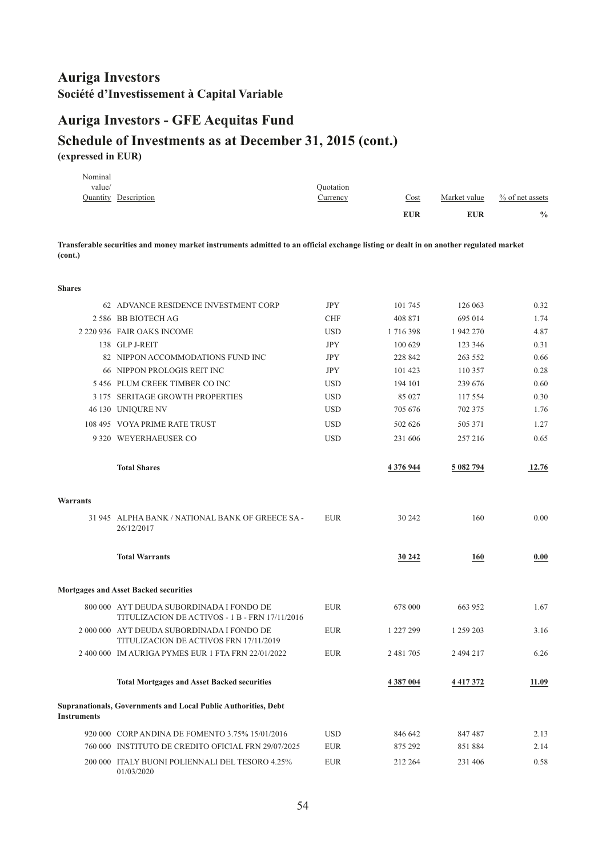# **Auriga Investors - GFE Aequitas Fund**

#### **Schedule of Investments as at December 31, 2015 (cont.) (expressed in EUR)**

|         |                      |           | <b>EUR</b> | <b>EUR</b>   | $\frac{0}{0}$      |
|---------|----------------------|-----------|------------|--------------|--------------------|
|         | Quantity Description | Currency  | Cost       | Market value | $\%$ of net assets |
| value/  |                      | Ouotation |            |              |                    |
| Nominal |                      |           |            |              |                    |

**Transferable securities and money market instruments admitted to an official exchange listing or dealt in on another regulated market (cont.)**

#### **Shares**

|                    | 62 ADVANCE RESIDENCE INVESTMENT CORP                                                       | <b>JPY</b> | 101 745   | 126 063       | 0.32  |
|--------------------|--------------------------------------------------------------------------------------------|------------|-----------|---------------|-------|
|                    | 2 586 BB BIOTECH AG                                                                        | <b>CHF</b> | 408 871   | 695 014       | 1.74  |
|                    | 2 220 936 FAIR OAKS INCOME                                                                 | <b>USD</b> | 1716398   | 1 942 270     | 4.87  |
|                    | 138 GLP J-REIT                                                                             | <b>JPY</b> | 100 629   | 123 346       | 0.31  |
|                    | 82 NIPPON ACCOMMODATIONS FUND INC                                                          | <b>JPY</b> | 228 842   | 263 552       | 0.66  |
|                    | 66 NIPPON PROLOGIS REIT INC                                                                | <b>JPY</b> | 101 423   | 110 357       | 0.28  |
|                    | 5 456 PLUM CREEK TIMBER CO INC                                                             | <b>USD</b> | 194 101   | 239 676       | 0.60  |
|                    | 3 175 SERITAGE GROWTH PROPERTIES                                                           | <b>USD</b> | 85 027    | 117 554       | 0.30  |
|                    | 46 130 UNIQURE NV                                                                          | <b>USD</b> | 705 676   | 702 375       | 1.76  |
|                    | 108 495 VOYA PRIME RATE TRUST                                                              | <b>USD</b> | 502 626   | 505 371       | 1.27  |
|                    | 9 320 WEYERHAEUSER CO                                                                      | <b>USD</b> | 231 606   | 257 216       | 0.65  |
|                    | <b>Total Shares</b>                                                                        |            | 4 376 944 | 5 082 794     | 12.76 |
| Warrants           |                                                                                            |            |           |               |       |
|                    | 31 945 ALPHA BANK / NATIONAL BANK OF GREECE SA -<br>26/12/2017                             | <b>EUR</b> | 30 24 2   | 160           | 0.00  |
|                    | <b>Total Warrants</b>                                                                      |            | 30 24 2   | 160           | 0.00  |
|                    | <b>Mortgages and Asset Backed securities</b>                                               |            |           |               |       |
|                    | 800 000 AYT DEUDA SUBORDINADA I FONDO DE<br>TITULIZACION DE ACTIVOS - 1 B - FRN 17/11/2016 | <b>EUR</b> | 678 000   | 663 952       | 1.67  |
|                    | 2 000 000 AYT DEUDA SUBORDINADA I FONDO DE<br>TITULIZACION DE ACTIVOS FRN 17/11/2019       | <b>EUR</b> | 1 227 299 | 1 259 203     | 3.16  |
|                    | 2 400 000 IM AURIGA PYMES EUR 1 FTA FRN 22/01/2022                                         | <b>EUR</b> | 2 481 705 | 2 494 217     | 6.26  |
|                    | <b>Total Mortgages and Asset Backed securities</b>                                         |            | 4 387 004 | 4 4 1 7 3 7 2 | 11.09 |
| <b>Instruments</b> | Supranationals, Governments and Local Public Authorities, Debt                             |            |           |               |       |
|                    | 920 000 CORP ANDINA DE FOMENTO 3.75% 15/01/2016                                            | <b>USD</b> | 846 642   | 847 487       | 2.13  |
|                    | 760 000 INSTITUTO DE CREDITO OFICIAL FRN 29/07/2025                                        | <b>EUR</b> | 875 292   | 851884        | 2.14  |
|                    | 200 000 ITALY BUONI POLIENNALI DEL TESORO 4.25%                                            | <b>EUR</b> | 212 264   | 231 406       | 0.58  |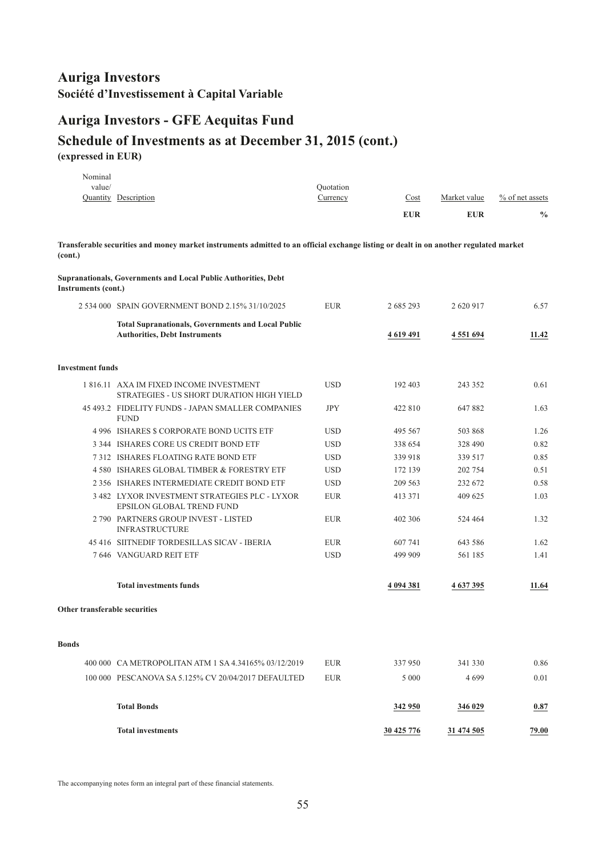# **Auriga Investors - GFE Aequitas Fund**

#### **Schedule of Investments as at December 31, 2015 (cont.) (expressed in EUR)**

| Nominal<br>value/             |                                                                                                                                       | Ouotation  |              |               |                 |
|-------------------------------|---------------------------------------------------------------------------------------------------------------------------------------|------------|--------------|---------------|-----------------|
|                               | Quantity Description                                                                                                                  | Currency   | Cost         | Market value  | % of net assets |
|                               |                                                                                                                                       |            | <b>EUR</b>   | <b>EUR</b>    | $\frac{0}{0}$   |
| (cont.)                       | Transferable securities and money market instruments admitted to an official exchange listing or dealt in on another regulated market |            |              |               |                 |
| Instruments (cont.)           | Supranationals, Governments and Local Public Authorities, Debt                                                                        |            |              |               |                 |
|                               | 2 534 000 SPAIN GOVERNMENT BOND 2.15% 31/10/2025                                                                                      | <b>EUR</b> | 2 685 293    | 2 620 917     | 6.57            |
|                               | <b>Total Supranationals, Governments and Local Public</b><br><b>Authorities, Debt Instruments</b>                                     |            | 4 6 19 4 9 1 | 4 5 5 1 6 9 4 | 11.42           |
| <b>Investment funds</b>       |                                                                                                                                       |            |              |               |                 |
|                               | 1816.11 AXA IM FIXED INCOME INVESTMENT<br>STRATEGIES - US SHORT DURATION HIGH YIELD                                                   | <b>USD</b> | 192 403      | 243 352       | 0.61            |
|                               | 45 493.2 FIDELITY FUNDS - JAPAN SMALLER COMPANIES<br><b>FUND</b>                                                                      | <b>JPY</b> | 422 810      | 647882        | 1.63            |
|                               | 4 996 ISHARES \$ CORPORATE BOND UCITS ETF                                                                                             | <b>USD</b> | 495 567      | 503 868       | 1.26            |
|                               | 3 344 ISHARES CORE US CREDIT BOND ETF                                                                                                 | <b>USD</b> | 338 654      | 328 490       | 0.82            |
|                               | 7312 ISHARES FLOATING RATE BOND ETF                                                                                                   | <b>USD</b> | 339 918      | 339 517       | 0.85            |
|                               | 4 580 ISHARES GLOBAL TIMBER & FORESTRY ETF                                                                                            | <b>USD</b> | 172 139      | 202 754       | 0.51            |
|                               | 2 356 ISHARES INTERMEDIATE CREDIT BOND ETF                                                                                            | <b>USD</b> | 209 563      | 232 672       | 0.58            |
|                               | 3 482 LYXOR INVESTMENT STRATEGIES PLC - LYXOR<br>EPSILON GLOBAL TREND FUND                                                            | <b>EUR</b> | 413 371      | 409 625       | 1.03            |
|                               | 2 790 PARTNERS GROUP INVEST - LISTED<br><b>INFRASTRUCTURE</b>                                                                         | <b>EUR</b> | 402 306      | 524 464       | 1.32            |
|                               | 45 416 SIITNEDIF TORDESILLAS SICAV - IBERIA                                                                                           | <b>EUR</b> | 607 741      | 643 586       | 1.62            |
|                               | 7 646 VANGUARD REIT ETF                                                                                                               | <b>USD</b> | 499 909      | 561 185       | 1.41            |
|                               | <b>Total investments funds</b>                                                                                                        |            | 4 094 381    | 4 637 395     | 11.64           |
| Other transferable securities |                                                                                                                                       |            |              |               |                 |
| <b>Bonds</b>                  |                                                                                                                                       |            |              |               |                 |
|                               | 400 000 CA METROPOLITAN ATM 1 SA 4.34165% 03/12/2019                                                                                  | <b>EUR</b> | 337950       | 341 330       | 0.86            |
|                               | 100 000 PESCANOVA SA 5.125% CV 20/04/2017 DEFAULTED                                                                                   | <b>EUR</b> | 5 0 0 0      | 4699          | 0.01            |
|                               | <b>Total Bonds</b>                                                                                                                    |            | 342 950      | 346 029       | 0.87            |
|                               | <b>Total investments</b>                                                                                                              |            | 30 425 776   | 31 474 505    | 79.00           |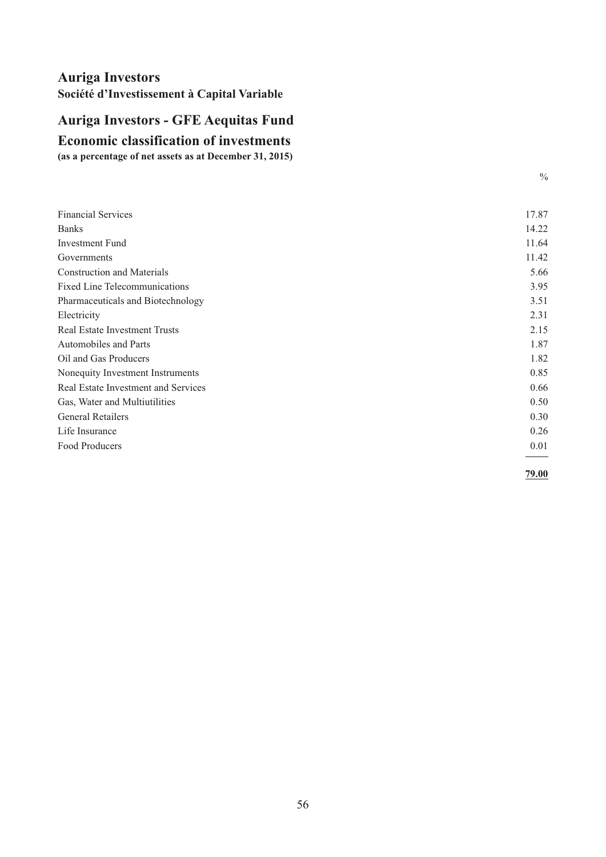# <span id="page-57-0"></span>**Economic classification of investments Auriga Investors - GFE Aequitas Fund**

**(as a percentage of net assets as at December 31, 2015)**

| <b>Financial Services</b>            | 17.87 |
|--------------------------------------|-------|
| <b>Banks</b>                         | 14.22 |
| <b>Investment Fund</b>               | 11.64 |
| Governments                          | 11.42 |
| <b>Construction and Materials</b>    | 5.66  |
| <b>Fixed Line Telecommunications</b> | 3.95  |
| Pharmaceuticals and Biotechnology    | 3.51  |
| Electricity                          | 2.31  |
| <b>Real Estate Investment Trusts</b> | 2.15  |
| <b>Automobiles and Parts</b>         | 1.87  |
| Oil and Gas Producers                | 1.82  |
| Nonequity Investment Instruments     | 0.85  |
| Real Estate Investment and Services  | 0.66  |
| Gas, Water and Multiutilities        | 0.50  |
| <b>General Retailers</b>             | 0.30  |
| Life Insurance                       | 0.26  |
| Food Producers                       | 0.01  |
|                                      |       |

**79.00**

 $\frac{0}{0}$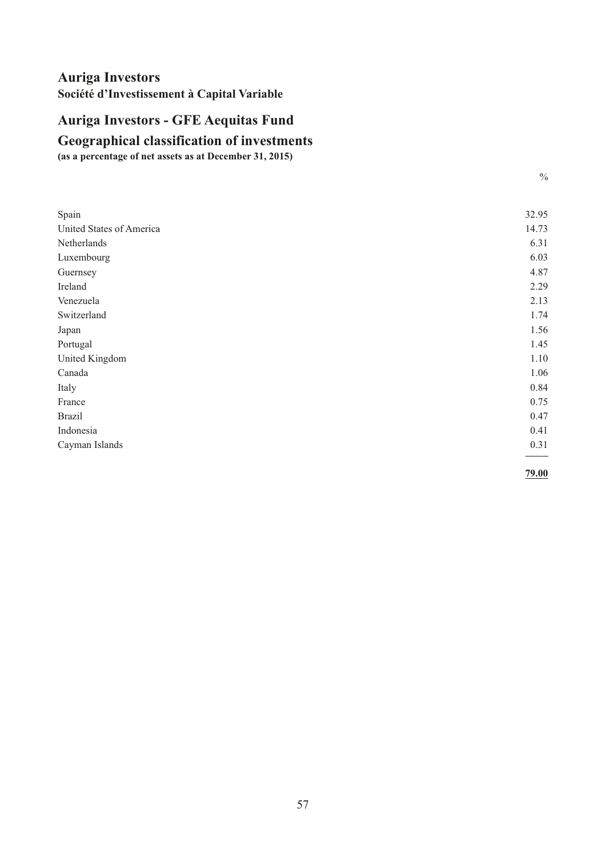# <span id="page-58-0"></span>**Auriga Investors - GFE Aequitas Fund**

# **Geographical classification of investments**

**(as a percentage of net assets as at December 31, 2015)**

| Spain                    | 32.95 |
|--------------------------|-------|
| United States of America | 14.73 |
| Netherlands              | 6.31  |
| Luxembourg               | 6.03  |
| Guernsey                 | 4.87  |
| Ireland                  | 2.29  |
| Venezuela                | 2.13  |
| Switzerland              | 1.74  |
| Japan                    | 1.56  |
| Portugal                 | 1.45  |
| United Kingdom           | 1.10  |
| Canada                   | 1.06  |
| Italy                    | 0.84  |
| France                   | 0.75  |
| <b>Brazil</b>            | 0.47  |
| Indonesia                | 0.41  |
| Cayman Islands           | 0.31  |
|                          |       |

**79.00**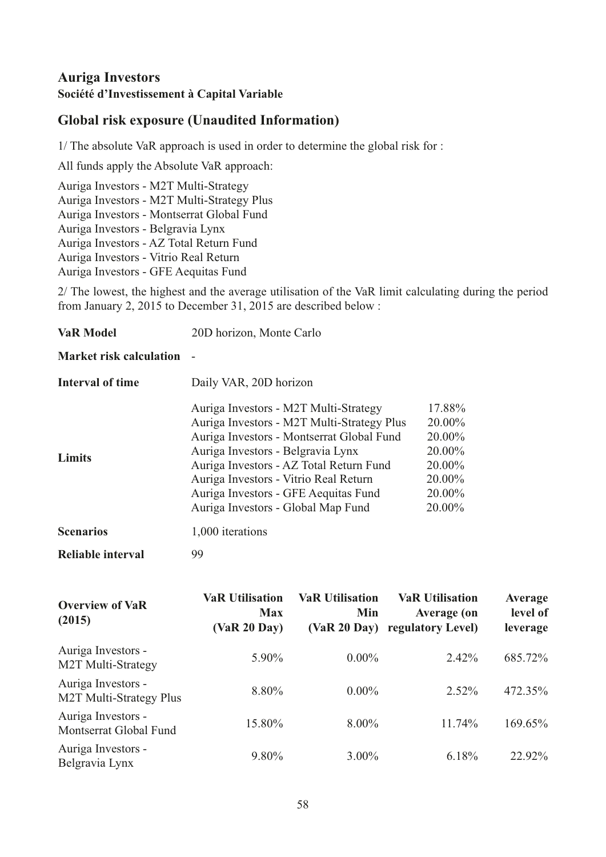# <span id="page-59-0"></span>**Global risk exposure (Unaudited Information)**

1/ The absolute VaR approach is used in order to determine the global risk for :

All funds apply the Absolute VaR approach:

Auriga Investors - M2T Multi-Strategy Auriga Investors - M2T Multi-Strategy Plus Auriga Investors - Montserrat Global Fund Auriga Investors - Belgravia Lynx Auriga Investors - AZ Total Return Fund Auriga Investors - Vitrio Real Return Auriga Investors - GFE Aequitas Fund

2/ The lowest, the highest and the average utilisation of the VaR limit calculating during the period from January 2, 2015 to December 31, 2015 are described below :

#### **Market risk calculation** -

| <b>Interval of time</b> | Daily VAR, 20D horizon                                                                                                                                                |                                      |  |  |
|-------------------------|-----------------------------------------------------------------------------------------------------------------------------------------------------------------------|--------------------------------------|--|--|
|                         | Auriga Investors - M2T Multi-Strategy<br>Auriga Investors - M2T Multi-Strategy Plus<br>Auriga Investors - Montserrat Global Fund<br>Auriga Investors - Belgravia Lynx | 17.88%<br>20.00%<br>20.00%<br>20.00% |  |  |
| <b>Limits</b>           | Auriga Investors - AZ Total Return Fund<br>Auriga Investors - Vitrio Real Return<br>Auriga Investors - GFE Aequitas Fund<br>Auriga Investors - Global Map Fund        | 20.00%<br>20.00%<br>20.00%<br>20.00% |  |  |
| <b>Scenarios</b>        | 1,000 iterations                                                                                                                                                      |                                      |  |  |

**Reliable interval** 99

| <b>Overview of VaR</b><br>(2015)              | <b>VaR Utilisation</b><br><b>Max</b><br>(VaR 20 Dav) | <b>VaR Utilisation</b><br>Min<br>(VaR 20 Day) | <b>VaR Utilisation</b><br><b>Average (on</b><br>regulatory Level) | Average<br>level of<br>leverage |
|-----------------------------------------------|------------------------------------------------------|-----------------------------------------------|-------------------------------------------------------------------|---------------------------------|
| Auriga Investors -<br>M2T Multi-Strategy      | 5.90%                                                | $0.00\%$                                      | 2.42%                                                             | 685.72%                         |
| Auriga Investors -<br>M2T Multi-Strategy Plus | 8.80%                                                | $0.00\%$                                      | $2.52\%$                                                          | 472.35%                         |
| Auriga Investors -<br>Montserrat Global Fund  | 15.80%                                               | $8.00\%$                                      | 11.74%                                                            | 169.65%                         |
| Auriga Investors -<br>Belgravia Lynx          | 9.80%                                                | $3.00\%$                                      | 6.18%                                                             | 22.92%                          |